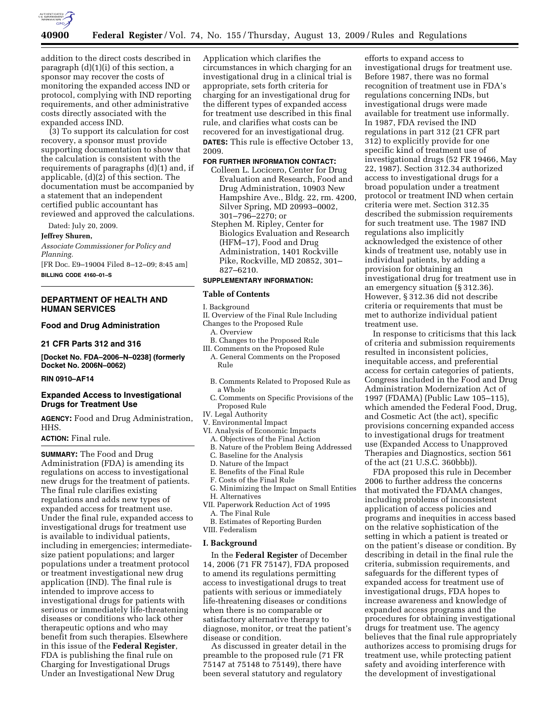

addition to the direct costs described in paragraph (d)(1)(i) of this section, a sponsor may recover the costs of monitoring the expanded access IND or protocol, complying with IND reporting requirements, and other administrative costs directly associated with the expanded access IND.

(3) To support its calculation for cost recovery, a sponsor must provide supporting documentation to show that the calculation is consistent with the requirements of paragraphs (d)(1) and, if applicable, (d)(2) of this section. The documentation must be accompanied by a statement that an independent certified public accountant has reviewed and approved the calculations.

Dated: July 20, 2009.

**Jeffrey Shuren,** 

*Associate Commissioner for Policy and Planning.* 

[FR Doc. E9–19004 Filed 8–12–09; 8:45 am] **BILLING CODE 4160–01–S** 

# **DEPARTMENT OF HEALTH AND HUMAN SERVICES**

# **Food and Drug Administration**

#### **21 CFR Parts 312 and 316**

**[Docket No. FDA–2006–N–0238] (formerly Docket No. 2006N–0062)** 

### **RIN 0910–AF14**

### **Expanded Access to Investigational Drugs for Treatment Use**

**AGENCY:** Food and Drug Administration, HHS.

#### **ACTION:** Final rule.

**SUMMARY:** The Food and Drug Administration (FDA) is amending its regulations on access to investigational new drugs for the treatment of patients. The final rule clarifies existing regulations and adds new types of expanded access for treatment use. Under the final rule, expanded access to investigational drugs for treatment use is available to individual patients, including in emergencies; intermediatesize patient populations; and larger populations under a treatment protocol or treatment investigational new drug application (IND). The final rule is intended to improve access to investigational drugs for patients with serious or immediately life-threatening diseases or conditions who lack other therapeutic options and who may benefit from such therapies. Elsewhere in this issue of the **Federal Register**, FDA is publishing the final rule on Charging for Investigational Drugs Under an Investigational New Drug

Application which clarifies the circumstances in which charging for an investigational drug in a clinical trial is appropriate, sets forth criteria for charging for an investigational drug for the different types of expanded access for treatment use described in this final rule, and clarifies what costs can be recovered for an investigational drug. **DATES:** This rule is effective October 13, 2009.

#### **FOR FURTHER INFORMATION CONTACT:**

- Colleen L. Locicero, Center for Drug Evaluation and Research, Food and Drug Administration, 10903 New Hampshire Ave., Bldg. 22, rm. 4200, Silver Spring, MD 20993–0002, 301–796–2270; or
- Stephen M. Ripley, Center for Biologics Evaluation and Research (HFM–17), Food and Drug Administration, 1401 Rockville Pike, Rockville, MD 20852, 301– 827–6210.

# **SUPPLEMENTARY INFORMATION:**

### **Table of Contents**

I. Background

- II. Overview of the Final Rule Including
- Changes to the Proposed Rule
	- A. Overview
- B. Changes to the Proposed Rule III. Comments on the Proposed Rule
- A. General Comments on the Proposed Rule
- B. Comments Related to Proposed Rule as a Whole
- C. Comments on Specific Provisions of the Proposed Rule
- IV. Legal Authority
- V. Environmental Impact
- VI. Analysis of Economic Impacts
	- A. Objectives of the Final Action B. Nature of the Problem Being Addressed
	-
	- C. Baseline for the Analysis D. Nature of the Impact
	- E. Benefits of the Final Rule
	- F. Costs of the Final Rule
- G. Minimizing the Impact on Small Entities
- H. Alternatives
- VII. Paperwork Reduction Act of 1995 A. The Final Rule
- B. Estimates of Reporting Burden VIII. Federalism

#### **I. Background**

In the **Federal Register** of December 14, 2006 (71 FR 75147), FDA proposed to amend its regulations permitting access to investigational drugs to treat patients with serious or immediately life-threatening diseases or conditions when there is no comparable or satisfactory alternative therapy to diagnose, monitor, or treat the patient's disease or condition.

As discussed in greater detail in the preamble to the proposed rule (71 FR 75147 at 75148 to 75149), there have been several statutory and regulatory

efforts to expand access to investigational drugs for treatment use. Before 1987, there was no formal recognition of treatment use in FDA's regulations concerning INDs, but investigational drugs were made available for treatment use informally. In 1987, FDA revised the IND regulations in part 312 (21 CFR part 312) to explicitly provide for one specific kind of treatment use of investigational drugs (52 FR 19466, May 22, 1987). Section 312.34 authorized access to investigational drugs for a broad population under a treatment protocol or treatment IND when certain criteria were met. Section 312.35 described the submission requirements for such treatment use. The 1987 IND regulations also implicitly acknowledged the existence of other kinds of treatment use, notably use in individual patients, by adding a provision for obtaining an investigational drug for treatment use in an emergency situation (§ 312.36). However, § 312.36 did not describe criteria or requirements that must be met to authorize individual patient treatment use.

In response to criticisms that this lack of criteria and submission requirements resulted in inconsistent policies, inequitable access, and preferential access for certain categories of patients, Congress included in the Food and Drug Administration Modernization Act of 1997 (FDAMA) (Public Law 105–115), which amended the Federal Food, Drug, and Cosmetic Act (the act), specific provisions concerning expanded access to investigational drugs for treatment use (Expanded Access to Unapproved Therapies and Diagnostics, section 561 of the act (21 U.S.C. 360bbb)).

FDA proposed this rule in December 2006 to further address the concerns that motivated the FDAMA changes, including problems of inconsistent application of access policies and programs and inequities in access based on the relative sophistication of the setting in which a patient is treated or on the patient's disease or condition. By describing in detail in the final rule the criteria, submission requirements, and safeguards for the different types of expanded access for treatment use of investigational drugs, FDA hopes to increase awareness and knowledge of expanded access programs and the procedures for obtaining investigational drugs for treatment use. The agency believes that the final rule appropriately authorizes access to promising drugs for treatment use, while protecting patient safety and avoiding interference with the development of investigational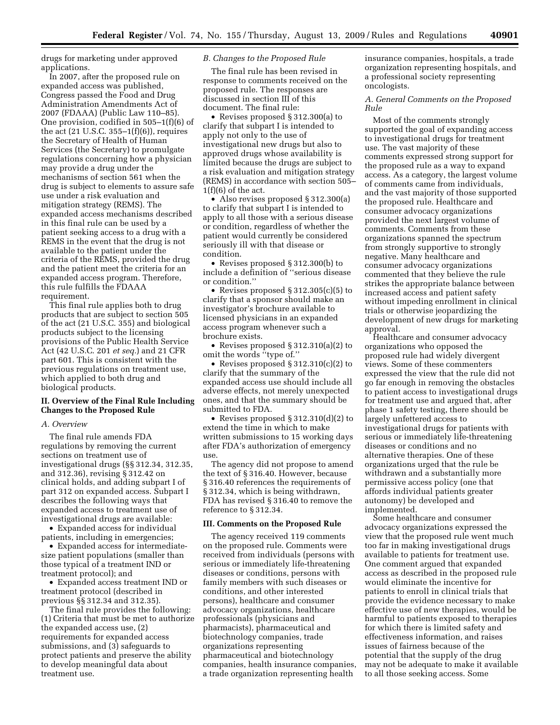drugs for marketing under approved applications.

In 2007, after the proposed rule on expanded access was published, Congress passed the Food and Drug Administration Amendments Act of 2007 (FDAAA) (Public Law 110–85). One provision, codified in 505–1(f)(6) of the act  $(21 \text{ U.S.C. } 355-1(f)(6))$ , requires the Secretary of Health of Human Services (the Secretary) to promulgate regulations concerning how a physician may provide a drug under the mechanisms of section 561 when the drug is subject to elements to assure safe use under a risk evaluation and mitigation strategy (REMS). The expanded access mechanisms described in this final rule can be used by a patient seeking access to a drug with a REMS in the event that the drug is not available to the patient under the criteria of the REMS, provided the drug and the patient meet the criteria for an expanded access program. Therefore, this rule fulfills the FDAAA requirement.

This final rule applies both to drug products that are subject to section 505 of the act (21 U.S.C. 355) and biological products subject to the licensing provisions of the Public Health Service Act (42 U.S.C. 201 *et seq.*) and 21 CFR part 601. This is consistent with the previous regulations on treatment use, which applied to both drug and biological products.

## **II. Overview of the Final Rule Including Changes to the Proposed Rule**

#### *A. Overview*

The final rule amends FDA regulations by removing the current sections on treatment use of investigational drugs (§§ 312.34, 312.35, and 312.36), revising § 312.42 on clinical holds, and adding subpart I of part 312 on expanded access. Subpart I describes the following ways that expanded access to treatment use of investigational drugs are available:

• Expanded access for individual patients, including in emergencies;

• Expanded access for intermediatesize patient populations (smaller than those typical of a treatment IND or treatment protocol); and

• Expanded access treatment IND or treatment protocol (described in previous §§ 312.34 and 312.35).

The final rule provides the following: (1) Criteria that must be met to authorize the expanded access use, (2) requirements for expanded access submissions, and (3) safeguards to protect patients and preserve the ability to develop meaningful data about treatment use.

### *B. Changes to the Proposed Rule*

The final rule has been revised in response to comments received on the proposed rule. The responses are discussed in section III of this document. The final rule:

• Revises proposed § 312.300(a) to clarify that subpart I is intended to apply not only to the use of investigational new drugs but also to approved drugs whose availability is limited because the drugs are subject to a risk evaluation and mitigation strategy (REMS) in accordance with section 505–  $1(f)(6)$  of the act.

• Also revises proposed § 312.300(a) to clarify that subpart I is intended to apply to all those with a serious disease or condition, regardless of whether the patient would currently be considered seriously ill with that disease or condition.

• Revises proposed § 312.300(b) to include a definition of ''serious disease or condition.''

• Revises proposed § 312.305(c)(5) to clarify that a sponsor should make an investigator's brochure available to licensed physicians in an expanded access program whenever such a brochure exists.

• Revises proposed § 312.310(a)(2) to omit the words ''type of.''

• Revises proposed § 312.310(c)(2) to clarify that the summary of the expanded access use should include all adverse effects, not merely unexpected ones, and that the summary should be submitted to FDA.

• Revises proposed § 312.310(d)(2) to extend the time in which to make written submissions to 15 working days after FDA's authorization of emergency use.

The agency did not propose to amend the text of § 316.40. However, because § 316.40 references the requirements of § 312.34, which is being withdrawn, FDA has revised § 316.40 to remove the reference to § 312.34.

#### **III. Comments on the Proposed Rule**

The agency received 119 comments on the proposed rule. Comments were received from individuals (persons with serious or immediately life-threatening diseases or conditions, persons with family members with such diseases or conditions, and other interested persons), healthcare and consumer advocacy organizations, healthcare professionals (physicians and pharmacists), pharmaceutical and biotechnology companies, trade organizations representing pharmaceutical and biotechnology companies, health insurance companies, a trade organization representing health

insurance companies, hospitals, a trade organization representing hospitals, and a professional society representing oncologists.

# *A. General Comments on the Proposed Rule*

Most of the comments strongly supported the goal of expanding access to investigational drugs for treatment use. The vast majority of these comments expressed strong support for the proposed rule as a way to expand access. As a category, the largest volume of comments came from individuals, and the vast majority of those supported the proposed rule. Healthcare and consumer advocacy organizations provided the next largest volume of comments. Comments from these organizations spanned the spectrum from strongly supportive to strongly negative. Many healthcare and consumer advocacy organizations commented that they believe the rule strikes the appropriate balance between increased access and patient safety without impeding enrollment in clinical trials or otherwise jeopardizing the development of new drugs for marketing approval.

Healthcare and consumer advocacy organizations who opposed the proposed rule had widely divergent views. Some of these commenters expressed the view that the rule did not go far enough in removing the obstacles to patient access to investigational drugs for treatment use and argued that, after phase 1 safety testing, there should be largely unfettered access to investigational drugs for patients with serious or immediately life-threatening diseases or conditions and no alternative therapies. One of these organizations urged that the rule be withdrawn and a substantially more permissive access policy (one that affords individual patients greater autonomy) be developed and implemented.

Some healthcare and consumer advocacy organizations expressed the view that the proposed rule went much too far in making investigational drugs available to patients for treatment use. One comment argued that expanded access as described in the proposed rule would eliminate the incentive for patients to enroll in clinical trials that provide the evidence necessary to make effective use of new therapies, would be harmful to patients exposed to therapies for which there is limited safety and effectiveness information, and raises issues of fairness because of the potential that the supply of the drug may not be adequate to make it available to all those seeking access. Some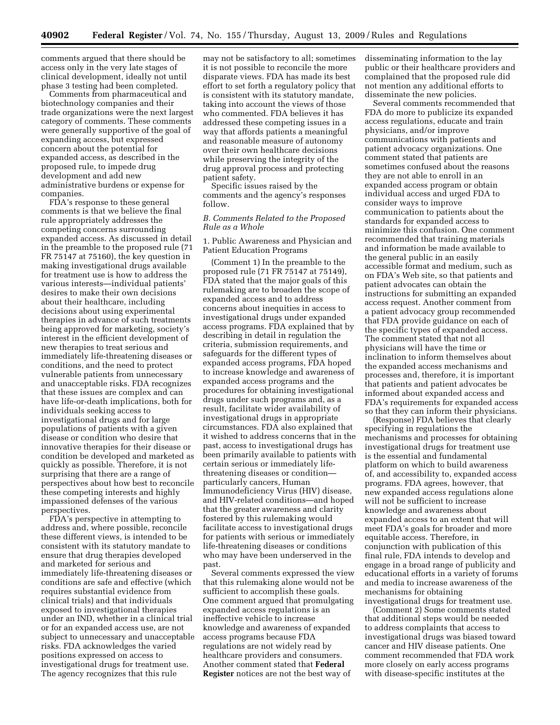comments argued that there should be access only in the very late stages of clinical development, ideally not until phase 3 testing had been completed.

Comments from pharmaceutical and biotechnology companies and their trade organizations were the next largest category of comments. These comments were generally supportive of the goal of expanding access, but expressed concern about the potential for expanded access, as described in the proposed rule, to impede drug development and add new administrative burdens or expense for companies.

FDA's response to these general comments is that we believe the final rule appropriately addresses the competing concerns surrounding expanded access. As discussed in detail in the preamble to the proposed rule (71 FR 75147 at 75160), the key question in making investigational drugs available for treatment use is how to address the various interests—individual patients' desires to make their own decisions about their healthcare, including decisions about using experimental therapies in advance of such treatments being approved for marketing, society's interest in the efficient development of new therapies to treat serious and immediately life-threatening diseases or conditions, and the need to protect vulnerable patients from unnecessary and unacceptable risks. FDA recognizes that these issues are complex and can have life-or-death implications, both for individuals seeking access to investigational drugs and for large populations of patients with a given disease or condition who desire that innovative therapies for their disease or condition be developed and marketed as quickly as possible. Therefore, it is not surprising that there are a range of perspectives about how best to reconcile these competing interests and highly impassioned defenses of the various perspectives.

FDA's perspective in attempting to address and, where possible, reconcile these different views, is intended to be consistent with its statutory mandate to ensure that drug therapies developed and marketed for serious and immediately life-threatening diseases or conditions are safe and effective (which requires substantial evidence from clinical trials) and that individuals exposed to investigational therapies under an IND, whether in a clinical trial or for an expanded access use, are not subject to unnecessary and unacceptable risks. FDA acknowledges the varied positions expressed on access to investigational drugs for treatment use. The agency recognizes that this rule

may not be satisfactory to all; sometimes it is not possible to reconcile the more disparate views. FDA has made its best effort to set forth a regulatory policy that is consistent with its statutory mandate, taking into account the views of those who commented. FDA believes it has addressed these competing issues in a way that affords patients a meaningful and reasonable measure of autonomy over their own healthcare decisions while preserving the integrity of the drug approval process and protecting patient safety.

Specific issues raised by the comments and the agency's responses follow.

### *B. Comments Related to the Proposed Rule as a Whole*

1. Public Awareness and Physician and Patient Education Programs

(Comment 1) In the preamble to the proposed rule (71 FR 75147 at 75149), FDA stated that the major goals of this rulemaking are to broaden the scope of expanded access and to address concerns about inequities in access to investigational drugs under expanded access programs. FDA explained that by describing in detail in regulation the criteria, submission requirements, and safeguards for the different types of expanded access programs, FDA hoped to increase knowledge and awareness of expanded access programs and the procedures for obtaining investigational drugs under such programs and, as a result, facilitate wider availability of investigational drugs in appropriate circumstances. FDA also explained that it wished to address concerns that in the past, access to investigational drugs has been primarily available to patients with certain serious or immediately lifethreatening diseases or condition particularly cancers, Human Immunodeficiency Virus (HIV) disease, and HIV-related conditions—and hoped that the greater awareness and clarity fostered by this rulemaking would facilitate access to investigational drugs for patients with serious or immediately life-threatening diseases or conditions who may have been underserved in the past.

Several comments expressed the view that this rulemaking alone would not be sufficient to accomplish these goals. One comment argued that promulgating expanded access regulations is an ineffective vehicle to increase knowledge and awareness of expanded access programs because FDA regulations are not widely read by healthcare providers and consumers. Another comment stated that **Federal Register** notices are not the best way of

disseminating information to the lay public or their healthcare providers and complained that the proposed rule did not mention any additional efforts to disseminate the new policies.

Several comments recommended that FDA do more to publicize its expanded access regulations, educate and train physicians, and/or improve communications with patients and patient advocacy organizations. One comment stated that patients are sometimes confused about the reasons they are not able to enroll in an expanded access program or obtain individual access and urged FDA to consider ways to improve communication to patients about the standards for expanded access to minimize this confusion. One comment recommended that training materials and information be made available to the general public in an easily accessible format and medium, such as on FDA's Web site, so that patients and patient advocates can obtain the instructions for submitting an expanded access request. Another comment from a patient advocacy group recommended that FDA provide guidance on each of the specific types of expanded access. The comment stated that not all physicians will have the time or inclination to inform themselves about the expanded access mechanisms and processes and, therefore, it is important that patients and patient advocates be informed about expanded access and FDA's requirements for expanded access so that they can inform their physicians.

(Response) FDA believes that clearly specifying in regulations the mechanisms and processes for obtaining investigational drugs for treatment use is the essential and fundamental platform on which to build awareness of, and accessibility to, expanded access programs. FDA agrees, however, that new expanded access regulations alone will not be sufficient to increase knowledge and awareness about expanded access to an extent that will meet FDA's goals for broader and more equitable access. Therefore, in conjunction with publication of this final rule, FDA intends to develop and engage in a broad range of publicity and educational efforts in a variety of forums and media to increase awareness of the mechanisms for obtaining investigational drugs for treatment use.

(Comment 2) Some comments stated that additional steps would be needed to address complaints that access to investigational drugs was biased toward cancer and HIV disease patients. One comment recommended that FDA work more closely on early access programs with disease-specific institutes at the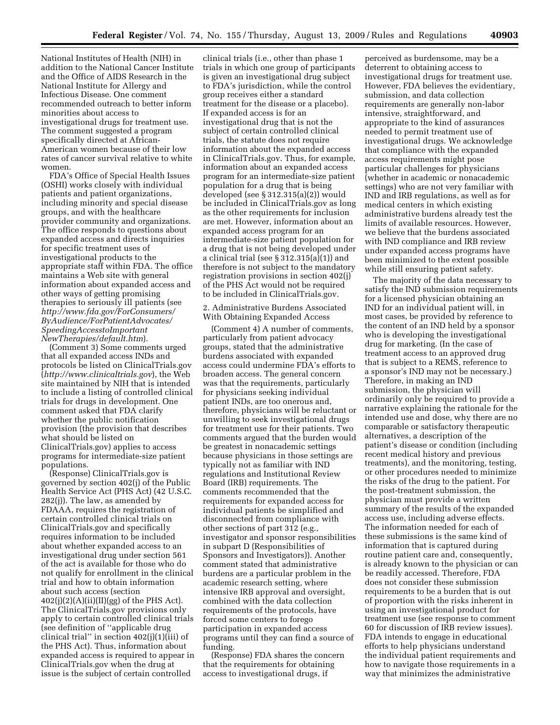National Institutes of Health (NIH) in addition to the National Cancer Institute and the Office of AIDS Research in the National Institute for Allergy and Infectious Disease. One comment recommended outreach to better inform minorities about access to investigational drugs for treatment use. The comment suggested a program specifically directed at African-American women because of their low rates of cancer survival relative to white women.

FDA's Office of Special Health Issues (OSHI) works closely with individual patients and patient organizations, including minority and special disease groups, and with the healthcare provider community and organizations. The office responds to questions about expanded access and directs inquiries for specific treatment uses of investigational products to the appropriate staff within FDA. The office maintains a Web site with general information about expanded access and other ways of getting promising therapies to seriously ill patients (see *http://www.fda.gov/ForConsumers/ ByAudience/ForPatientAdvocates/ SpeedingAccesstoImportant NewTherapies/default.htm*).

(Comment 3) Some comments urged that all expanded access INDs and protocols be listed on ClinicalTrials.gov (*http://www.clinicaltrials.gov*), the Web site maintained by NIH that is intended to include a listing of controlled clinical trials for drugs in development. One comment asked that FDA clarify whether the public notification provision (the provision that describes what should be listed on ClinicalTrials.gov) applies to access programs for intermediate-size patient populations.

(Response) ClinicalTrials.gov is governed by section 402(j) of the Public Health Service Act (PHS Act) (42 U.S.C. 282(j)). The law, as amended by FDAAA, requires the registration of certain controlled clinical trials on ClinicalTrials.gov and specifically requires information to be included about whether expanded access to an investigational drug under section 561 of the act is available for those who do not qualify for enrollment in the clinical trial and how to obtain information about such access (section  $402(j)(2)(A)(ii)(II)(gg)$  of the PHS Act). The ClinicalTrials.gov provisions only apply to certain controlled clinical trials (see definition of ''applicable drug clinical trial'' in section 402(j)(1)(iii) of the PHS Act). Thus, information about expanded access is required to appear in ClinicalTrials.gov when the drug at issue is the subject of certain controlled

clinical trials (i.e., other than phase 1 trials in which one group of participants is given an investigational drug subject to FDA's jurisdiction, while the control group receives either a standard treatment for the disease or a placebo). If expanded access is for an investigational drug that is not the subject of certain controlled clinical trials, the statute does not require information about the expanded access in ClinicalTrials.gov. Thus, for example, information about an expanded access program for an intermediate-size patient population for a drug that is being developed (see § 312.315(a)(2)) would be included in ClinicalTrials.gov as long as the other requirements for inclusion are met. However, information about an expanded access program for an intermediate-size patient population for a drug that is not being developed under a clinical trial (see § 312.315(a)(1)) and therefore is not subject to the mandatory registration provisions in section 402(j) of the PHS Act would not be required to be included in ClinicalTrials.gov.

### 2. Administrative Burdens Associated With Obtaining Expanded Access

(Comment 4) A number of comments, particularly from patient advocacy groups, stated that the administrative burdens associated with expanded access could undermine FDA's efforts to broaden access. The general concern was that the requirements, particularly for physicians seeking individual patient INDs, are too onerous and, therefore, physicians will be reluctant or unwilling to seek investigational drugs for treatment use for their patients. Two comments argued that the burden would be greatest in nonacademic settings because physicians in those settings are typically not as familiar with IND regulations and Institutional Review Board (IRB) requirements. The comments recommended that the requirements for expanded access for individual patients be simplified and disconnected from compliance with other sections of part 312 (e.g., investigator and sponsor responsibilities in subpart D (Responsibilities of Sponsors and Investigators)). Another comment stated that administrative burdens are a particular problem in the academic research setting, where intensive IRB approval and oversight, combined with the data collection requirements of the protocols, have forced some centers to forego participation in expanded access programs until they can find a source of funding.

(Response) FDA shares the concern that the requirements for obtaining access to investigational drugs, if

perceived as burdensome, may be a deterrent to obtaining access to investigational drugs for treatment use. However, FDA believes the evidentiary, submission, and data collection requirements are generally non-labor intensive, straightforward, and appropriate to the kind of assurances needed to permit treatment use of investigational drugs. We acknowledge that compliance with the expanded access requirements might pose particular challenges for physicians (whether in academic or nonacademic settings) who are not very familiar with IND and IRB regulations, as well as for medical centers in which existing administrative burdens already test the limits of available resources. However, we believe that the burdens associated with IND compliance and IRB review under expanded access programs have been minimized to the extent possible while still ensuring patient safety.

The majority of the data necessary to satisfy the IND submission requirements for a licensed physician obtaining an IND for an individual patient will, in most cases, be provided by reference to the content of an IND held by a sponsor who is developing the investigational drug for marketing. (In the case of treatment access to an approved drug that is subject to a REMS, reference to a sponsor's IND may not be necessary.) Therefore, in making an IND submission, the physician will ordinarily only be required to provide a narrative explaining the rationale for the intended use and dose, why there are no comparable or satisfactory therapeutic alternatives, a description of the patient's disease or condition (including recent medical history and previous treatments), and the monitoring, testing, or other procedures needed to minimize the risks of the drug to the patient. For the post-treatment submission, the physician must provide a written summary of the results of the expanded access use, including adverse effects. The information needed for each of these submissions is the same kind of information that is captured during routine patient care and, consequently, is already known to the physician or can be readily accessed. Therefore, FDA does not consider these submission requirements to be a burden that is out of proportion with the risks inherent in using an investigational product for treatment use (see response to comment 60 for discussion of IRB review issues). FDA intends to engage in educational efforts to help physicians understand the individual patient requirements and how to navigate those requirements in a way that minimizes the administrative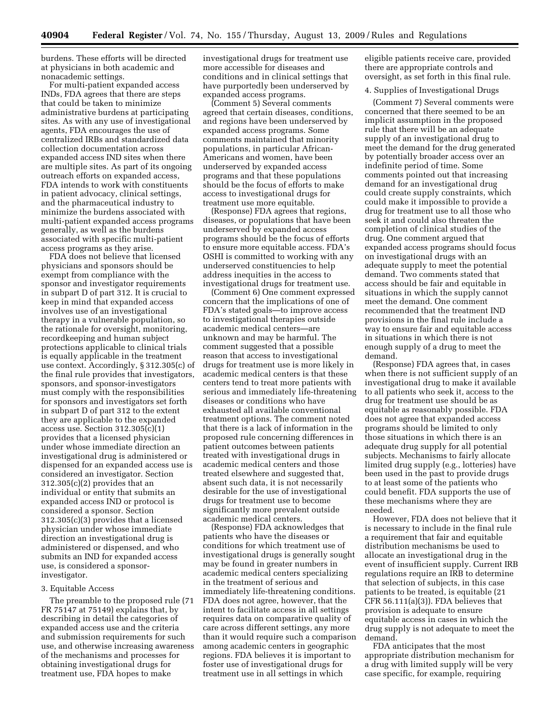burdens. These efforts will be directed at physicians in both academic and nonacademic settings.

For multi-patient expanded access INDs, FDA agrees that there are steps that could be taken to minimize administrative burdens at participating sites. As with any use of investigational agents, FDA encourages the use of centralized IRBs and standardized data collection documentation across expanded access IND sites when there are multiple sites. As part of its ongoing outreach efforts on expanded access, FDA intends to work with constituents in patient advocacy, clinical settings, and the pharmaceutical industry to minimize the burdens associated with multi-patient expanded access programs generally, as well as the burdens associated with specific multi-patient access programs as they arise.

FDA does not believe that licensed physicians and sponsors should be exempt from compliance with the sponsor and investigator requirements in subpart D of part 312. It is crucial to keep in mind that expanded access involves use of an investigational therapy in a vulnerable population, so the rationale for oversight, monitoring, recordkeeping and human subject protections applicable to clinical trials is equally applicable in the treatment use context. Accordingly, § 312.305(c) of the final rule provides that investigators, sponsors, and sponsor-investigators must comply with the responsibilities for sponsors and investigators set forth in subpart D of part 312 to the extent they are applicable to the expanded access use. Section 312.305(c)(1) provides that a licensed physician under whose immediate direction an investigational drug is administered or dispensed for an expanded access use is considered an investigator. Section 312.305(c)(2) provides that an individual or entity that submits an expanded access IND or protocol is considered a sponsor. Section 312.305(c)(3) provides that a licensed physician under whose immediate direction an investigational drug is administered or dispensed, and who submits an IND for expanded access use, is considered a sponsorinvestigator.

#### 3. Equitable Access

The preamble to the proposed rule (71 FR 75147 at 75149) explains that, by describing in detail the categories of expanded access use and the criteria and submission requirements for such use, and otherwise increasing awareness of the mechanisms and processes for obtaining investigational drugs for treatment use, FDA hopes to make

investigational drugs for treatment use more accessible for diseases and conditions and in clinical settings that have purportedly been underserved by expanded access programs.

(Comment 5) Several comments agreed that certain diseases, conditions, and regions have been underserved by expanded access programs. Some comments maintained that minority populations, in particular African-Americans and women, have been underserved by expanded access programs and that these populations should be the focus of efforts to make access to investigational drugs for treatment use more equitable.

(Response) FDA agrees that regions, diseases, or populations that have been underserved by expanded access programs should be the focus of efforts to ensure more equitable access. FDA's OSHI is committed to working with any underserved constituencies to help address inequities in the access to investigational drugs for treatment use.

(Comment 6) One comment expressed concern that the implications of one of FDA's stated goals—to improve access to investigational therapies outside academic medical centers—are unknown and may be harmful. The comment suggested that a possible reason that access to investigational drugs for treatment use is more likely in academic medical centers is that these centers tend to treat more patients with serious and immediately life-threatening diseases or conditions who have exhausted all available conventional treatment options. The comment noted that there is a lack of information in the proposed rule concerning differences in patient outcomes between patients treated with investigational drugs in academic medical centers and those treated elsewhere and suggested that, absent such data, it is not necessarily desirable for the use of investigational drugs for treatment use to become significantly more prevalent outside academic medical centers.

(Response) FDA acknowledges that patients who have the diseases or conditions for which treatment use of investigational drugs is generally sought may be found in greater numbers in academic medical centers specializing in the treatment of serious and immediately life-threatening conditions. FDA does not agree, however, that the intent to facilitate access in all settings requires data on comparative quality of care across different settings, any more than it would require such a comparison among academic centers in geographic regions. FDA believes it is important to foster use of investigational drugs for treatment use in all settings in which

eligible patients receive care, provided there are appropriate controls and oversight, as set forth in this final rule.

### 4. Supplies of Investigational Drugs

(Comment 7) Several comments were concerned that there seemed to be an implicit assumption in the proposed rule that there will be an adequate supply of an investigational drug to meet the demand for the drug generated by potentially broader access over an indefinite period of time. Some comments pointed out that increasing demand for an investigational drug could create supply constraints, which could make it impossible to provide a drug for treatment use to all those who seek it and could also threaten the completion of clinical studies of the drug. One comment argued that expanded access programs should focus on investigational drugs with an adequate supply to meet the potential demand. Two comments stated that access should be fair and equitable in situations in which the supply cannot meet the demand. One comment recommended that the treatment IND provisions in the final rule include a way to ensure fair and equitable access in situations in which there is not enough supply of a drug to meet the demand.

(Response) FDA agrees that, in cases when there is not sufficient supply of an investigational drug to make it available to all patients who seek it, access to the drug for treatment use should be as equitable as reasonably possible. FDA does not agree that expanded access programs should be limited to only those situations in which there is an adequate drug supply for all potential subjects. Mechanisms to fairly allocate limited drug supply (e.g., lotteries) have been used in the past to provide drugs to at least some of the patients who could benefit. FDA supports the use of these mechanisms where they are needed.

However, FDA does not believe that it is necessary to include in the final rule a requirement that fair and equitable distribution mechanisms be used to allocate an investigational drug in the event of insufficient supply. Current IRB regulations require an IRB to determine that selection of subjects, in this case patients to be treated, is equitable (21 CFR 56.111(a)(3)). FDA believes that provision is adequate to ensure equitable access in cases in which the drug supply is not adequate to meet the demand.

FDA anticipates that the most appropriate distribution mechanism for a drug with limited supply will be very case specific, for example, requiring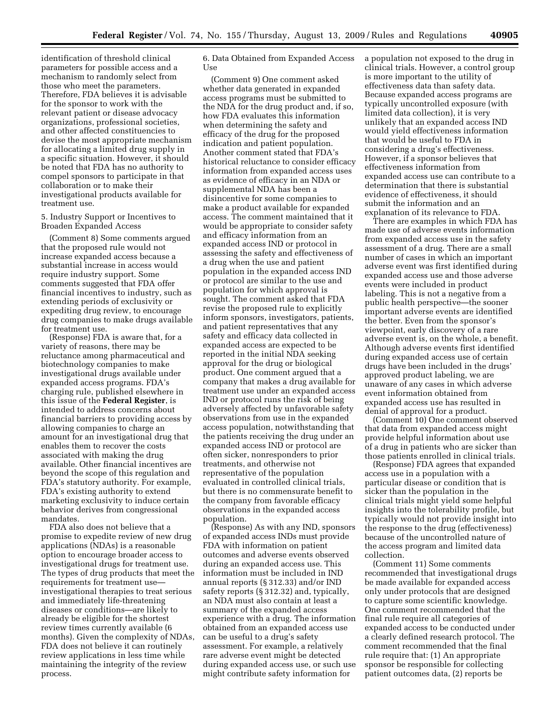identification of threshold clinical parameters for possible access and a mechanism to randomly select from those who meet the parameters. Therefore, FDA believes it is advisable for the sponsor to work with the relevant patient or disease advocacy organizations, professional societies, and other affected constituencies to devise the most appropriate mechanism for allocating a limited drug supply in a specific situation. However, it should be noted that FDA has no authority to compel sponsors to participate in that collaboration or to make their investigational products available for treatment use.

5. Industry Support or Incentives to Broaden Expanded Access

(Comment 8) Some comments argued that the proposed rule would not increase expanded access because a substantial increase in access would require industry support. Some comments suggested that FDA offer financial incentives to industry, such as extending periods of exclusivity or expediting drug review, to encourage drug companies to make drugs available for treatment use.

(Response) FDA is aware that, for a variety of reasons, there may be reluctance among pharmaceutical and biotechnology companies to make investigational drugs available under expanded access programs. FDA's charging rule, published elsewhere in this issue of the **Federal Register**, is intended to address concerns about financial barriers to providing access by allowing companies to charge an amount for an investigational drug that enables them to recover the costs associated with making the drug available. Other financial incentives are beyond the scope of this regulation and FDA's statutory authority. For example, FDA's existing authority to extend marketing exclusivity to induce certain behavior derives from congressional mandates.

FDA also does not believe that a promise to expedite review of new drug applications (NDAs) is a reasonable option to encourage broader access to investigational drugs for treatment use. The types of drug products that meet the requirements for treatment use investigational therapies to treat serious and immediately life-threatening diseases or conditions—are likely to already be eligible for the shortest review times currently available (6 months). Given the complexity of NDAs, FDA does not believe it can routinely review applications in less time while maintaining the integrity of the review process.

6. Data Obtained from Expanded Access Use

(Comment 9) One comment asked whether data generated in expanded access programs must be submitted to the NDA for the drug product and, if so, how FDA evaluates this information when determining the safety and efficacy of the drug for the proposed indication and patient population. Another comment stated that FDA's historical reluctance to consider efficacy information from expanded access uses as evidence of efficacy in an NDA or supplemental NDA has been a disincentive for some companies to make a product available for expanded access. The comment maintained that it would be appropriate to consider safety and efficacy information from an expanded access IND or protocol in assessing the safety and effectiveness of a drug when the use and patient population in the expanded access IND or protocol are similar to the use and population for which approval is sought. The comment asked that FDA revise the proposed rule to explicitly inform sponsors, investigators, patients, and patient representatives that any safety and efficacy data collected in expanded access are expected to be reported in the initial NDA seeking approval for the drug or biological product. One comment argued that a company that makes a drug available for treatment use under an expanded access IND or protocol runs the risk of being adversely affected by unfavorable safety observations from use in the expanded access population, notwithstanding that the patients receiving the drug under an expanded access IND or protocol are often sicker, nonresponders to prior treatments, and otherwise not representative of the population evaluated in controlled clinical trials, but there is no commensurate benefit to the company from favorable efficacy observations in the expanded access population.

(Response) As with any IND, sponsors of expanded access INDs must provide FDA with information on patient outcomes and adverse events observed during an expanded access use. This information must be included in IND annual reports (§ 312.33) and/or IND safety reports (§ 312.32) and, typically, an NDA must also contain at least a summary of the expanded access experience with a drug. The information obtained from an expanded access use can be useful to a drug's safety assessment. For example, a relatively rare adverse event might be detected during expanded access use, or such use might contribute safety information for

a population not exposed to the drug in clinical trials. However, a control group is more important to the utility of effectiveness data than safety data. Because expanded access programs are typically uncontrolled exposure (with limited data collection), it is very unlikely that an expanded access IND would yield effectiveness information that would be useful to FDA in considering a drug's effectiveness. However, if a sponsor believes that effectiveness information from expanded access use can contribute to a determination that there is substantial evidence of effectiveness, it should submit the information and an explanation of its relevance to FDA.

There are examples in which FDA has made use of adverse events information from expanded access use in the safety assessment of a drug. There are a small number of cases in which an important adverse event was first identified during expanded access use and those adverse events were included in product labeling. This is not a negative from a public health perspective—the sooner important adverse events are identified the better. Even from the sponsor's viewpoint, early discovery of a rare adverse event is, on the whole, a benefit. Although adverse events first identified during expanded access use of certain drugs have been included in the drugs' approved product labeling, we are unaware of any cases in which adverse event information obtained from expanded access use has resulted in denial of approval for a product.

(Comment 10) One comment observed that data from expanded access might provide helpful information about use of a drug in patients who are sicker than those patients enrolled in clinical trials.

(Response) FDA agrees that expanded access use in a population with a particular disease or condition that is sicker than the population in the clinical trials might yield some helpful insights into the tolerability profile, but typically would not provide insight into the response to the drug (effectiveness) because of the uncontrolled nature of the access program and limited data collection.

(Comment 11) Some comments recommended that investigational drugs be made available for expanded access only under protocols that are designed to capture some scientific knowledge. One comment recommended that the final rule require all categories of expanded access to be conducted under a clearly defined research protocol. The comment recommended that the final rule require that: (1) An appropriate sponsor be responsible for collecting patient outcomes data, (2) reports be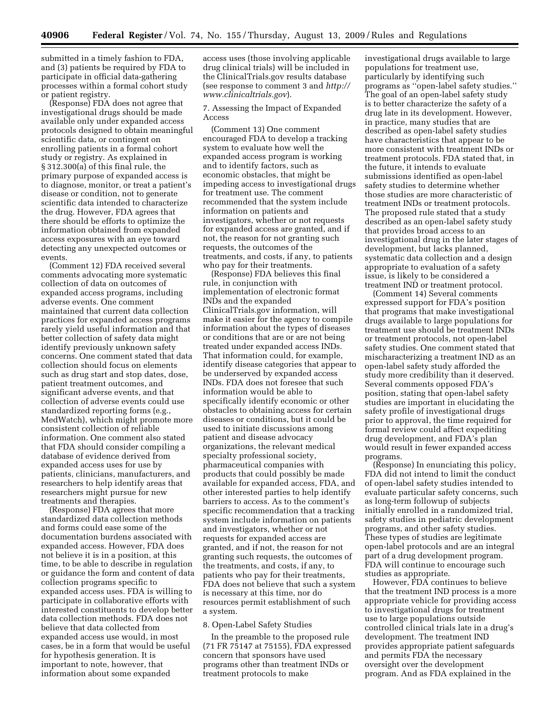submitted in a timely fashion to FDA, and (3) patients be required by FDA to participate in official data-gathering processes within a formal cohort study or patient registry.

(Response) FDA does not agree that investigational drugs should be made available only under expanded access protocols designed to obtain meaningful scientific data, or contingent on enrolling patients in a formal cohort study or registry. As explained in § 312.300(a) of this final rule, the primary purpose of expanded access is to diagnose, monitor, or treat a patient's disease or condition, not to generate scientific data intended to characterize the drug. However, FDA agrees that there should be efforts to optimize the information obtained from expanded access exposures with an eye toward detecting any unexpected outcomes or events.

(Comment 12) FDA received several comments advocating more systematic collection of data on outcomes of expanded access programs, including adverse events. One comment maintained that current data collection practices for expanded access programs rarely yield useful information and that better collection of safety data might identify previously unknown safety concerns. One comment stated that data collection should focus on elements such as drug start and stop dates, dose, patient treatment outcomes, and significant adverse events, and that collection of adverse events could use standardized reporting forms (e.g., MedWatch), which might promote more consistent collection of reliable information. One comment also stated that FDA should consider compiling a database of evidence derived from expanded access uses for use by patients, clinicians, manufacturers, and researchers to help identify areas that researchers might pursue for new treatments and therapies.

(Response) FDA agrees that more standardized data collection methods and forms could ease some of the documentation burdens associated with expanded access. However, FDA does not believe it is in a position, at this time, to be able to describe in regulation or guidance the form and content of data collection programs specific to expanded access uses. FDA is willing to participate in collaborative efforts with interested constituents to develop better data collection methods. FDA does not believe that data collected from expanded access use would, in most cases, be in a form that would be useful for hypothesis generation. It is important to note, however, that information about some expanded

access uses (those involving applicable drug clinical trials) will be included in the ClinicalTrials.gov results database (see response to comment 3 and *http:// www.clinicaltrials.gov*).

7. Assessing the Impact of Expanded Access

(Comment 13) One comment encouraged FDA to develop a tracking system to evaluate how well the expanded access program is working and to identify factors, such as economic obstacles, that might be impeding access to investigational drugs for treatment use. The comment recommended that the system include information on patients and investigators, whether or not requests for expanded access are granted, and if not, the reason for not granting such requests, the outcomes of the treatments, and costs, if any, to patients who pay for their treatments.

(Response) FDA believes this final rule, in conjunction with implementation of electronic format INDs and the expanded ClinicalTrials.gov information, will make it easier for the agency to compile information about the types of diseases or conditions that are or are not being treated under expanded access INDs. That information could, for example, identify disease categories that appear to be underserved by expanded access INDs. FDA does not foresee that such information would be able to specifically identify economic or other obstacles to obtaining access for certain diseases or conditions, but it could be used to initiate discussions among patient and disease advocacy organizations, the relevant medical specialty professional society, pharmaceutical companies with products that could possibly be made available for expanded access, FDA, and other interested parties to help identify barriers to access. As to the comment's specific recommendation that a tracking system include information on patients and investigators, whether or not requests for expanded access are granted, and if not, the reason for not granting such requests, the outcomes of the treatments, and costs, if any, to patients who pay for their treatments, FDA does not believe that such a system is necessary at this time, nor do resources permit establishment of such a system.

#### 8. Open-Label Safety Studies

In the preamble to the proposed rule (71 FR 75147 at 75155), FDA expressed concern that sponsors have used programs other than treatment INDs or treatment protocols to make

investigational drugs available to large populations for treatment use, particularly by identifying such programs as ''open-label safety studies.'' The goal of an open-label safety study is to better characterize the safety of a drug late in its development. However, in practice, many studies that are described as open-label safety studies have characteristics that appear to be more consistent with treatment INDs or treatment protocols. FDA stated that, in the future, it intends to evaluate submissions identified as open-label safety studies to determine whether those studies are more characteristic of treatment INDs or treatment protocols. The proposed rule stated that a study described as an open-label safety study that provides broad access to an investigational drug in the later stages of development, but lacks planned, systematic data collection and a design appropriate to evaluation of a safety issue, is likely to be considered a treatment IND or treatment protocol.

(Comment 14) Several comments expressed support for FDA's position that programs that make investigational drugs available to large populations for treatment use should be treatment INDs or treatment protocols, not open-label safety studies. One comment stated that mischaracterizing a treatment IND as an open-label safety study afforded the study more credibility than it deserved. Several comments opposed FDA's position, stating that open-label safety studies are important in elucidating the safety profile of investigational drugs prior to approval, the time required for formal review could affect expediting drug development, and FDA's plan would result in fewer expanded access programs.

(Response) In enunciating this policy, FDA did not intend to limit the conduct of open-label safety studies intended to evaluate particular safety concerns, such as long-term followup of subjects initially enrolled in a randomized trial, safety studies in pediatric development programs, and other safety studies. These types of studies are legitimate open-label protocols and are an integral part of a drug development program. FDA will continue to encourage such studies as appropriate.

However, FDA continues to believe that the treatment IND process is a more appropriate vehicle for providing access to investigational drugs for treatment use to large populations outside controlled clinical trials late in a drug's development. The treatment IND provides appropriate patient safeguards and permits FDA the necessary oversight over the development program. And as FDA explained in the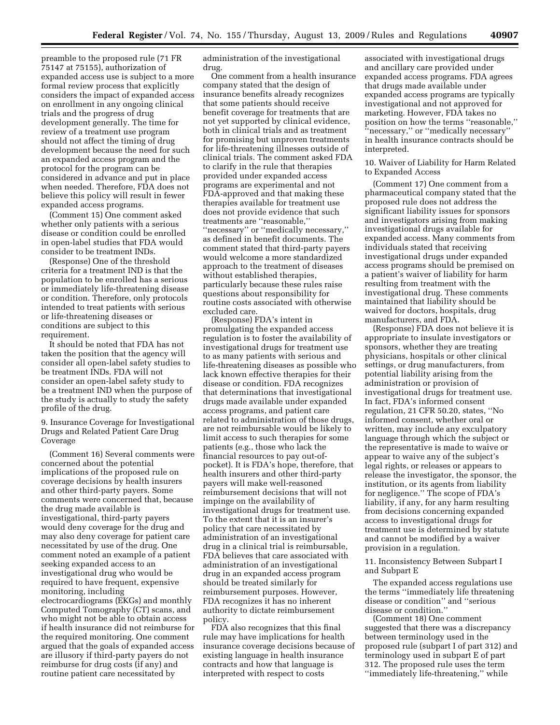preamble to the proposed rule (71 FR 75147 at 75155), authorization of expanded access use is subject to a more formal review process that explicitly considers the impact of expanded access on enrollment in any ongoing clinical trials and the progress of drug development generally. The time for review of a treatment use program should not affect the timing of drug development because the need for such an expanded access program and the protocol for the program can be considered in advance and put in place when needed. Therefore, FDA does not believe this policy will result in fewer expanded access programs.

(Comment 15) One comment asked whether only patients with a serious disease or condition could be enrolled in open-label studies that FDA would consider to be treatment INDs.

(Response) One of the threshold criteria for a treatment IND is that the population to be enrolled has a serious or immediately life-threatening disease or condition. Therefore, only protocols intended to treat patients with serious or life-threatening diseases or conditions are subject to this requirement.

It should be noted that FDA has not taken the position that the agency will consider all open-label safety studies to be treatment INDs. FDA will not consider an open-label safety study to be a treatment IND when the purpose of the study is actually to study the safety profile of the drug.

9. Insurance Coverage for Investigational Drugs and Related Patient Care Drug Coverage

(Comment 16) Several comments were concerned about the potential implications of the proposed rule on coverage decisions by health insurers and other third-party payers. Some comments were concerned that, because the drug made available is investigational, third-party payers would deny coverage for the drug and may also deny coverage for patient care necessitated by use of the drug. One comment noted an example of a patient seeking expanded access to an investigational drug who would be required to have frequent, expensive monitoring, including electrocardiograms (EKGs) and monthly Computed Tomography (CT) scans, and who might not be able to obtain access if health insurance did not reimburse for the required monitoring. One comment argued that the goals of expanded access are illusory if third-party payers do not reimburse for drug costs (if any) and routine patient care necessitated by

administration of the investigational drug.

One comment from a health insurance company stated that the design of insurance benefits already recognizes that some patients should receive benefit coverage for treatments that are not yet supported by clinical evidence, both in clinical trials and as treatment for promising but unproven treatments for life-threatening illnesses outside of clinical trials. The comment asked FDA to clarify in the rule that therapies provided under expanded access programs are experimental and not FDA-approved and that making these therapies available for treatment use does not provide evidence that such treatments are ''reasonable,'' ''necessary'' or ''medically necessary,'' as defined in benefit documents. The comment stated that third-party payers would welcome a more standardized approach to the treatment of diseases without established therapies, particularly because these rules raise questions about responsibility for routine costs associated with otherwise excluded care.

(Response) FDA's intent in promulgating the expanded access regulation is to foster the availability of investigational drugs for treatment use to as many patients with serious and life-threatening diseases as possible who lack known effective therapies for their disease or condition. FDA recognizes that determinations that investigational drugs made available under expanded access programs, and patient care related to administration of those drugs, are not reimbursable would be likely to limit access to such therapies for some patients (e.g., those who lack the financial resources to pay out-ofpocket). It is FDA's hope, therefore, that health insurers and other third-party payers will make well-reasoned reimbursement decisions that will not impinge on the availability of investigational drugs for treatment use. To the extent that it is an insurer's policy that care necessitated by administration of an investigational drug in a clinical trial is reimbursable, FDA believes that care associated with administration of an investigational drug in an expanded access program should be treated similarly for reimbursement purposes. However, FDA recognizes it has no inherent authority to dictate reimbursement policy.

FDA also recognizes that this final rule may have implications for health insurance coverage decisions because of existing language in health insurance contracts and how that language is interpreted with respect to costs

associated with investigational drugs and ancillary care provided under expanded access programs. FDA agrees that drugs made available under expanded access programs are typically investigational and not approved for marketing. However, FDA takes no position on how the terms ''reasonable,'' ''necessary,'' or ''medically necessary'' in health insurance contracts should be interpreted.

10. Waiver of Liability for Harm Related to Expanded Access

(Comment 17) One comment from a pharmaceutical company stated that the proposed rule does not address the significant liability issues for sponsors and investigators arising from making investigational drugs available for expanded access. Many comments from individuals stated that receiving investigational drugs under expanded access programs should be premised on a patient's waiver of liability for harm resulting from treatment with the investigational drug. These comments maintained that liability should be waived for doctors, hospitals, drug manufacturers, and FDA.

(Response) FDA does not believe it is appropriate to insulate investigators or sponsors, whether they are treating physicians, hospitals or other clinical settings, or drug manufacturers, from potential liability arising from the administration or provision of investigational drugs for treatment use. In fact, FDA's informed consent regulation, 21 CFR 50.20, states, ''No informed consent, whether oral or written, may include any exculpatory language through which the subject or the representative is made to waive or appear to waive any of the subject's legal rights, or releases or appears to release the investigator, the sponsor, the institution, or its agents from liability for negligence.'' The scope of FDA's liability, if any, for any harm resulting from decisions concerning expanded access to investigational drugs for treatment use is determined by statute and cannot be modified by a waiver provision in a regulation.

11. Inconsistency Between Subpart I and Subpart E

The expanded access regulations use the terms ''immediately life threatening disease or condition'' and ''serious disease or condition.''

(Comment 18) One comment suggested that there was a discrepancy between terminology used in the proposed rule (subpart I of part 312) and terminology used in subpart E of part 312. The proposed rule uses the term ''immediately life-threatening,'' while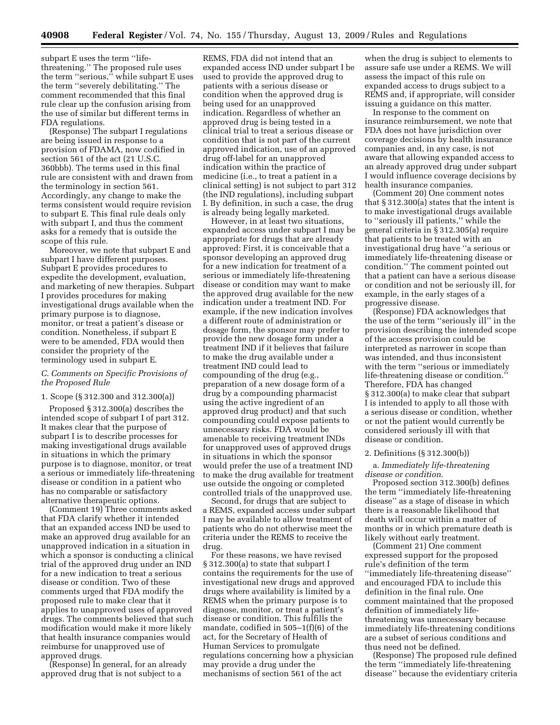subpart E uses the term ''lifethreatening.'' The proposed rule uses the term ''serious,'' while subpart E uses the term ''severely debilitating.'' The comment recommended that this final rule clear up the confusion arising from the use of similar but different terms in FDA regulations.

(Response) The subpart I regulations are being issued in response to a provision of FDAMA, now codified in section 561 of the act (21 U.S.C. 360bbb). The terms used in this final rule are consistent with and drawn from the terminology in section 561. Accordingly, any change to make the terms consistent would require revision to subpart E. This final rule deals only with subpart I, and thus the comment asks for a remedy that is outside the scope of this rule.

Moreover, we note that subpart E and subpart I have different purposes. Subpart E provides procedures to expedite the development, evaluation, and marketing of new therapies. Subpart I provides procedures for making investigational drugs available when the primary purpose is to diagnose, monitor, or treat a patient's disease or condition. Nonetheless, if subpart E were to be amended, FDA would then consider the propriety of the terminology used in subpart E.

# *C. Comments on Specific Provisions of the Proposed Rule*

### 1. Scope (§ 312.300 and 312.300(a))

Proposed § 312.300(a) describes the intended scope of subpart I of part 312. It makes clear that the purpose of subpart I is to describe processes for making investigational drugs available in situations in which the primary purpose is to diagnose, monitor, or treat a serious or immediately life-threatening disease or condition in a patient who has no comparable or satisfactory alternative therapeutic options.

(Comment 19) Three comments asked that FDA clarify whether it intended that an expanded access IND be used to make an approved drug available for an unapproved indication in a situation in which a sponsor is conducting a clinical trial of the approved drug under an IND for a new indication to treat a serious disease or condition. Two of these comments urged that FDA modify the proposed rule to make clear that it applies to unapproved uses of approved drugs. The comments believed that such modification would make it more likely that health insurance companies would reimburse for unapproved use of approved drugs.

(Response) In general, for an already approved drug that is not subject to a

REMS, FDA did not intend that an expanded access IND under subpart I be used to provide the approved drug to patients with a serious disease or condition when the approved drug is being used for an unapproved indication. Regardless of whether an approved drug is being tested in a clinical trial to treat a serious disease or condition that is not part of the current approved indication, use of an approved drug off-label for an unapproved indication within the practice of medicine (i.e., to treat a patient in a clinical setting) is not subject to part 312 (the IND regulations), including subpart I. By definition, in such a case, the drug is already being legally marketed.

However, in at least two situations, expanded access under subpart I may be appropriate for drugs that are already approved: First, it is conceivable that a sponsor developing an approved drug for a new indication for treatment of a serious or immediately life-threatening disease or condition may want to make the approved drug available for the new indication under a treatment IND. For example, if the new indication involves a different route of administration or dosage form, the sponsor may prefer to provide the new dosage form under a treatment IND if it believes that failure to make the drug available under a treatment IND could lead to compounding of the drug (e.g., preparation of a new dosage form of a drug by a compounding pharmacist using the active ingredient of an approved drug product) and that such compounding could expose patients to unnecessary risks. FDA would be amenable to receiving treatment INDs for unapproved uses of approved drugs in situations in which the sponsor would prefer the use of a treatment IND to make the drug available for treatment use outside the ongoing or completed controlled trials of the unapproved use.

Second, for drugs that are subject to a REMS, expanded access under subpart I may be available to allow treatment of patients who do not otherwise meet the criteria under the REMS to receive the drug.

For these reasons, we have revised § 312.300(a) to state that subpart I contains the requirements for the use of investigational new drugs and approved drugs where availability is limited by a REMS when the primary purpose is to diagnose, monitor, or treat a patient's disease or condition. This fulfills the mandate, codified in 505–1(f)(6) of the act, for the Secretary of Health of Human Services to promulgate regulations concerning how a physician may provide a drug under the mechanisms of section 561 of the act

when the drug is subject to elements to assure safe use under a REMS. We will assess the impact of this rule on expanded access to drugs subject to a REMS and, if appropriate, will consider issuing a guidance on this matter.

In response to the comment on insurance reimbursement, we note that FDA does not have jurisdiction over coverage decisions by health insurance companies and, in any case, is not aware that allowing expanded access to an already approved drug under subpart I would influence coverage decisions by health insurance companies.

(Comment 20) One comment notes that § 312.300(a) states that the intent is to make investigational drugs available to ''seriously ill patients,'' while the general criteria in § 312.305(a) require that patients to be treated with an investigational drug have ''a serious or immediately life-threatening disease or condition.'' The comment pointed out that a patient can have a serious disease or condition and not be seriously ill, for example, in the early stages of a progressive disease.

(Response) FDA acknowledges that the use of the term ''seriously ill'' in the provision describing the intended scope of the access provision could be interpreted as narrower in scope than was intended, and thus inconsistent with the term ''serious or immediately life-threatening disease or condition.'' Therefore, FDA has changed § 312.300(a) to make clear that subpart I is intended to apply to all those with a serious disease or condition, whether or not the patient would currently be considered seriously ill with that disease or condition.

#### 2. Definitions (§ 312.300(b))

### a. *Immediately life-threatening disease or condition*.

Proposed section 312.300(b) defines the term ''immediately life-threatening disease'' as a stage of disease in which there is a reasonable likelihood that death will occur within a matter of months or in which premature death is likely without early treatment.

(Comment 21) One comment expressed support for the proposed rule's definition of the term ''immediately life-threatening disease'' and encouraged FDA to include this definition in the final rule. One comment maintained that the proposed definition of immediately lifethreatening was unnecessary because immediately life-threatening conditions are a subset of serious conditions and thus need not be defined.

(Response) The proposed rule defined the term ''immediately life-threatening disease'' because the evidentiary criteria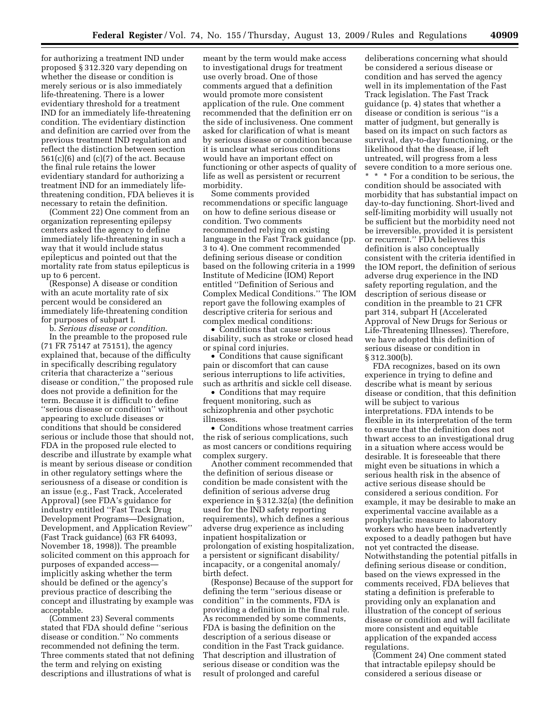for authorizing a treatment IND under proposed § 312.320 vary depending on whether the disease or condition is merely serious or is also immediately life-threatening. There is a lower evidentiary threshold for a treatment IND for an immediately life-threatening condition. The evidentiary distinction and definition are carried over from the previous treatment IND regulation and reflect the distinction between section 561(c)(6) and (c)(7) of the act. Because the final rule retains the lower evidentiary standard for authorizing a treatment IND for an immediately lifethreatening condition, FDA believes it is necessary to retain the definition.

(Comment 22) One comment from an organization representing epilepsy centers asked the agency to define immediately life-threatening in such a way that it would include status epilepticus and pointed out that the mortality rate from status epilepticus is up to 6 percent.

(Response) A disease or condition with an acute mortality rate of six percent would be considered an immediately life-threatening condition for purposes of subpart I.

b. *Serious disease or condition*. In the preamble to the proposed rule (71 FR 75147 at 75151), the agency explained that, because of the difficulty in specifically describing regulatory criteria that characterize a ''serious disease or condition,'' the proposed rule does not provide a definition for the term. Because it is difficult to define ''serious disease or condition'' without appearing to exclude diseases or conditions that should be considered serious or include those that should not, FDA in the proposed rule elected to describe and illustrate by example what is meant by serious disease or condition in other regulatory settings where the seriousness of a disease or condition is an issue (e.g., Fast Track, Accelerated Approval) (see FDA's guidance for industry entitled ''Fast Track Drug Development Programs—Designation, Development, and Application Review'' (Fast Track guidance) (63 FR 64093, November 18, 1998)). The preamble solicited comment on this approach for purposes of expanded access implicitly asking whether the term should be defined or the agency's previous practice of describing the concept and illustrating by example was acceptable.

(Comment 23) Several comments stated that FDA should define ''serious disease or condition.'' No comments recommended not defining the term. Three comments stated that not defining the term and relying on existing descriptions and illustrations of what is

meant by the term would make access to investigational drugs for treatment use overly broad. One of those comments argued that a definition would promote more consistent application of the rule. One comment recommended that the definition err on the side of inclusiveness. One comment asked for clarification of what is meant by serious disease or condition because it is unclear what serious conditions would have an important effect on functioning or other aspects of quality of life as well as persistent or recurrent morbidity.

Some comments provided recommendations or specific language on how to define serious disease or condition. Two comments recommended relying on existing language in the Fast Track guidance (pp. 3 to 4). One comment recommended defining serious disease or condition based on the following criteria in a 1999 Institute of Medicine (IOM) Report entitled ''Definition of Serious and Complex Medical Conditions.'' The IOM report gave the following examples of descriptive criteria for serious and complex medical conditions:

• Conditions that cause serious disability, such as stroke or closed head or spinal cord injuries.

• Conditions that cause significant pain or discomfort that can cause serious interruptions to life activities, such as arthritis and sickle cell disease.

• Conditions that may require frequent monitoring, such as schizophrenia and other psychotic illnesses.

• Conditions whose treatment carries the risk of serious complications, such as most cancers or conditions requiring complex surgery.

Another comment recommended that the definition of serious disease or condition be made consistent with the definition of serious adverse drug experience in § 312.32(a) (the definition used for the IND safety reporting requirements), which defines a serious adverse drug experience as including inpatient hospitalization or prolongation of existing hospitalization, a persistent or significant disability/ incapacity, or a congenital anomaly/ birth defect.

(Response) Because of the support for defining the term ''serious disease or condition'' in the comments, FDA is providing a definition in the final rule. As recommended by some comments, FDA is basing the definition on the description of a serious disease or condition in the Fast Track guidance. That description and illustration of serious disease or condition was the result of prolonged and careful

deliberations concerning what should be considered a serious disease or condition and has served the agency well in its implementation of the Fast Track legislation. The Fast Track guidance (p. 4) states that whether a disease or condition is serious ''is a matter of judgment, but generally is based on its impact on such factors as survival, day-to-day functioning, or the likelihood that the disease, if left untreated, will progress from a less severe condition to a more serious one.

\* \* \* For a condition to be serious, the condition should be associated with morbidity that has substantial impact on day-to-day functioning. Short-lived and self-limiting morbidity will usually not be sufficient but the morbidity need not be irreversible, provided it is persistent or recurrent.'' FDA believes this definition is also conceptually consistent with the criteria identified in the IOM report, the definition of serious adverse drug experience in the IND safety reporting regulation, and the description of serious disease or condition in the preamble to 21 CFR part 314, subpart H (Accelerated Approval of New Drugs for Serious or Life-Threatening Illnesses). Therefore, we have adopted this definition of serious disease or condition in § 312.300(b).

FDA recognizes, based on its own experience in trying to define and describe what is meant by serious disease or condition, that this definition will be subject to various interpretations. FDA intends to be flexible in its interpretation of the term to ensure that the definition does not thwart access to an investigational drug in a situation where access would be desirable. It is foreseeable that there might even be situations in which a serious health risk in the absence of active serious disease should be considered a serious condition. For example, it may be desirable to make an experimental vaccine available as a prophylactic measure to laboratory workers who have been inadvertently exposed to a deadly pathogen but have not yet contracted the disease. Notwithstanding the potential pitfalls in defining serious disease or condition, based on the views expressed in the comments received, FDA believes that stating a definition is preferable to providing only an explanation and illustration of the concept of serious disease or condition and will facilitate more consistent and equitable application of the expanded access regulations.

(Comment 24) One comment stated that intractable epilepsy should be considered a serious disease or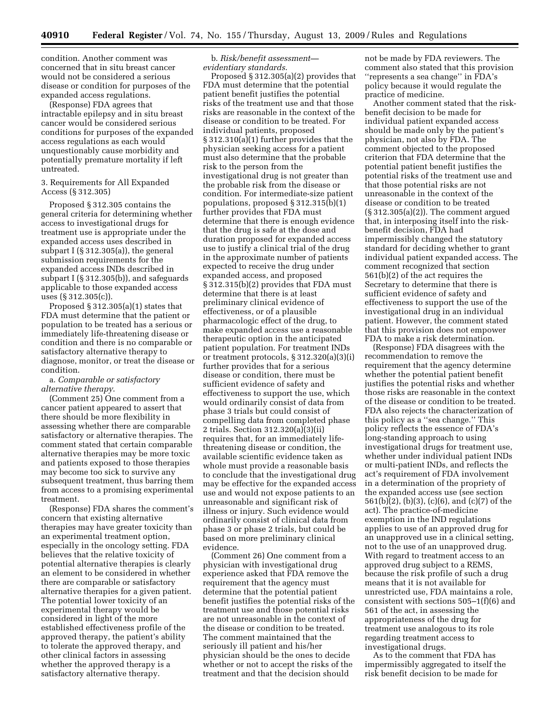condition. Another comment was concerned that in situ breast cancer would not be considered a serious disease or condition for purposes of the expanded access regulations.

(Response) FDA agrees that intractable epilepsy and in situ breast cancer would be considered serious conditions for purposes of the expanded access regulations as each would unquestionably cause morbidity and potentially premature mortality if left untreated.

### 3. Requirements for All Expanded Access (§ 312.305)

Proposed § 312.305 contains the general criteria for determining whether access to investigational drugs for treatment use is appropriate under the expanded access uses described in subpart I (§ 312.305(a)), the general submission requirements for the expanded access INDs described in subpart I (§ 312.305(b)), and safeguards applicable to those expanded access uses (§ 312.305(c)).

Proposed  $\S 312.305(a)(1)$  states that FDA must determine that the patient or population to be treated has a serious or immediately life-threatening disease or condition and there is no comparable or satisfactory alternative therapy to diagnose, monitor, or treat the disease or condition.

### a. *Comparable or satisfactory alternative therapy*.

(Comment 25) One comment from a cancer patient appeared to assert that there should be more flexibility in assessing whether there are comparable satisfactory or alternative therapies. The comment stated that certain comparable alternative therapies may be more toxic and patients exposed to those therapies may become too sick to survive any subsequent treatment, thus barring them from access to a promising experimental treatment.

(Response) FDA shares the comment's concern that existing alternative therapies may have greater toxicity than an experimental treatment option, especially in the oncology setting. FDA believes that the relative toxicity of potential alternative therapies is clearly an element to be considered in whether there are comparable or satisfactory alternative therapies for a given patient. The potential lower toxicity of an experimental therapy would be considered in light of the more established effectiveness profile of the approved therapy, the patient's ability to tolerate the approved therapy, and other clinical factors in assessing whether the approved therapy is a satisfactory alternative therapy.

b. *Risk/benefit assessment evidentiary standards*.

Proposed § 312.305(a)(2) provides that FDA must determine that the potential patient benefit justifies the potential risks of the treatment use and that those risks are reasonable in the context of the disease or condition to be treated. For individual patients, proposed § 312.310(a)(1) further provides that the physician seeking access for a patient must also determine that the probable risk to the person from the investigational drug is not greater than the probable risk from the disease or condition. For intermediate-size patient populations, proposed § 312.315(b)(1) further provides that FDA must determine that there is enough evidence that the drug is safe at the dose and duration proposed for expanded access use to justify a clinical trial of the drug in the approximate number of patients expected to receive the drug under expanded access, and proposed § 312.315(b)(2) provides that FDA must determine that there is at least preliminary clinical evidence of effectiveness, or of a plausible pharmacologic effect of the drug, to make expanded access use a reasonable therapeutic option in the anticipated patient population. For treatment INDs or treatment protocols, § 312.320(a)(3)(i) further provides that for a serious disease or condition, there must be sufficient evidence of safety and effectiveness to support the use, which would ordinarily consist of data from phase 3 trials but could consist of compelling data from completed phase 2 trials. Section 312.320(a)(3)(ii) requires that, for an immediately lifethreatening disease or condition, the available scientific evidence taken as whole must provide a reasonable basis to conclude that the investigational drug may be effective for the expanded access use and would not expose patients to an unreasonable and significant risk of illness or injury. Such evidence would ordinarily consist of clinical data from phase 3 or phase 2 trials, but could be based on more preliminary clinical evidence.

(Comment 26) One comment from a physician with investigational drug experience asked that FDA remove the requirement that the agency must determine that the potential patient benefit justifies the potential risks of the treatment use and those potential risks are not unreasonable in the context of the disease or condition to be treated. The comment maintained that the seriously ill patient and his/her physician should be the ones to decide whether or not to accept the risks of the treatment and that the decision should

not be made by FDA reviewers. The comment also stated that this provision ''represents a sea change'' in FDA's policy because it would regulate the practice of medicine.

Another comment stated that the riskbenefit decision to be made for individual patient expanded access should be made only by the patient's physician, not also by FDA. The comment objected to the proposed criterion that FDA determine that the potential patient benefit justifies the potential risks of the treatment use and that those potential risks are not unreasonable in the context of the disease or condition to be treated (§ 312.305(a)(2)). The comment argued that, in interposing itself into the riskbenefit decision, FDA had impermissibly changed the statutory standard for deciding whether to grant individual patient expanded access. The comment recognized that section 561(b)(2) of the act requires the Secretary to determine that there is sufficient evidence of safety and effectiveness to support the use of the investigational drug in an individual patient. However, the comment stated that this provision does not empower FDA to make a risk determination.

(Response) FDA disagrees with the recommendation to remove the requirement that the agency determine whether the potential patient benefit justifies the potential risks and whether those risks are reasonable in the context of the disease or condition to be treated. FDA also rejects the characterization of this policy as a ''sea change.'' This policy reflects the essence of FDA's long-standing approach to using investigational drugs for treatment use, whether under individual patient INDs or multi-patient INDs, and reflects the act's requirement of FDA involvement in a determination of the propriety of the expanded access use (see section 561(b)(2), (b)(3), (c)(6), and (c)(7) of the act). The practice-of-medicine exemption in the IND regulations applies to use of an approved drug for an unapproved use in a clinical setting, not to the use of an unapproved drug. With regard to treatment access to an approved drug subject to a REMS, because the risk profile of such a drug means that it is not available for unrestricted use, FDA maintains a role, consistent with sections 505–1(f)(6) and 561 of the act, in assessing the appropriateness of the drug for treatment use analogous to its role regarding treatment access to investigational drugs.

As to the comment that FDA has impermissibly aggregated to itself the risk benefit decision to be made for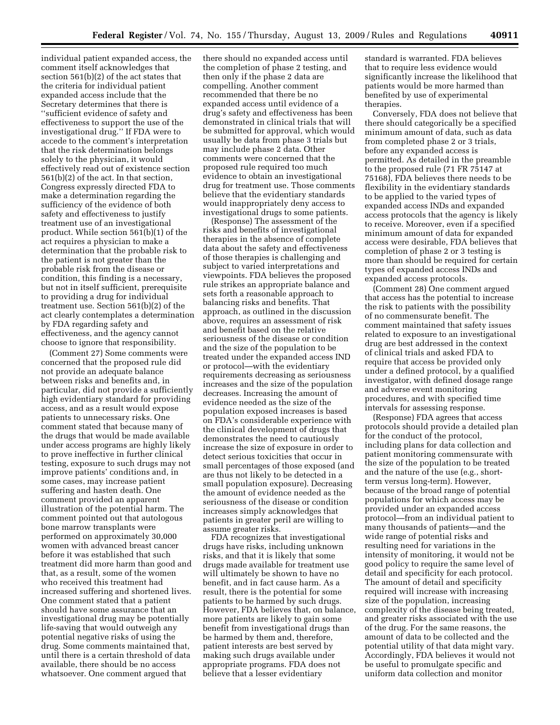individual patient expanded access, the comment itself acknowledges that section 561(b)(2) of the act states that the criteria for individual patient expanded access include that the Secretary determines that there is ''sufficient evidence of safety and effectiveness to support the use of the investigational drug.'' If FDA were to accede to the comment's interpretation that the risk determination belongs solely to the physician, it would effectively read out of existence section 561(b)(2) of the act. In that section, Congress expressly directed FDA to make a determination regarding the sufficiency of the evidence of both safety and effectiveness to justify treatment use of an investigational product. While section 561(b)(1) of the act requires a physician to make a determination that the probable risk to the patient is not greater than the probable risk from the disease or condition, this finding is a necessary, but not in itself sufficient, prerequisite to providing a drug for individual treatment use. Section 561(b)(2) of the act clearly contemplates a determination by FDA regarding safety and effectiveness, and the agency cannot choose to ignore that responsibility.

(Comment 27) Some comments were concerned that the proposed rule did not provide an adequate balance between risks and benefits and, in particular, did not provide a sufficiently high evidentiary standard for providing access, and as a result would expose patients to unnecessary risks. One comment stated that because many of the drugs that would be made available under access programs are highly likely to prove ineffective in further clinical testing, exposure to such drugs may not improve patients' conditions and, in some cases, may increase patient suffering and hasten death. One comment provided an apparent illustration of the potential harm. The comment pointed out that autologous bone marrow transplants were performed on approximately 30,000 women with advanced breast cancer before it was established that such treatment did more harm than good and that, as a result, some of the women who received this treatment had increased suffering and shortened lives. One comment stated that a patient should have some assurance that an investigational drug may be potentially life-saving that would outweigh any potential negative risks of using the drug. Some comments maintained that, until there is a certain threshold of data available, there should be no access whatsoever. One comment argued that

there should no expanded access until the completion of phase 2 testing, and then only if the phase 2 data are compelling. Another comment recommended that there be no expanded access until evidence of a drug's safety and effectiveness has been demonstrated in clinical trials that will be submitted for approval, which would usually be data from phase 3 trials but may include phase 2 data. Other comments were concerned that the proposed rule required too much evidence to obtain an investigational drug for treatment use. Those comments believe that the evidentiary standards would inappropriately deny access to investigational drugs to some patients.

(Response) The assessment of the risks and benefits of investigational therapies in the absence of complete data about the safety and effectiveness of those therapies is challenging and subject to varied interpretations and viewpoints. FDA believes the proposed rule strikes an appropriate balance and sets forth a reasonable approach to balancing risks and benefits. That approach, as outlined in the discussion above, requires an assessment of risk and benefit based on the relative seriousness of the disease or condition and the size of the population to be treated under the expanded access IND or protocol—with the evidentiary requirements decreasing as seriousness increases and the size of the population decreases. Increasing the amount of evidence needed as the size of the population exposed increases is based on FDA's considerable experience with the clinical development of drugs that demonstrates the need to cautiously increase the size of exposure in order to detect serious toxicities that occur in small percentages of those exposed (and are thus not likely to be detected in a small population exposure). Decreasing the amount of evidence needed as the seriousness of the disease or condition increases simply acknowledges that patients in greater peril are willing to assume greater risks.

FDA recognizes that investigational drugs have risks, including unknown risks, and that it is likely that some drugs made available for treatment use will ultimately be shown to have no benefit, and in fact cause harm. As a result, there is the potential for some patients to be harmed by such drugs. However, FDA believes that, on balance, more patients are likely to gain some benefit from investigational drugs than be harmed by them and, therefore, patient interests are best served by making such drugs available under appropriate programs. FDA does not believe that a lesser evidentiary

standard is warranted. FDA believes that to require less evidence would significantly increase the likelihood that patients would be more harmed than benefited by use of experimental therapies.

Conversely, FDA does not believe that there should categorically be a specified minimum amount of data, such as data from completed phase 2 or 3 trials, before any expanded access is permitted. As detailed in the preamble to the proposed rule (71 FR 75147 at 75168), FDA believes there needs to be flexibility in the evidentiary standards to be applied to the varied types of expanded access INDs and expanded access protocols that the agency is likely to receive. Moreover, even if a specified minimum amount of data for expanded access were desirable, FDA believes that completion of phase 2 or 3 testing is more than should be required for certain types of expanded access INDs and expanded access protocols.

(Comment 28) One comment argued that access has the potential to increase the risk to patients with the possibility of no commensurate benefit. The comment maintained that safety issues related to exposure to an investigational drug are best addressed in the context of clinical trials and asked FDA to require that access be provided only under a defined protocol, by a qualified investigator, with defined dosage range and adverse event monitoring procedures, and with specified time intervals for assessing response.

(Response) FDA agrees that access protocols should provide a detailed plan for the conduct of the protocol, including plans for data collection and patient monitoring commensurate with the size of the population to be treated and the nature of the use (e.g., shortterm versus long-term). However, because of the broad range of potential populations for which access may be provided under an expanded access protocol—from an individual patient to many thousands of patients—and the wide range of potential risks and resulting need for variations in the intensity of monitoring, it would not be good policy to require the same level of detail and specificity for each protocol. The amount of detail and specificity required will increase with increasing size of the population, increasing complexity of the disease being treated, and greater risks associated with the use of the drug. For the same reasons, the amount of data to be collected and the potential utility of that data might vary. Accordingly, FDA believes it would not be useful to promulgate specific and uniform data collection and monitor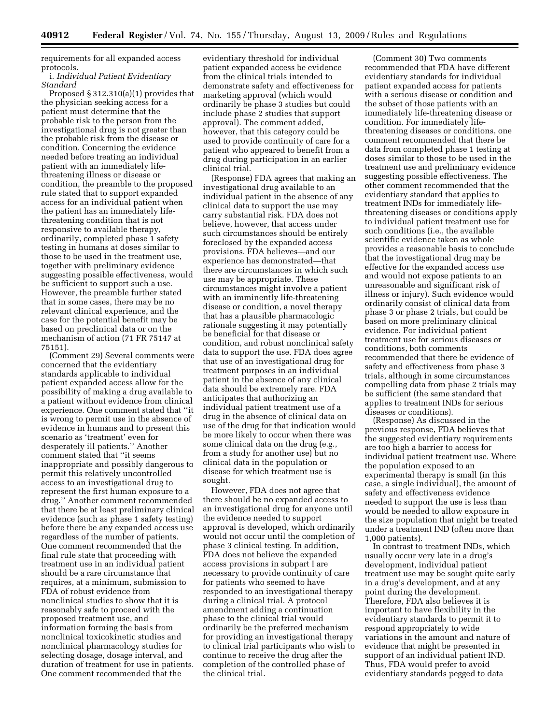requirements for all expanded access protocols.

### i. *Individual Patient Evidentiary Standard*

Proposed § 312.310(a)(1) provides that the physician seeking access for a patient must determine that the probable risk to the person from the investigational drug is not greater than the probable risk from the disease or condition. Concerning the evidence needed before treating an individual patient with an immediately lifethreatening illness or disease or condition, the preamble to the proposed rule stated that to support expanded access for an individual patient when the patient has an immediately lifethreatening condition that is not responsive to available therapy, ordinarily, completed phase 1 safety testing in humans at doses similar to those to be used in the treatment use, together with preliminary evidence suggesting possible effectiveness, would be sufficient to support such a use. However, the preamble further stated that in some cases, there may be no relevant clinical experience, and the case for the potential benefit may be based on preclinical data or on the mechanism of action (71 FR 75147 at 75151).

(Comment 29) Several comments were concerned that the evidentiary standards applicable to individual patient expanded access allow for the possibility of making a drug available to a patient without evidence from clinical experience. One comment stated that ''it is wrong to permit use in the absence of evidence in humans and to present this scenario as 'treatment' even for desperately ill patients.'' Another comment stated that ''it seems inappropriate and possibly dangerous to permit this relatively uncontrolled access to an investigational drug to represent the first human exposure to a drug.'' Another comment recommended that there be at least preliminary clinical evidence (such as phase 1 safety testing) before there be any expanded access use regardless of the number of patients. One comment recommended that the final rule state that proceeding with treatment use in an individual patient should be a rare circumstance that requires, at a minimum, submission to FDA of robust evidence from nonclinical studies to show that it is reasonably safe to proceed with the proposed treatment use, and information forming the basis from nonclinical toxicokinetic studies and nonclinical pharmacology studies for selecting dosage, dosage interval, and duration of treatment for use in patients. One comment recommended that the

evidentiary threshold for individual patient expanded access be evidence from the clinical trials intended to demonstrate safety and effectiveness for marketing approval (which would ordinarily be phase 3 studies but could include phase 2 studies that support approval). The comment added, however, that this category could be used to provide continuity of care for a patient who appeared to benefit from a drug during participation in an earlier clinical trial.

(Response) FDA agrees that making an investigational drug available to an individual patient in the absence of any clinical data to support the use may carry substantial risk. FDA does not believe, however, that access under such circumstances should be entirely foreclosed by the expanded access provisions. FDA believes—and our experience has demonstrated—that there are circumstances in which such use may be appropriate. These circumstances might involve a patient with an imminently life-threatening disease or condition, a novel therapy that has a plausible pharmacologic rationale suggesting it may potentially be beneficial for that disease or condition, and robust nonclinical safety data to support the use. FDA does agree that use of an investigational drug for treatment purposes in an individual patient in the absence of any clinical data should be extremely rare. FDA anticipates that authorizing an individual patient treatment use of a drug in the absence of clinical data on use of the drug for that indication would be more likely to occur when there was some clinical data on the drug (e.g., from a study for another use) but no clinical data in the population or disease for which treatment use is sought.

However, FDA does not agree that there should be no expanded access to an investigational drug for anyone until the evidence needed to support approval is developed, which ordinarily would not occur until the completion of phase 3 clinical testing. In addition, FDA does not believe the expanded access provisions in subpart I are necessary to provide continuity of care for patients who seemed to have responded to an investigational therapy during a clinical trial. A protocol amendment adding a continuation phase to the clinical trial would ordinarily be the preferred mechanism for providing an investigational therapy to clinical trial participants who wish to continue to receive the drug after the completion of the controlled phase of the clinical trial.

(Comment 30) Two comments recommended that FDA have different evidentiary standards for individual patient expanded access for patients with a serious disease or condition and the subset of those patients with an immediately life-threatening disease or condition. For immediately lifethreatening diseases or conditions, one comment recommended that there be data from completed phase 1 testing at doses similar to those to be used in the treatment use and preliminary evidence suggesting possible effectiveness. The other comment recommended that the evidentiary standard that applies to treatment INDs for immediately lifethreatening diseases or conditions apply to individual patient treatment use for such conditions (i.e., the available scientific evidence taken as whole provides a reasonable basis to conclude that the investigational drug may be effective for the expanded access use and would not expose patients to an unreasonable and significant risk of illness or injury). Such evidence would ordinarily consist of clinical data from phase 3 or phase 2 trials, but could be based on more preliminary clinical evidence. For individual patient treatment use for serious diseases or conditions, both comments recommended that there be evidence of safety and effectiveness from phase 3 trials, although in some circumstances compelling data from phase 2 trials may be sufficient (the same standard that applies to treatment INDs for serious diseases or conditions).

(Response) As discussed in the previous response, FDA believes that the suggested evidentiary requirements are too high a barrier to access for individual patient treatment use. Where the population exposed to an experimental therapy is small (in this case, a single individual), the amount of safety and effectiveness evidence needed to support the use is less than would be needed to allow exposure in the size population that might be treated under a treatment IND (often more than 1,000 patients).

In contrast to treatment INDs, which usually occur very late in a drug's development, individual patient treatment use may be sought quite early in a drug's development, and at any point during the development. Therefore, FDA also believes it is important to have flexibility in the evidentiary standards to permit it to respond appropriately to wide variations in the amount and nature of evidence that might be presented in support of an individual patient IND. Thus, FDA would prefer to avoid evidentiary standards pegged to data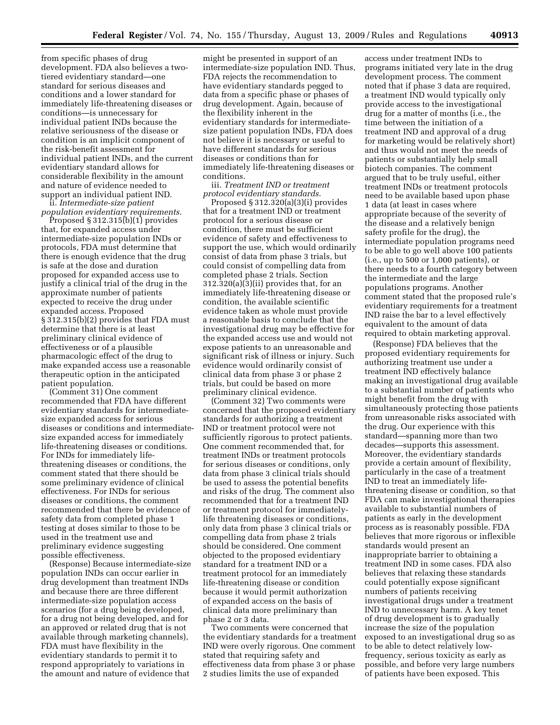from specific phases of drug development. FDA also believes a twotiered evidentiary standard—one standard for serious diseases and conditions and a lower standard for immediately life-threatening diseases or conditions—is unnecessary for individual patient INDs because the relative seriousness of the disease or condition is an implicit component of the risk-benefit assessment for individual patient INDs, and the current evidentiary standard allows for considerable flexibility in the amount and nature of evidence needed to support an individual patient IND.

ii. *Intermediate-size patient population evidentiary requirements*.

Proposed  $\S 312.315(b)(1)$  provides that, for expanded access under intermediate-size population INDs or protocols, FDA must determine that there is enough evidence that the drug is safe at the dose and duration proposed for expanded access use to justify a clinical trial of the drug in the approximate number of patients expected to receive the drug under expanded access. Proposed § 312.315(b)(2) provides that FDA must determine that there is at least preliminary clinical evidence of effectiveness or of a plausible pharmacologic effect of the drug to make expanded access use a reasonable therapeutic option in the anticipated patient population.

(Comment 31) One comment recommended that FDA have different evidentiary standards for intermediatesize expanded access for serious diseases or conditions and intermediatesize expanded access for immediately life-threatening diseases or conditions. For INDs for immediately lifethreatening diseases or conditions, the comment stated that there should be some preliminary evidence of clinical effectiveness. For INDs for serious diseases or conditions, the comment recommended that there be evidence of safety data from completed phase 1 testing at doses similar to those to be used in the treatment use and preliminary evidence suggesting possible effectiveness.

(Response) Because intermediate-size population INDs can occur earlier in drug development than treatment INDs and because there are three different intermediate-size population access scenarios (for a drug being developed, for a drug not being developed, and for an approved or related drug that is not available through marketing channels), FDA must have flexibility in the evidentiary standards to permit it to respond appropriately to variations in the amount and nature of evidence that

might be presented in support of an intermediate-size population IND. Thus, FDA rejects the recommendation to have evidentiary standards pegged to data from a specific phase or phases of drug development. Again, because of the flexibility inherent in the evidentiary standards for intermediatesize patient population INDs, FDA does not believe it is necessary or useful to have different standards for serious diseases or conditions than for immediately life-threatening diseases or conditions.

iii. *Treatment IND or treatment protocol evidentiary standards*.

Proposed § 312.320(a)(3)(i) provides that for a treatment IND or treatment protocol for a serious disease or condition, there must be sufficient evidence of safety and effectiveness to support the use, which would ordinarily consist of data from phase 3 trials, but could consist of compelling data from completed phase 2 trials. Section 312.320(a)(3)(ii) provides that, for an immediately life-threatening disease or condition, the available scientific evidence taken as whole must provide a reasonable basis to conclude that the investigational drug may be effective for the expanded access use and would not expose patients to an unreasonable and significant risk of illness or injury. Such evidence would ordinarily consist of clinical data from phase 3 or phase 2 trials, but could be based on more preliminary clinical evidence.

(Comment 32) Two comments were concerned that the proposed evidentiary standards for authorizing a treatment IND or treatment protocol were not sufficiently rigorous to protect patients. One comment recommended that, for treatment INDs or treatment protocols for serious diseases or conditions, only data from phase 3 clinical trials should be used to assess the potential benefits and risks of the drug. The comment also recommended that for a treatment IND or treatment protocol for immediatelylife threatening diseases or conditions, only data from phase 3 clinical trials or compelling data from phase 2 trials should be considered. One comment objected to the proposed evidentiary standard for a treatment IND or a treatment protocol for an immediately life-threatening disease or condition because it would permit authorization of expanded access on the basis of clinical data more preliminary than phase 2 or 3 data.

Two comments were concerned that the evidentiary standards for a treatment IND were overly rigorous. One comment stated that requiring safety and effectiveness data from phase 3 or phase 2 studies limits the use of expanded

access under treatment INDs to programs initiated very late in the drug development process. The comment noted that if phase 3 data are required, a treatment IND would typically only provide access to the investigational drug for a matter of months (i.e., the time between the initiation of a treatment IND and approval of a drug for marketing would be relatively short) and thus would not meet the needs of patients or substantially help small biotech companies. The comment argued that to be truly useful, either treatment INDs or treatment protocols need to be available based upon phase 1 data (at least in cases where appropriate because of the severity of the disease and a relatively benign safety profile for the drug), the intermediate population programs need to be able to go well above 100 patients (i.e., up to 500 or 1,000 patients), or there needs to a fourth category between the intermediate and the large populations programs. Another comment stated that the proposed rule's evidentiary requirements for a treatment IND raise the bar to a level effectively equivalent to the amount of data required to obtain marketing approval.

(Response) FDA believes that the proposed evidentiary requirements for authorizing treatment use under a treatment IND effectively balance making an investigational drug available to a substantial number of patients who might benefit from the drug with simultaneously protecting those patients from unreasonable risks associated with the drug. Our experience with this standard—spanning more than two decades—supports this assessment. Moreover, the evidentiary standards provide a certain amount of flexibility, particularly in the case of a treatment IND to treat an immediately lifethreatening disease or condition, so that FDA can make investigational therapies available to substantial numbers of patients as early in the development process as is reasonably possible. FDA believes that more rigorous or inflexible standards would present an inappropriate barrier to obtaining a treatment IND in some cases. FDA also believes that relaxing these standards could potentially expose significant numbers of patients receiving investigational drugs under a treatment IND to unnecessary harm. A key tenet of drug development is to gradually increase the size of the population exposed to an investigational drug so as to be able to detect relatively lowfrequency, serious toxicity as early as possible, and before very large numbers of patients have been exposed. This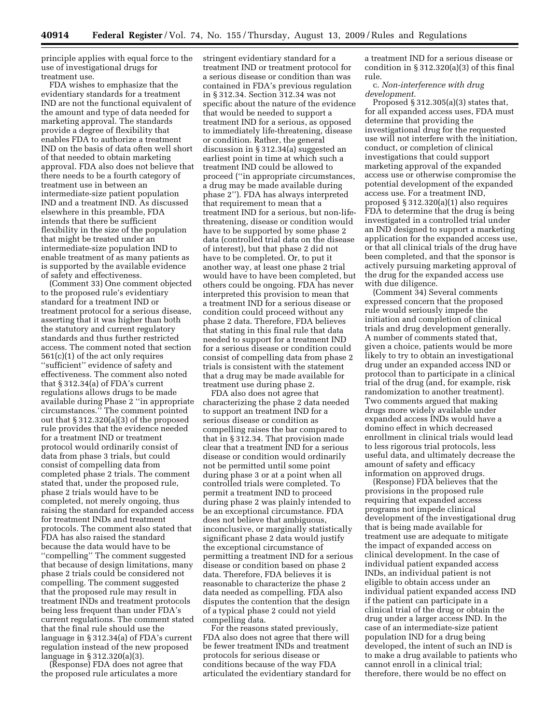principle applies with equal force to the use of investigational drugs for treatment use.

FDA wishes to emphasize that the evidentiary standards for a treatment IND are not the functional equivalent of the amount and type of data needed for marketing approval. The standards provide a degree of flexibility that enables FDA to authorize a treatment IND on the basis of data often well short of that needed to obtain marketing approval. FDA also does not believe that there needs to be a fourth category of treatment use in between an intermediate-size patient population IND and a treatment IND. As discussed elsewhere in this preamble, FDA intends that there be sufficient flexibility in the size of the population that might be treated under an intermediate-size population IND to enable treatment of as many patients as is supported by the available evidence of safety and effectiveness.

(Comment 33) One comment objected to the proposed rule's evidentiary standard for a treatment IND or treatment protocol for a serious disease, asserting that it was higher than both the statutory and current regulatory standards and thus further restricted access. The comment noted that section 561(c)(1) of the act only requires ''sufficient'' evidence of safety and effectiveness. The comment also noted that § 312.34(a) of FDA's current regulations allows drugs to be made available during Phase 2 ''in appropriate circumstances.'' The comment pointed out that § 312.320(a)(3) of the proposed rule provides that the evidence needed for a treatment IND or treatment protocol would ordinarily consist of data from phase 3 trials, but could consist of compelling data from completed phase 2 trials. The comment stated that, under the proposed rule, phase 2 trials would have to be completed, not merely ongoing, thus raising the standard for expanded access for treatment INDs and treatment protocols. The comment also stated that FDA has also raised the standard because the data would have to be ''compelling'' The comment suggested that because of design limitations, many phase 2 trials could be considered not compelling. The comment suggested that the proposed rule may result in treatment INDs and treatment protocols being less frequent than under FDA's current regulations. The comment stated that the final rule should use the language in § 312.34(a) of FDA's current regulation instead of the new proposed language in § 312.320(a)(3).

(Response) FDA does not agree that the proposed rule articulates a more

stringent evidentiary standard for a treatment IND or treatment protocol for a serious disease or condition than was contained in FDA's previous regulation in § 312.34. Section 312.34 was not specific about the nature of the evidence that would be needed to support a treatment IND for a serious, as opposed to immediately life-threatening, disease or condition. Rather, the general discussion in § 312.34(a) suggested an earliest point in time at which such a treatment IND could be allowed to proceed (''in appropriate circumstances, a drug may be made available during phase 2''). FDA has always interpreted that requirement to mean that a treatment IND for a serious, but non-lifethreatening, disease or condition would have to be supported by some phase 2 data (controlled trial data on the disease of interest), but that phase 2 did not have to be completed. Or, to put it another way, at least one phase 2 trial would have to have been completed, but others could be ongoing. FDA has never interpreted this provision to mean that a treatment IND for a serious disease or condition could proceed without any phase 2 data. Therefore, FDA believes that stating in this final rule that data needed to support for a treatment IND for a serious disease or condition could consist of compelling data from phase 2 trials is consistent with the statement that a drug may be made available for treatment use during phase 2.

FDA also does not agree that characterizing the phase 2 data needed to support an treatment IND for a serious disease or condition as compelling raises the bar compared to that in § 312.34. That provision made clear that a treatment IND for a serious disease or condition would ordinarily not be permitted until some point during phase 3 or at a point when all controlled trials were completed. To permit a treatment IND to proceed during phase 2 was plainly intended to be an exceptional circumstance. FDA does not believe that ambiguous, inconclusive, or marginally statistically significant phase 2 data would justify the exceptional circumstance of permitting a treatment IND for a serious disease or condition based on phase 2 data. Therefore, FDA believes it is reasonable to characterize the phase 2 data needed as compelling. FDA also disputes the contention that the design of a typical phase 2 could not yield compelling data.

For the reasons stated previously, FDA also does not agree that there will be fewer treatment INDs and treatment protocols for serious disease or conditions because of the way FDA articulated the evidentiary standard for a treatment IND for a serious disease or condition in  $\S 312.320(a)(3)$  of this final rule.

c. *Non-interference with drug development*.

Proposed § 312.305(a)(3) states that, for all expanded access uses, FDA must determine that providing the investigational drug for the requested use will not interfere with the initiation, conduct, or completion of clinical investigations that could support marketing approval of the expanded access use or otherwise compromise the potential development of the expanded access use. For a treatment IND, proposed § 312.320(a)(1) also requires FDA to determine that the drug is being investigated in a controlled trial under an IND designed to support a marketing application for the expanded access use, or that all clinical trials of the drug have been completed, and that the sponsor is actively pursuing marketing approval of the drug for the expanded access use with due diligence.

(Comment 34) Several comments expressed concern that the proposed rule would seriously impede the initiation and completion of clinical trials and drug development generally. A number of comments stated that, given a choice, patients would be more likely to try to obtain an investigational drug under an expanded access IND or protocol than to participate in a clinical trial of the drug (and, for example, risk randomization to another treatment). Two comments argued that making drugs more widely available under expanded access INDs would have a domino effect in which decreased enrollment in clinical trials would lead to less rigorous trial protocols, less useful data, and ultimately decrease the amount of safety and efficacy information on approved drugs.

(Response) FDA believes that the provisions in the proposed rule requiring that expanded access programs not impede clinical development of the investigational drug that is being made available for treatment use are adequate to mitigate the impact of expanded access on clinical development. In the case of individual patient expanded access INDs, an individual patient is not eligible to obtain access under an individual patient expanded access IND if the patient can participate in a clinical trial of the drug or obtain the drug under a larger access IND. In the case of an intermediate-size patient population IND for a drug being developed, the intent of such an IND is to make a drug available to patients who cannot enroll in a clinical trial; therefore, there would be no effect on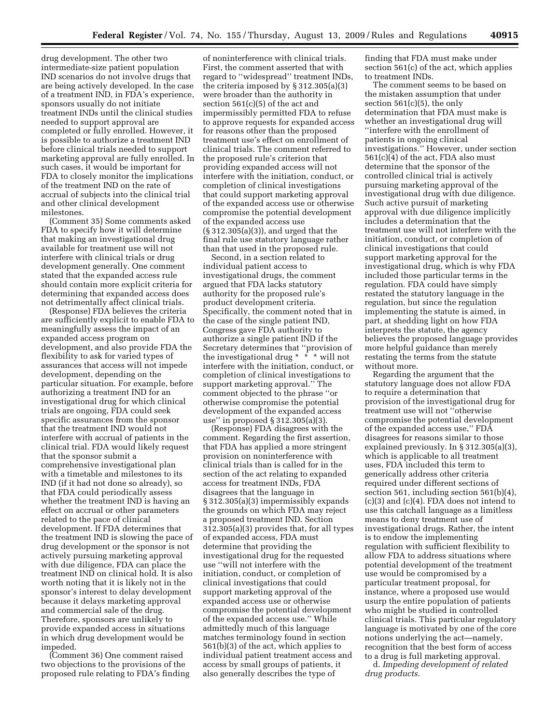drug development. The other two intermediate-size patient population IND scenarios do not involve drugs that are being actively developed. In the case of a treatment IND, in FDA's experience, sponsors usually do not initiate treatment INDs until the clinical studies needed to support approval are completed or fully enrolled. However, it is possible to authorize a treatment IND before clinical trials needed to support marketing approval are fully enrolled. In such cases, it would be important for FDA to closely monitor the implications of the treatment IND on the rate of accrual of subjects into the clinical trial and other clinical development milestones.

(Comment 35) Some comments asked FDA to specify how it will determine that making an investigational drug available for treatment use will not interfere with clinical trials or drug development generally. One comment stated that the expanded access rule should contain more explicit criteria for determining that expanded access does not detrimentally affect clinical trials.

(Response) FDA believes the criteria are sufficiently explicit to enable FDA to meaningfully assess the impact of an expanded access program on development, and also provide FDA the flexibility to ask for varied types of assurances that access will not impede development, depending on the particular situation. For example, before authorizing a treatment IND for an investigational drug for which clinical trials are ongoing, FDA could seek specific assurances from the sponsor that the treatment IND would not interfere with accrual of patients in the clinical trial. FDA would likely request that the sponsor submit a comprehensive investigational plan with a timetable and milestones to its IND (if it had not done so already), so that FDA could periodically assess whether the treatment IND is having an effect on accrual or other parameters related to the pace of clinical development. If FDA determines that the treatment IND is slowing the pace of drug development or the sponsor is not actively pursuing marketing approval with due diligence, FDA can place the treatment IND on clinical hold. It is also worth noting that it is likely not in the sponsor's interest to delay development because it delays marketing approval and commercial sale of the drug. Therefore, sponsors are unlikely to provide expanded access in situations in which drug development would be impeded.

(Comment 36) One comment raised two objections to the provisions of the proposed rule relating to FDA's finding

of noninterference with clinical trials. First, the comment asserted that with regard to ''widespread'' treatment INDs, the criteria imposed by § 312.305(a)(3) were broader than the authority in section 561(c)(5) of the act and impermissibly permitted FDA to refuse to approve requests for expanded access for reasons other than the proposed treatment use's effect on enrollment of clinical trials. The comment referred to the proposed rule's criterion that providing expanded access will not interfere with the initiation, conduct, or completion of clinical investigations that could support marketing approval of the expanded access use or otherwise compromise the potential development of the expanded access use (§ 312.305(a)(3)), and urged that the final rule use statutory language rather than that used in the proposed rule.

Second, in a section related to individual patient access to investigational drugs, the comment argued that FDA lacks statutory authority for the proposed rule's product development criteria. Specifically, the comment noted that in the case of the single patient IND, Congress gave FDA authority to authorize a single patient IND if the Secretary determines that ''provision of the investigational drug \* \* \* will not interfere with the initiation, conduct, or completion of clinical investigations to support marketing approval.'' The comment objected to the phrase ''or otherwise compromise the potential development of the expanded access use'' in proposed § 312.305(a)(3).

(Response) FDA disagrees with the comment. Regarding the first assertion, that FDA has applied a more stringent provision on noninterference with clinical trials than is called for in the section of the act relating to expanded access for treatment INDs, FDA disagrees that the language in § 312.305(a)(3) impermissibly expands the grounds on which FDA may reject a proposed treatment IND. Section 312.305(a)(3) provides that, for all types of expanded access, FDA must determine that providing the investigational drug for the requested use ''will not interfere with the initiation, conduct, or completion of clinical investigations that could support marketing approval of the expanded access use or otherwise compromise the potential development of the expanded access use.'' While admittedly much of this language matches terminology found in section 561(b)(3) of the act, which applies to individual patient treatment access and access by small groups of patients, it also generally describes the type of

finding that FDA must make under section 561(c) of the act, which applies to treatment INDs.

The comment seems to be based on the mistaken assumption that under section  $561(c)(5)$ , the only determination that FDA must make is whether an investigational drug will ''interfere with the enrollment of patients in ongoing clinical investigations.'' However, under section 561(c)(4) of the act, FDA also must determine that the sponsor of the controlled clinical trial is actively pursuing marketing approval of the investigational drug with due diligence. Such active pursuit of marketing approval with due diligence implicitly includes a determination that the treatment use will not interfere with the initiation, conduct, or completion of clinical investigations that could support marketing approval for the investigational drug, which is why FDA included those particular terms in the regulation. FDA could have simply restated the statutory language in the regulation, but since the regulation implementing the statute is aimed, in part, at shedding light on how FDA interprets the statute, the agency believes the proposed language provides more helpful guidance than merely restating the terms from the statute without more.

Regarding the argument that the statutory language does not allow FDA to require a determination that provision of the investigational drug for treatment use will not ''otherwise compromise the potential development of the expanded access use,'' FDA disagrees for reasons similar to those explained previously. In § 312.305(a)(3), which is applicable to all treatment uses, FDA included this term to generically address other criteria required under different sections of section 561, including section 561(b)(4), (c)(3) and (c)(4). FDA does not intend to use this catchall language as a limitless means to deny treatment use of investigational drugs. Rather, the intent is to endow the implementing regulation with sufficient flexibility to allow FDA to address situations where potential development of the treatment use would be compromised by a particular treatment proposal, for instance, where a proposed use would usurp the entire population of patients who might be studied in controlled clinical trials. This particular regulatory language is motivated by one of the core notions underlying the act—namely, recognition that the best form of access to a drug is full marketing approval.

d. *Impeding development of related drug products*.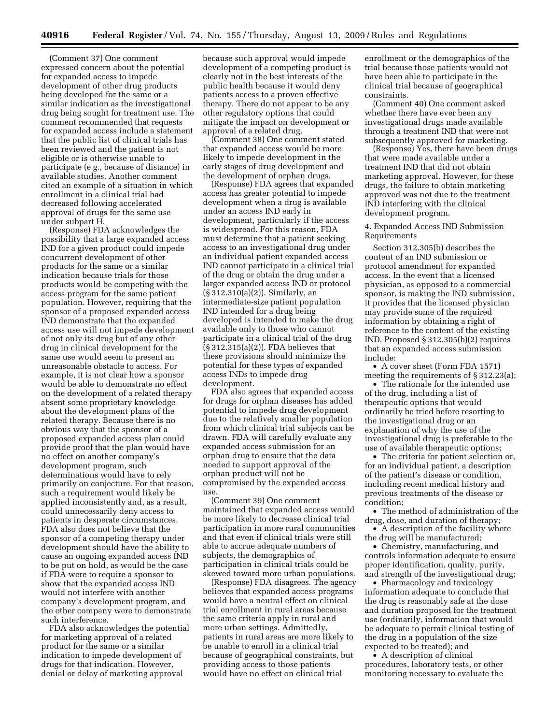(Comment 37) One comment expressed concern about the potential for expanded access to impede development of other drug products being developed for the same or a similar indication as the investigational drug being sought for treatment use. The comment recommended that requests for expanded access include a statement that the public list of clinical trials has been reviewed and the patient is not eligible or is otherwise unable to participate (e.g., because of distance) in available studies. Another comment cited an example of a situation in which enrollment in a clinical trial had decreased following accelerated approval of drugs for the same use under subpart H.

(Response) FDA acknowledges the possibility that a large expanded access IND for a given product could impede concurrent development of other products for the same or a similar indication because trials for those products would be competing with the access program for the same patient population. However, requiring that the sponsor of a proposed expanded access IND demonstrate that the expanded access use will not impede development of not only its drug but of any other drug in clinical development for the same use would seem to present an unreasonable obstacle to access. For example, it is not clear how a sponsor would be able to demonstrate no effect on the development of a related therapy absent some proprietary knowledge about the development plans of the related therapy. Because there is no obvious way that the sponsor of a proposed expanded access plan could provide proof that the plan would have no effect on another company's development program, such determinations would have to rely primarily on conjecture. For that reason, such a requirement would likely be applied inconsistently and, as a result, could unnecessarily deny access to patients in desperate circumstances. FDA also does not believe that the sponsor of a competing therapy under development should have the ability to cause an ongoing expanded access IND to be put on hold, as would be the case if FDA were to require a sponsor to show that the expanded access IND would not interfere with another company's development program, and the other company were to demonstrate such interference.

FDA also acknowledges the potential for marketing approval of a related product for the same or a similar indication to impede development of drugs for that indication. However, denial or delay of marketing approval

because such approval would impede development of a competing product is clearly not in the best interests of the public health because it would deny patients access to a proven effective therapy. There do not appear to be any other regulatory options that could mitigate the impact on development or approval of a related drug.

(Comment 38) One comment stated that expanded access would be more likely to impede development in the early stages of drug development and the development of orphan drugs.

(Response) FDA agrees that expanded access has greater potential to impede development when a drug is available under an access IND early in development, particularly if the access is widespread. For this reason, FDA must determine that a patient seeking access to an investigational drug under an individual patient expanded access IND cannot participate in a clinical trial of the drug or obtain the drug under a larger expanded access IND or protocol (§ 312.310(a)(2)). Similarly, an intermediate-size patient population IND intended for a drug being developed is intended to make the drug available only to those who cannot participate in a clinical trial of the drug (§ 312.315(a)(2)). FDA believes that these provisions should minimize the potential for these types of expanded access INDs to impede drug development.

FDA also agrees that expanded access for drugs for orphan diseases has added potential to impede drug development due to the relatively smaller population from which clinical trial subjects can be drawn. FDA will carefully evaluate any expanded access submission for an orphan drug to ensure that the data needed to support approval of the orphan product will not be compromised by the expanded access use.

(Comment 39) One comment maintained that expanded access would be more likely to decrease clinical trial participation in more rural communities and that even if clinical trials were still able to accrue adequate numbers of subjects, the demographics of participation in clinical trials could be skewed toward more urban populations.

(Response) FDA disagrees. The agency believes that expanded access programs would have a neutral effect on clinical trial enrollment in rural areas because the same criteria apply in rural and more urban settings. Admittedly, patients in rural areas are more likely to be unable to enroll in a clinical trial because of geographical constraints, but providing access to those patients would have no effect on clinical trial

enrollment or the demographics of the trial because those patients would not have been able to participate in the clinical trial because of geographical constraints.

(Comment 40) One comment asked whether there have ever been any investigational drugs made available through a treatment IND that were not subsequently approved for marketing.

(Response) Yes, there have been drugs that were made available under a treatment IND that did not obtain marketing approval. However, for these drugs, the failure to obtain marketing approved was not due to the treatment IND interfering with the clinical development program.

4. Expanded Access IND Submission Requirements

Section 312.305(b) describes the content of an IND submission or protocol amendment for expanded access. In the event that a licensed physician, as opposed to a commercial sponsor, is making the IND submission, it provides that the licensed physician may provide some of the required information by obtaining a right of reference to the content of the existing IND. Proposed § 312.305(b)(2) requires that an expanded access submission include:

• A cover sheet (Form FDA 1571) meeting the requirements of § 312.23(a);

• The rationale for the intended use of the drug, including a list of therapeutic options that would ordinarily be tried before resorting to the investigational drug or an explanation of why the use of the investigational drug is preferable to the use of available therapeutic options;

• The criteria for patient selection or, for an individual patient, a description of the patient's disease or condition, including recent medical history and previous treatments of the disease or condition;

• The method of administration of the drug, dose, and duration of therapy;

• A description of the facility where the drug will be manufactured;

• Chemistry, manufacturing, and controls information adequate to ensure proper identification, quality, purity, and strength of the investigational drug;

• Pharmacology and toxicology information adequate to conclude that the drug is reasonably safe at the dose and duration proposed for the treatment use (ordinarily, information that would be adequate to permit clinical testing of the drug in a population of the size expected to be treated); and

• A description of clinical procedures, laboratory tests, or other monitoring necessary to evaluate the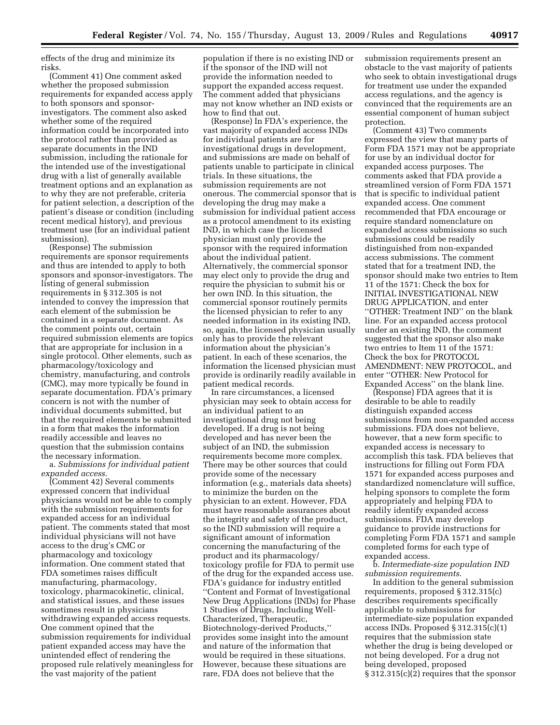effects of the drug and minimize its risks.

(Comment 41) One comment asked whether the proposed submission requirements for expanded access apply to both sponsors and sponsorinvestigators. The comment also asked whether some of the required information could be incorporated into the protocol rather than provided as separate documents in the IND submission, including the rationale for the intended use of the investigational drug with a list of generally available treatment options and an explanation as to why they are not preferable, criteria for patient selection, a description of the patient's disease or condition (including recent medical history), and previous treatment use (for an individual patient submission).

(Response) The submission requirements are sponsor requirements and thus are intended to apply to both sponsors and sponsor-investigators. The listing of general submission requirements in § 312.305 is not intended to convey the impression that each element of the submission be contained in a separate document. As the comment points out, certain required submission elements are topics that are appropriate for inclusion in a single protocol. Other elements, such as pharmacology/toxicology and chemistry, manufacturing, and controls (CMC), may more typically be found in separate documentation. FDA's primary concern is not with the number of individual documents submitted, but that the required elements be submitted in a form that makes the information readily accessible and leaves no question that the submission contains the necessary information.

a. *Submissions for individual patient expanded access*.

(Comment 42) Several comments expressed concern that individual physicians would not be able to comply with the submission requirements for expanded access for an individual patient. The comments stated that most individual physicians will not have access to the drug's CMC or pharmacology and toxicology information. One comment stated that FDA sometimes raises difficult manufacturing, pharmacology, toxicology, pharmacokinetic, clinical, and statistical issues, and these issues sometimes result in physicians withdrawing expanded access requests. One comment opined that the submission requirements for individual patient expanded access may have the unintended effect of rendering the proposed rule relatively meaningless for the vast majority of the patient

population if there is no existing IND or if the sponsor of the IND will not provide the information needed to support the expanded access request. The comment added that physicians may not know whether an IND exists or how to find that out.

(Response) In FDA's experience, the vast majority of expanded access INDs for individual patients are for investigational drugs in development, and submissions are made on behalf of patients unable to participate in clinical trials. In these situations, the submission requirements are not onerous. The commercial sponsor that is developing the drug may make a submission for individual patient access as a protocol amendment to its existing IND, in which case the licensed physician must only provide the sponsor with the required information about the individual patient. Alternatively, the commercial sponsor may elect only to provide the drug and require the physician to submit his or her own IND. In this situation, the commercial sponsor routinely permits the licensed physician to refer to any needed information in its existing IND, so, again, the licensed physician usually only has to provide the relevant information about the physician's patient. In each of these scenarios, the information the licensed physician must provide is ordinarily readily available in patient medical records.

In rare circumstances, a licensed physician may seek to obtain access for an individual patient to an investigational drug not being developed. If a drug is not being developed and has never been the subject of an IND, the submission requirements become more complex. There may be other sources that could provide some of the necessary information (e.g., materials data sheets) to minimize the burden on the physician to an extent. However, FDA must have reasonable assurances about the integrity and safety of the product, so the IND submission will require a significant amount of information concerning the manufacturing of the product and its pharmacology/ toxicology profile for FDA to permit use of the drug for the expanded access use. FDA's guidance for industry entitled ''Content and Format of Investigational New Drug Applications (INDs) for Phase 1 Studies of Drugs, Including Well-Characterized, Therapeutic, Biotechnology-derived Products,'' provides some insight into the amount and nature of the information that would be required in these situations. However, because these situations are rare, FDA does not believe that the

submission requirements present an obstacle to the vast majority of patients who seek to obtain investigational drugs for treatment use under the expanded access regulations, and the agency is convinced that the requirements are an essential component of human subject protection.

(Comment 43) Two comments expressed the view that many parts of Form FDA 1571 may not be appropriate for use by an individual doctor for expanded access purposes. The comments asked that FDA provide a streamlined version of Form FDA 1571 that is specific to individual patient expanded access. One comment recommended that FDA encourage or require standard nomenclature on expanded access submissions so such submissions could be readily distinguished from non-expanded access submissions. The comment stated that for a treatment IND, the sponsor should make two entries to Item 11 of the 1571: Check the box for INITIAL INVESTIGATIONAL NEW DRUG APPLICATION, and enter ''OTHER: Treatment IND'' on the blank line. For an expanded access protocol under an existing IND, the comment suggested that the sponsor also make two entries to Item 11 of the 1571: Check the box for PROTOCOL AMENDMENT: NEW PROTOCOL, and enter ''OTHER: New Protocol for Expanded Access'' on the blank line.

(Response) FDA agrees that it is desirable to be able to readily distinguish expanded access submissions from non-expanded access submissions. FDA does not believe, however, that a new form specific to expanded access is necessary to accomplish this task. FDA believes that instructions for filling out Form FDA 1571 for expanded access purposes and standardized nomenclature will suffice, helping sponsors to complete the form appropriately and helping FDA to readily identify expanded access submissions. FDA may develop guidance to provide instructions for completing Form FDA 1571 and sample completed forms for each type of expanded access.

b. *Intermediate-size population IND submission requirements*.

In addition to the general submission requirements, proposed § 312.315(c) describes requirements specifically applicable to submissions for intermediate-size population expanded access INDs. Proposed § 312.315(c)(1) requires that the submission state whether the drug is being developed or not being developed. For a drug not being developed, proposed § 312.315(c)(2) requires that the sponsor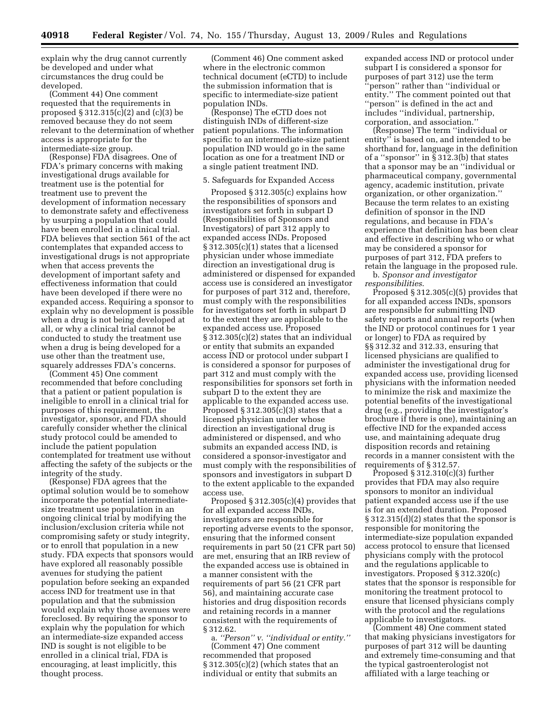explain why the drug cannot currently be developed and under what circumstances the drug could be developed.

(Comment 44) One comment requested that the requirements in proposed § 312.315(c)(2) and (c)(3) be removed because they do not seem relevant to the determination of whether access is appropriate for the intermediate-size group.

(Response) FDA disagrees. One of FDA's primary concerns with making investigational drugs available for treatment use is the potential for treatment use to prevent the development of information necessary to demonstrate safety and effectiveness by usurping a population that could have been enrolled in a clinical trial. FDA believes that section 561 of the act contemplates that expanded access to investigational drugs is not appropriate when that access prevents the development of important safety and effectiveness information that could have been developed if there were no expanded access. Requiring a sponsor to explain why no development is possible when a drug is not being developed at all, or why a clinical trial cannot be conducted to study the treatment use when a drug is being developed for a use other than the treatment use, squarely addresses FDA's concerns.

(Comment 45) One comment recommended that before concluding that a patient or patient population is ineligible to enroll in a clinical trial for purposes of this requirement, the investigator, sponsor, and FDA should carefully consider whether the clinical study protocol could be amended to include the patient population contemplated for treatment use without affecting the safety of the subjects or the integrity of the study.

(Response) FDA agrees that the optimal solution would be to somehow incorporate the potential intermediatesize treatment use population in an ongoing clinical trial by modifying the inclusion/exclusion criteria while not compromising safety or study integrity, or to enroll that population in a new study. FDA expects that sponsors would have explored all reasonably possible avenues for studying the patient population before seeking an expanded access IND for treatment use in that population and that the submission would explain why those avenues were foreclosed. By requiring the sponsor to explain why the population for which an intermediate-size expanded access IND is sought is not eligible to be enrolled in a clinical trial, FDA is encouraging, at least implicitly, this thought process.

(Comment 46) One comment asked where in the electronic common technical document (eCTD) to include the submission information that is specific to intermediate-size patient population INDs.

(Response) The eCTD does not distinguish INDs of different-size patient populations. The information specific to an intermediate-size patient population IND would go in the same location as one for a treatment IND or a single patient treatment IND.

#### 5. Safeguards for Expanded Access

Proposed § 312.305(c) explains how the responsibilities of sponsors and investigators set forth in subpart D (Responsibilities of Sponsors and Investigators) of part 312 apply to expanded access INDs. Proposed § 312.305(c)(1) states that a licensed physician under whose immediate direction an investigational drug is administered or dispensed for expanded access use is considered an investigator for purposes of part 312 and, therefore, must comply with the responsibilities for investigators set forth in subpart D to the extent they are applicable to the expanded access use. Proposed § 312.305(c)(2) states that an individual or entity that submits an expanded access IND or protocol under subpart I is considered a sponsor for purposes of part 312 and must comply with the responsibilities for sponsors set forth in subpart D to the extent they are applicable to the expanded access use. Proposed  $\S 312.305(c)(3)$  states that a licensed physician under whose direction an investigational drug is administered or dispensed, and who submits an expanded access IND, is considered a sponsor-investigator and must comply with the responsibilities of sponsors and investigators in subpart D to the extent applicable to the expanded access use.

Proposed § 312.305(c)(4) provides that for all expanded access INDs, investigators are responsible for reporting adverse events to the sponsor, ensuring that the informed consent requirements in part 50 (21 CFR part 50) are met, ensuring that an IRB review of the expanded access use is obtained in a manner consistent with the requirements of part 56 (21 CFR part 56), and maintaining accurate case histories and drug disposition records and retaining records in a manner consistent with the requirements of § 312.62.

a. *''Person'' v. ''individual or entity.''*  (Comment 47) One comment recommended that proposed § 312.305(c)(2) (which states that an individual or entity that submits an

expanded access IND or protocol under subpart I is considered a sponsor for purposes of part 312) use the term 'person" rather than "individual or entity.'' The comment pointed out that ''person'' is defined in the act and includes ''individual, partnership, corporation, and association.''

(Response) The term ''individual or entity'' is based on, and intended to be shorthand for, language in the definition of a "sponsor" in  $\bar{\S}$  312.3(b) that states that a sponsor may be an ''individual or pharmaceutical company, governmental agency, academic institution, private organization, or other organization.'' Because the term relates to an existing definition of sponsor in the IND regulations, and because in FDA's experience that definition has been clear and effective in describing who or what may be considered a sponsor for purposes of part 312, FDA prefers to retain the language in the proposed rule.

b. *Sponsor and investigator responsibilities*.

Proposed § 312.305(c)(5) provides that for all expanded access INDs, sponsors are responsible for submitting IND safety reports and annual reports (when the IND or protocol continues for 1 year or longer) to FDA as required by §§ 312.32 and 312.33, ensuring that licensed physicians are qualified to administer the investigational drug for expanded access use, providing licensed physicians with the information needed to minimize the risk and maximize the potential benefits of the investigational drug (e.g., providing the investigator's brochure if there is one), maintaining an effective IND for the expanded access use, and maintaining adequate drug disposition records and retaining records in a manner consistent with the requirements of § 312.57.

Proposed  $\S 312.310(c)(3)$  further provides that FDA may also require sponsors to monitor an individual patient expanded access use if the use is for an extended duration. Proposed § 312.315(d)(2) states that the sponsor is responsible for monitoring the intermediate-size population expanded access protocol to ensure that licensed physicians comply with the protocol and the regulations applicable to investigators. Proposed § 312.320(c) states that the sponsor is responsible for monitoring the treatment protocol to ensure that licensed physicians comply with the protocol and the regulations applicable to investigators.

(Comment 48) One comment stated that making physicians investigators for purposes of part 312 will be daunting and extremely time-consuming and that the typical gastroenterologist not affiliated with a large teaching or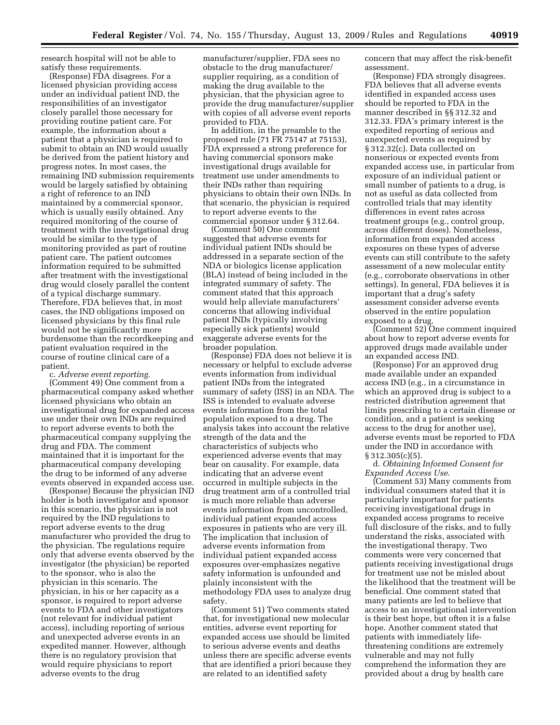research hospital will not be able to satisfy these requirements.

(Response) FDA disagrees. For a licensed physician providing access under an individual patient IND, the responsibilities of an investigator closely parallel those necessary for providing routine patient care. For example, the information about a patient that a physician is required to submit to obtain an IND would usually be derived from the patient history and progress notes. In most cases, the remaining IND submission requirements would be largely satisfied by obtaining a right of reference to an IND maintained by a commercial sponsor, which is usually easily obtained. Any required monitoring of the course of treatment with the investigational drug would be similar to the type of monitoring provided as part of routine patient care. The patient outcomes information required to be submitted after treatment with the investigational drug would closely parallel the content of a typical discharge summary. Therefore, FDA believes that, in most cases, the IND obligations imposed on licensed physicians by this final rule would not be significantly more burdensome than the recordkeeping and patient evaluation required in the course of routine clinical care of a patient.

c. *Adverse event reporting*.

(Comment 49) One comment from a pharmaceutical company asked whether licensed physicians who obtain an investigational drug for expanded access use under their own INDs are required to report adverse events to both the pharmaceutical company supplying the drug and FDA. The comment maintained that it is important for the pharmaceutical company developing the drug to be informed of any adverse events observed in expanded access use.

(Response) Because the physician IND holder is both investigator and sponsor in this scenario, the physician is not required by the IND regulations to report adverse events to the drug manufacturer who provided the drug to the physician. The regulations require only that adverse events observed by the investigator (the physician) be reported to the sponsor, who is also the physician in this scenario. The physician, in his or her capacity as a sponsor, is required to report adverse events to FDA and other investigators (not relevant for individual patient access), including reporting of serious and unexpected adverse events in an expedited manner. However, although there is no regulatory provision that would require physicians to report adverse events to the drug

manufacturer/supplier, FDA sees no obstacle to the drug manufacturer/ supplier requiring, as a condition of making the drug available to the physician, that the physician agree to provide the drug manufacturer/supplier with copies of all adverse event reports provided to FDA.

In addition, in the preamble to the proposed rule (71 FR 75147 at 75153), FDA expressed a strong preference for having commercial sponsors make investigational drugs available for treatment use under amendments to their INDs rather than requiring physicians to obtain their own INDs. In that scenario, the physician is required to report adverse events to the commercial sponsor under § 312.64.

(Comment 50) One comment suggested that adverse events for individual patient INDs should be addressed in a separate section of the NDA or biologics license application (BLA) instead of being included in the integrated summary of safety. The comment stated that this approach would help alleviate manufacturers' concerns that allowing individual patient INDs (typically involving especially sick patients) would exaggerate adverse events for the broader population.

(Response) FDA does not believe it is necessary or helpful to exclude adverse events information from individual patient INDs from the integrated summary of safety (ISS) in an NDA. The ISS is intended to evaluate adverse events information from the total population exposed to a drug. The analysis takes into account the relative strength of the data and the characteristics of subjects who experienced adverse events that may bear on causality. For example, data indicating that an adverse event occurred in multiple subjects in the drug treatment arm of a controlled trial is much more reliable than adverse events information from uncontrolled, individual patient expanded access exposures in patients who are very ill. The implication that inclusion of adverse events information from individual patient expanded access exposures over-emphasizes negative safety information is unfounded and plainly inconsistent with the methodology FDA uses to analyze drug safety.

(Comment 51) Two comments stated that, for investigational new molecular entities, adverse event reporting for expanded access use should be limited to serious adverse events and deaths unless there are specific adverse events that are identified a priori because they are related to an identified safety

concern that may affect the risk-benefit assessment.

(Response) FDA strongly disagrees. FDA believes that all adverse events identified in expanded access uses should be reported to FDA in the manner described in §§ 312.32 and 312.33. FDA's primary interest is the expedited reporting of serious and unexpected events as required by § 312.32(c). Data collected on nonserious or expected events from expanded access use, in particular from exposure of an individual patient or small number of patients to a drug, is not as useful as data collected from controlled trials that may identity differences in event rates across treatment groups (e.g., control group, across different doses). Nonetheless, information from expanded access exposures on these types of adverse events can still contribute to the safety assessment of a new molecular entity (e.g., corroborate observations in other settings). In general, FDA believes it is important that a drug's safety assessment consider adverse events observed in the entire population exposed to a drug.

(Comment 52) One comment inquired about how to report adverse events for approved drugs made available under an expanded access IND.

(Response) For an approved drug made available under an expanded access IND (e.g., in a circumstance in which an approved drug is subject to a restricted distribution agreement that limits prescribing to a certain disease or condition, and a patient is seeking access to the drug for another use), adverse events must be reported to FDA under the IND in accordance with § 312.305(c)(5).

d. *Obtaining Informed Consent for Expanded Access Use*.

(Comment 53) Many comments from individual consumers stated that it is particularly important for patients receiving investigational drugs in expanded access programs to receive full disclosure of the risks, and to fully understand the risks, associated with the investigational therapy. Two comments were very concerned that patients receiving investigational drugs for treatment use not be misled about the likelihood that the treatment will be beneficial. One comment stated that many patients are led to believe that access to an investigational intervention is their best hope, but often it is a false hope. Another comment stated that patients with immediately lifethreatening conditions are extremely vulnerable and may not fully comprehend the information they are provided about a drug by health care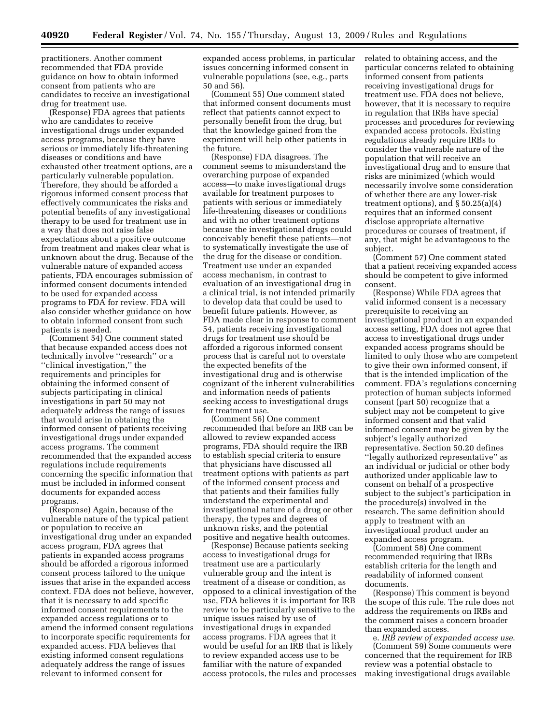practitioners. Another comment recommended that FDA provide guidance on how to obtain informed consent from patients who are candidates to receive an investigational drug for treatment use.

(Response) FDA agrees that patients who are candidates to receive investigational drugs under expanded access programs, because they have serious or immediately life-threatening diseases or conditions and have exhausted other treatment options, are a particularly vulnerable population. Therefore, they should be afforded a rigorous informed consent process that effectively communicates the risks and potential benefits of any investigational therapy to be used for treatment use in a way that does not raise false expectations about a positive outcome from treatment and makes clear what is unknown about the drug. Because of the vulnerable nature of expanded access patients, FDA encourages submission of informed consent documents intended to be used for expanded access programs to FDA for review. FDA will also consider whether guidance on how to obtain informed consent from such patients is needed.

(Comment 54) One comment stated that because expanded access does not technically involve ''research'' or a ''clinical investigation,'' the requirements and principles for obtaining the informed consent of subjects participating in clinical investigations in part 50 may not adequately address the range of issues that would arise in obtaining the informed consent of patients receiving investigational drugs under expanded access programs. The comment recommended that the expanded access regulations include requirements concerning the specific information that must be included in informed consent documents for expanded access programs.

(Response) Again, because of the vulnerable nature of the typical patient or population to receive an investigational drug under an expanded access program, FDA agrees that patients in expanded access programs should be afforded a rigorous informed consent process tailored to the unique issues that arise in the expanded access context. FDA does not believe, however, that it is necessary to add specific informed consent requirements to the expanded access regulations or to amend the informed consent regulations to incorporate specific requirements for expanded access. FDA believes that existing informed consent regulations adequately address the range of issues relevant to informed consent for

expanded access problems, in particular issues concerning informed consent in vulnerable populations (see, e.g., parts 50 and 56).

(Comment 55) One comment stated that informed consent documents must reflect that patients cannot expect to personally benefit from the drug, but that the knowledge gained from the experiment will help other patients in the future.

(Response) FDA disagrees. The comment seems to misunderstand the overarching purpose of expanded access—to make investigational drugs available for treatment purposes to patients with serious or immediately life-threatening diseases or conditions and with no other treatment options because the investigational drugs could conceivably benefit these patients—not to systematically investigate the use of the drug for the disease or condition. Treatment use under an expanded access mechanism, in contrast to evaluation of an investigational drug in a clinical trial, is not intended primarily to develop data that could be used to benefit future patients. However, as FDA made clear in response to comment 54, patients receiving investigational drugs for treatment use should be afforded a rigorous informed consent process that is careful not to overstate the expected benefits of the investigational drug and is otherwise cognizant of the inherent vulnerabilities and information needs of patients seeking access to investigational drugs for treatment use.

(Comment 56) One comment recommended that before an IRB can be allowed to review expanded access programs, FDA should require the IRB to establish special criteria to ensure that physicians have discussed all treatment options with patients as part of the informed consent process and that patients and their families fully understand the experimental and investigational nature of a drug or other therapy, the types and degrees of unknown risks, and the potential positive and negative health outcomes.

(Response) Because patients seeking access to investigational drugs for treatment use are a particularly vulnerable group and the intent is treatment of a disease or condition, as opposed to a clinical investigation of the use, FDA believes it is important for IRB review to be particularly sensitive to the unique issues raised by use of investigational drugs in expanded access programs. FDA agrees that it would be useful for an IRB that is likely to review expanded access use to be familiar with the nature of expanded access protocols, the rules and processes related to obtaining access, and the particular concerns related to obtaining informed consent from patients receiving investigational drugs for treatment use. FDA does not believe, however, that it is necessary to require in regulation that IRBs have special processes and procedures for reviewing expanded access protocols. Existing regulations already require IRBs to consider the vulnerable nature of the population that will receive an investigational drug and to ensure that risks are minimized (which would necessarily involve some consideration of whether there are any lower-risk treatment options), and § 50.25(a)(4) requires that an informed consent disclose appropriate alternative procedures or courses of treatment, if any, that might be advantageous to the subject.

(Comment 57) One comment stated that a patient receiving expanded access should be competent to give informed consent.

(Response) While FDA agrees that valid informed consent is a necessary prerequisite to receiving an investigational product in an expanded access setting, FDA does not agree that access to investigational drugs under expanded access programs should be limited to only those who are competent to give their own informed consent, if that is the intended implication of the comment. FDA's regulations concerning protection of human subjects informed consent (part 50) recognize that a subject may not be competent to give informed consent and that valid informed consent may be given by the subject's legally authorized representative. Section 50.20 defines ''legally authorized representative'' as an individual or judicial or other body authorized under applicable law to consent on behalf of a prospective subject to the subject's participation in the procedure(s) involved in the research. The same definition should apply to treatment with an investigational product under an expanded access program.

(Comment 58) One comment recommended requiring that IRBs establish criteria for the length and readability of informed consent documents.

(Response) This comment is beyond the scope of this rule. The rule does not address the requirements on IRBs and the comment raises a concern broader than expanded access.

e. *IRB review of expanded access use*. (Comment 59) Some comments were concerned that the requirement for IRB review was a potential obstacle to making investigational drugs available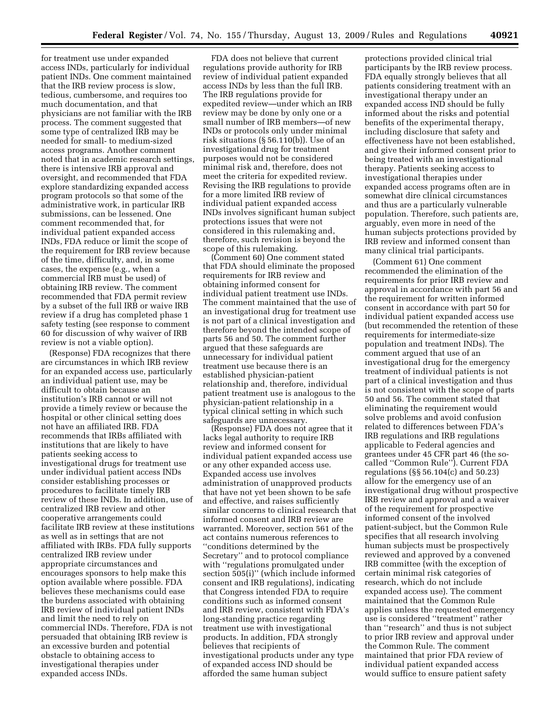for treatment use under expanded access INDs, particularly for individual patient INDs. One comment maintained that the IRB review process is slow, tedious, cumbersome, and requires too much documentation, and that physicians are not familiar with the IRB process. The comment suggested that some type of centralized IRB may be needed for small- to medium-sized access programs. Another comment noted that in academic research settings, there is intensive IRB approval and oversight, and recommended that FDA explore standardizing expanded access program protocols so that some of the administrative work, in particular IRB submissions, can be lessened. One comment recommended that, for individual patient expanded access INDs, FDA reduce or limit the scope of the requirement for IRB review because of the time, difficulty, and, in some cases, the expense (e.g., when a commercial IRB must be used) of obtaining IRB review. The comment recommended that FDA permit review by a subset of the full IRB or waive IRB review if a drug has completed phase 1 safety testing (see response to comment 60 for discussion of why waiver of IRB review is not a viable option).

(Response) FDA recognizes that there are circumstances in which IRB review for an expanded access use, particularly an individual patient use, may be difficult to obtain because an institution's IRB cannot or will not provide a timely review or because the hospital or other clinical setting does not have an affiliated IRB. FDA recommends that IRBs affiliated with institutions that are likely to have patients seeking access to investigational drugs for treatment use under individual patient access INDs consider establishing processes or procedures to facilitate timely IRB review of these INDs. In addition, use of centralized IRB review and other cooperative arrangements could facilitate IRB review at these institutions as well as in settings that are not affiliated with IRBs. FDA fully supports centralized IRB review under appropriate circumstances and encourages sponsors to help make this option available where possible. FDA believes these mechanisms could ease the burdens associated with obtaining IRB review of individual patient INDs and limit the need to rely on commercial INDs. Therefore, FDA is not persuaded that obtaining IRB review is an excessive burden and potential obstacle to obtaining access to investigational therapies under expanded access INDs.

FDA does not believe that current regulations provide authority for IRB review of individual patient expanded access INDs by less than the full IRB. The IRB regulations provide for expedited review—under which an IRB review may be done by only one or a small number of IRB members—of new INDs or protocols only under minimal risk situations (§ 56.110(b)). Use of an investigational drug for treatment purposes would not be considered minimal risk and, therefore, does not meet the criteria for expedited review. Revising the IRB regulations to provide for a more limited IRB review of individual patient expanded access INDs involves significant human subject protections issues that were not considered in this rulemaking and, therefore, such revision is beyond the scope of this rulemaking.

(Comment 60) One comment stated that FDA should eliminate the proposed requirements for IRB review and obtaining informed consent for individual patient treatment use INDs. The comment maintained that the use of an investigational drug for treatment use is not part of a clinical investigation and therefore beyond the intended scope of parts 56 and 50. The comment further argued that these safeguards are unnecessary for individual patient treatment use because there is an established physician-patient relationship and, therefore, individual patient treatment use is analogous to the physician-patient relationship in a typical clinical setting in which such safeguards are unnecessary.

(Response) FDA does not agree that it lacks legal authority to require IRB review and informed consent for individual patient expanded access use or any other expanded access use. Expanded access use involves administration of unapproved products that have not yet been shown to be safe and effective, and raises sufficiently similar concerns to clinical research that informed consent and IRB review are warranted. Moreover, section 561 of the act contains numerous references to ''conditions determined by the Secretary'' and to protocol compliance with ''regulations promulgated under section 505(i)'' (which include informed consent and IRB regulations), indicating that Congress intended FDA to require conditions such as informed consent and IRB review, consistent with FDA's long-standing practice regarding treatment use with investigational products. In addition, FDA strongly believes that recipients of investigational products under any type of expanded access IND should be afforded the same human subject

protections provided clinical trial participants by the IRB review process. FDA equally strongly believes that all patients considering treatment with an investigational therapy under an expanded access IND should be fully informed about the risks and potential benefits of the experimental therapy, including disclosure that safety and effectiveness have not been established, and give their informed consent prior to being treated with an investigational therapy. Patients seeking access to investigational therapies under expanded access programs often are in somewhat dire clinical circumstances and thus are a particularly vulnerable population. Therefore, such patients are, arguably, even more in need of the human subjects protections provided by IRB review and informed consent than many clinical trial participants.

(Comment 61) One comment recommended the elimination of the requirements for prior IRB review and approval in accordance with part 56 and the requirement for written informed consent in accordance with part 50 for individual patient expanded access use (but recommended the retention of these requirements for intermediate-size population and treatment INDs). The comment argued that use of an investigational drug for the emergency treatment of individual patients is not part of a clinical investigation and thus is not consistent with the scope of parts 50 and 56. The comment stated that eliminating the requirement would solve problems and avoid confusion related to differences between FDA's IRB regulations and IRB regulations applicable to Federal agencies and grantees under 45 CFR part 46 (the socalled ''Common Rule''). Current FDA regulations (§§ 56.104(c) and 50.23) allow for the emergency use of an investigational drug without prospective IRB review and approval and a waiver of the requirement for prospective informed consent of the involved patient-subject, but the Common Rule specifies that all research involving human subjects must be prospectively reviewed and approved by a convened IRB committee (with the exception of certain minimal risk categories of research, which do not include expanded access use). The comment maintained that the Common Rule applies unless the requested emergency use is considered ''treatment'' rather than ''research'' and thus is not subject to prior IRB review and approval under the Common Rule. The comment maintained that prior FDA review of individual patient expanded access would suffice to ensure patient safety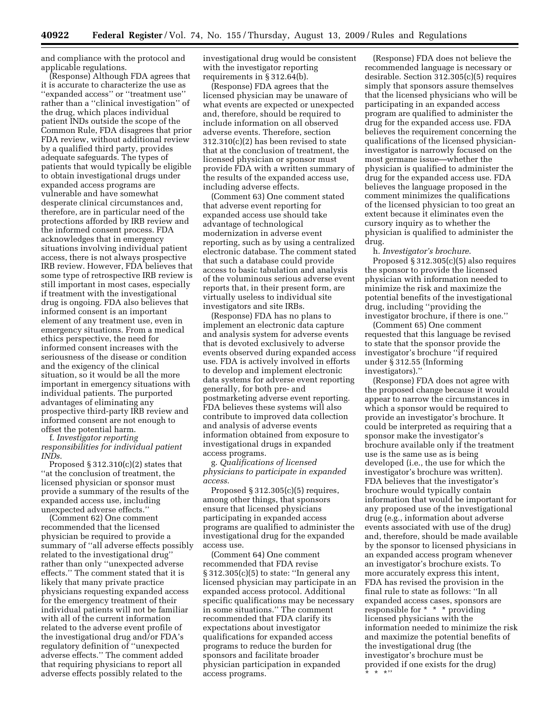and compliance with the protocol and applicable regulations.

(Response) Although FDA agrees that it is accurate to characterize the use as ''expanded access'' or ''treatment use'' rather than a ''clinical investigation'' of the drug, which places individual patient INDs outside the scope of the Common Rule, FDA disagrees that prior FDA review, without additional review by a qualified third party, provides adequate safeguards. The types of patients that would typically be eligible to obtain investigational drugs under expanded access programs are vulnerable and have somewhat desperate clinical circumstances and, therefore, are in particular need of the protections afforded by IRB review and the informed consent process. FDA acknowledges that in emergency situations involving individual patient access, there is not always prospective IRB review. However, FDA believes that some type of retrospective IRB review is still important in most cases, especially if treatment with the investigational drug is ongoing. FDA also believes that informed consent is an important element of any treatment use, even in emergency situations. From a medical ethics perspective, the need for informed consent increases with the seriousness of the disease or condition and the exigency of the clinical situation, so it would be all the more important in emergency situations with individual patients. The purported advantages of eliminating any prospective third-party IRB review and informed consent are not enough to offset the potential harm.

f. *Investigator reporting responsibilities for individual patient INDs*.

Proposed  $\S 312.310(c)(2)$  states that ''at the conclusion of treatment, the licensed physician or sponsor must provide a summary of the results of the expanded access use, including unexpected adverse effects.''

(Comment 62) One comment recommended that the licensed physician be required to provide a summary of ''all adverse effects possibly related to the investigational drug'' rather than only ''unexpected adverse effects.'' The comment stated that it is likely that many private practice physicians requesting expanded access for the emergency treatment of their individual patients will not be familiar with all of the current information related to the adverse event profile of the investigational drug and/or FDA's regulatory definition of ''unexpected adverse effects.'' The comment added that requiring physicians to report all adverse effects possibly related to the

investigational drug would be consistent with the investigator reporting requirements in § 312.64(b).

(Response) FDA agrees that the licensed physician may be unaware of what events are expected or unexpected and, therefore, should be required to include information on all observed adverse events. Therefore, section 312.310(c)(2) has been revised to state that at the conclusion of treatment, the licensed physician or sponsor must provide FDA with a written summary of the results of the expanded access use, including adverse effects.

(Comment 63) One comment stated that adverse event reporting for expanded access use should take advantage of technological modernization in adverse event reporting, such as by using a centralized electronic database. The comment stated that such a database could provide access to basic tabulation and analysis of the voluminous serious adverse event reports that, in their present form, are virtually useless to individual site investigators and site IRBs.

(Response) FDA has no plans to implement an electronic data capture and analysis system for adverse events that is devoted exclusively to adverse events observed during expanded access use. FDA is actively involved in efforts to develop and implement electronic data systems for adverse event reporting generally, for both pre- and postmarketing adverse event reporting. FDA believes these systems will also contribute to improved data collection and analysis of adverse events information obtained from exposure to investigational drugs in expanded access programs.

g. *Qualifications of licensed physicians to participate in expanded access*.

Proposed § 312.305(c)(5) requires, among other things, that sponsors ensure that licensed physicians participating in expanded access programs are qualified to administer the investigational drug for the expanded access use.

(Comment 64) One comment recommended that FDA revise § 312.305(c)(5) to state: ''In general any licensed physician may participate in an expanded access protocol. Additional specific qualifications may be necessary in some situations.'' The comment recommended that FDA clarify its expectations about investigator qualifications for expanded access programs to reduce the burden for sponsors and facilitate broader physician participation in expanded access programs.

(Response) FDA does not believe the recommended language is necessary or desirable. Section 312.305(c)(5) requires simply that sponsors assure themselves that the licensed physicians who will be participating in an expanded access program are qualified to administer the drug for the expanded access use. FDA believes the requirement concerning the qualifications of the licensed physicianinvestigator is narrowly focused on the most germane issue—whether the physician is qualified to administer the drug for the expanded access use. FDA believes the language proposed in the comment minimizes the qualifications of the licensed physician to too great an extent because it eliminates even the cursory inquiry as to whether the physician is qualified to administer the drug.

h. *Investigator's brochure*.

Proposed § 312.305(c)(5) also requires the sponsor to provide the licensed physician with information needed to minimize the risk and maximize the potential benefits of the investigational drug, including ''providing the investigator brochure, if there is one.''

(Comment 65) One comment requested that this language be revised to state that the sponsor provide the investigator's brochure ''if required under § 312.55 (Informing investigators).''

(Response) FDA does not agree with the proposed change because it would appear to narrow the circumstances in which a sponsor would be required to provide an investigator's brochure. It could be interpreted as requiring that a sponsor make the investigator's brochure available only if the treatment use is the same use as is being developed (i.e., the use for which the investigator's brochure was written). FDA believes that the investigator's brochure would typically contain information that would be important for any proposed use of the investigational drug (e.g., information about adverse events associated with use of the drug) and, therefore, should be made available by the sponsor to licensed physicians in an expanded access program whenever an investigator's brochure exists. To more accurately express this intent, FDA has revised the provision in the final rule to state as follows: ''In all expanded access cases, sponsors are responsible for \* \* \* providing licensed physicians with the information needed to minimize the risk and maximize the potential benefits of the investigational drug (the investigator's brochure must be provided if one exists for the drug) \* \* \*''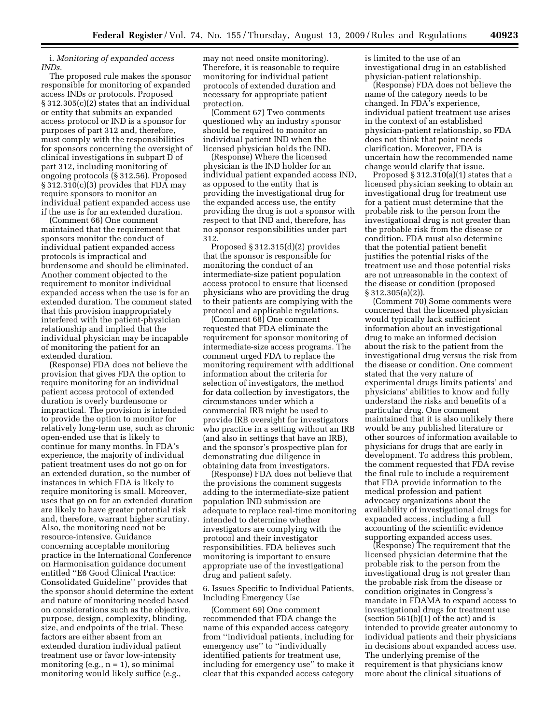# i. *Monitoring of expanded access INDs*.

The proposed rule makes the sponsor responsible for monitoring of expanded access INDs or protocols. Proposed § 312.305(c)(2) states that an individual or entity that submits an expanded access protocol or IND is a sponsor for purposes of part 312 and, therefore, must comply with the responsibilities for sponsors concerning the oversight of clinical investigations in subpart D of part 312, including monitoring of ongoing protocols (§ 312.56). Proposed § 312.310(c)(3) provides that FDA may require sponsors to monitor an individual patient expanded access use if the use is for an extended duration.

(Comment 66) One comment maintained that the requirement that sponsors monitor the conduct of individual patient expanded access protocols is impractical and burdensome and should be eliminated. Another comment objected to the requirement to monitor individual expanded access when the use is for an extended duration. The comment stated that this provision inappropriately interfered with the patient-physician relationship and implied that the individual physician may be incapable of monitoring the patient for an extended duration.

(Response) FDA does not believe the provision that gives FDA the option to require monitoring for an individual patient access protocol of extended duration is overly burdensome or impractical. The provision is intended to provide the option to monitor for relatively long-term use, such as chronic open-ended use that is likely to continue for many months. In FDA's experience, the majority of individual patient treatment uses do not go on for an extended duration, so the number of instances in which FDA is likely to require monitoring is small. Moreover, uses that go on for an extended duration are likely to have greater potential risk and, therefore, warrant higher scrutiny. Also, the monitoring need not be resource-intensive. Guidance concerning acceptable monitoring practice in the International Conference on Harmonisation guidance document entitled ''E6 Good Clinical Practice: Consolidated Guideline'' provides that the sponsor should determine the extent and nature of monitoring needed based on considerations such as the objective, purpose, design, complexity, blinding, size, and endpoints of the trial. These factors are either absent from an extended duration individual patient treatment use or favor low-intensity monitoring (e.g.,  $n = 1$ ), so minimal monitoring would likely suffice (e.g.,

may not need onsite monitoring). Therefore, it is reasonable to require monitoring for individual patient protocols of extended duration and necessary for appropriate patient protection.

(Comment 67) Two comments questioned why an industry sponsor should be required to monitor an individual patient IND when the licensed physician holds the IND.

(Response) Where the licensed physician is the IND holder for an individual patient expanded access IND, as opposed to the entity that is providing the investigational drug for the expanded access use, the entity providing the drug is not a sponsor with respect to that IND and, therefore, has no sponsor responsibilities under part 312.

Proposed § 312.315(d)(2) provides that the sponsor is responsible for monitoring the conduct of an intermediate-size patient population access protocol to ensure that licensed physicians who are providing the drug to their patients are complying with the protocol and applicable regulations.

(Comment 68) One comment requested that FDA eliminate the requirement for sponsor monitoring of intermediate-size access programs. The comment urged FDA to replace the monitoring requirement with additional information about the criteria for selection of investigators, the method for data collection by investigators, the circumstances under which a commercial IRB might be used to provide IRB oversight for investigators who practice in a setting without an IRB (and also in settings that have an IRB), and the sponsor's prospective plan for demonstrating due diligence in obtaining data from investigators.

(Response) FDA does not believe that the provisions the comment suggests adding to the intermediate-size patient population IND submission are adequate to replace real-time monitoring intended to determine whether investigators are complying with the protocol and their investigator responsibilities. FDA believes such monitoring is important to ensure appropriate use of the investigational drug and patient safety.

6. Issues Specific to Individual Patients, Including Emergency Use

(Comment 69) One comment recommended that FDA change the name of this expanded access category from ''individual patients, including for emergency use'' to ''individually identified patients for treatment use, including for emergency use'' to make it clear that this expanded access category

is limited to the use of an investigational drug in an established physician-patient relationship.

(Response) FDA does not believe the name of the category needs to be changed. In FDA's experience, individual patient treatment use arises in the context of an established physician-patient relationship, so FDA does not think that point needs clarification. Moreover, FDA is uncertain how the recommended name change would clarify that issue.

Proposed  $\S 312.310(a)(1)$  states that a licensed physician seeking to obtain an investigational drug for treatment use for a patient must determine that the probable risk to the person from the investigational drug is not greater than the probable risk from the disease or condition. FDA must also determine that the potential patient benefit justifies the potential risks of the treatment use and those potential risks are not unreasonable in the context of the disease or condition (proposed § 312.305(a)(2)).

(Comment 70) Some comments were concerned that the licensed physician would typically lack sufficient information about an investigational drug to make an informed decision about the risk to the patient from the investigational drug versus the risk from the disease or condition. One comment stated that the very nature of experimental drugs limits patients' and physicians' abilities to know and fully understand the risks and benefits of a particular drug. One comment maintained that it is also unlikely there would be any published literature or other sources of information available to physicians for drugs that are early in development. To address this problem, the comment requested that FDA revise the final rule to include a requirement that FDA provide information to the medical profession and patient advocacy organizations about the availability of investigational drugs for expanded access, including a full accounting of the scientific evidence supporting expanded access uses.

(Response) The requirement that the licensed physician determine that the probable risk to the person from the investigational drug is not greater than the probable risk from the disease or condition originates in Congress's mandate in FDAMA to expand access to investigational drugs for treatment use (section  $561(b)(1)$  of the act) and is intended to provide greater autonomy to individual patients and their physicians in decisions about expanded access use. The underlying premise of the requirement is that physicians know more about the clinical situations of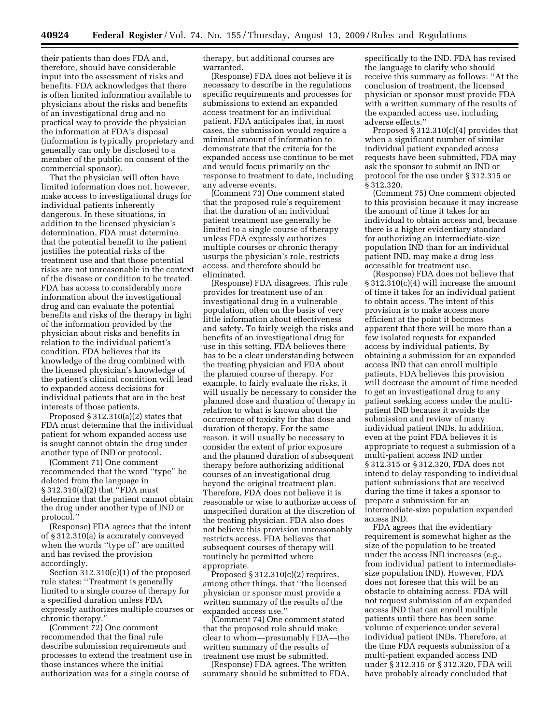their patients than does FDA and, therefore, should have considerable input into the assessment of risks and benefits. FDA acknowledges that there is often limited information available to physicians about the risks and benefits of an investigational drug and no practical way to provide the physician the information at FDA's disposal (information is typically proprietary and generally can only be disclosed to a member of the public on consent of the commercial sponsor).

That the physician will often have limited information does not, however, make access to investigational drugs for individual patients inherently dangerous. In these situations, in addition to the licensed physician's determination, FDA must determine that the potential benefit to the patient justifies the potential risks of the treatment use and that those potential risks are not unreasonable in the context of the disease or condition to be treated. FDA has access to considerably more information about the investigational drug and can evaluate the potential benefits and risks of the therapy in light of the information provided by the physician about risks and benefits in relation to the individual patient's condition. FDA believes that its knowledge of the drug combined with the licensed physician's knowledge of the patient's clinical condition will lead to expanded access decisions for individual patients that are in the best interests of those patients.

Proposed § 312.310(a)(2) states that FDA must determine that the individual patient for whom expanded access use is sought cannot obtain the drug under another type of IND or protocol.

(Comment 71) One comment recommended that the word ''type'' be deleted from the language in § 312.310(a)(2) that ''FDA must determine that the patient cannot obtain the drug under another type of IND or protocol.''

(Response) FDA agrees that the intent of § 312.310(a) is accurately conveyed when the words ''type of'' are omitted and has revised the provision accordingly.

Section 312.310(c)(1) of the proposed rule states: ''Treatment is generally limited to a single course of therapy for a specified duration unless FDA expressly authorizes multiple courses or chronic therapy.''

(Comment 72) One comment recommended that the final rule describe submission requirements and processes to extend the treatment use in those instances where the initial authorization was for a single course of

therapy, but additional courses are warranted.

(Response) FDA does not believe it is necessary to describe in the regulations specific requirements and processes for submissions to extend an expanded access treatment for an individual patient. FDA anticipates that, in most cases, the submission would require a minimal amount of information to demonstrate that the criteria for the expanded access use continue to be met and would focus primarily on the response to treatment to date, including any adverse events.

(Comment 73) One comment stated that the proposed rule's requirement that the duration of an individual patient treatment use generally be limited to a single course of therapy unless FDA expressly authorizes multiple courses or chronic therapy usurps the physician's role, restricts access, and therefore should be eliminated.

(Response) FDA disagrees. This rule provides for treatment use of an investigational drug in a vulnerable population, often on the basis of very little information about effectiveness and safety. To fairly weigh the risks and benefits of an investigational drug for use in this setting, FDA believes there has to be a clear understanding between the treating physician and FDA about the planned course of therapy. For example, to fairly evaluate the risks, it will usually be necessary to consider the planned dose and duration of therapy in relation to what is known about the occurrence of toxicity for that dose and duration of therapy. For the same reason, it will usually be necessary to consider the extent of prior exposure and the planned duration of subsequent therapy before authorizing additional courses of an investigational drug beyond the original treatment plan. Therefore, FDA does not believe it is reasonable or wise to authorize access of unspecified duration at the discretion of the treating physician. FDA also does not believe this provision unreasonably restricts access. FDA believes that subsequent courses of therapy will routinely be permitted where appropriate.

Proposed  $\S 312.310(c)(2)$  requires, among other things, that ''the licensed physician or sponsor must provide a written summary of the results of the expanded access use.''

(Comment 74) One comment stated that the proposed rule should make clear to whom—presumably FDA—the written summary of the results of treatment use must be submitted.

(Response) FDA agrees. The written summary should be submitted to FDA,

specifically to the IND. FDA has revised the language to clarify who should receive this summary as follows: ''At the conclusion of treatment, the licensed physician or sponsor must provide FDA with a written summary of the results of the expanded access use, including adverse effects.''

Proposed § 312.310(c)(4) provides that when a significant number of similar individual patient expanded access requests have been submitted, FDA may ask the sponsor to submit an IND or protocol for the use under § 312.315 or § 312.320.

(Comment 75) One comment objected to this provision because it may increase the amount of time it takes for an individual to obtain access and, because there is a higher evidentiary standard for authorizing an intermediate-size population IND than for an individual patient IND, may make a drug less accessible for treatment use.

(Response) FDA does not believe that § 312.310(c)(4) will increase the amount of time it takes for an individual patient to obtain access. The intent of this provision is to make access more efficient at the point it becomes apparent that there will be more than a few isolated requests for expanded access by individual patients. By obtaining a submission for an expanded access IND that can enroll multiple patients, FDA believes this provision will decrease the amount of time needed to get an investigational drug to any patient seeking access under the multipatient IND because it avoids the submission and review of many individual patient INDs. In addition, even at the point FDA believes it is appropriate to request a submission of a multi-patient access IND under § 312.315 or § 312.320, FDA does not intend to delay responding to individual patient submissions that are received during the time it takes a sponsor to prepare a submission for an intermediate-size population expanded access IND.

FDA agrees that the evidentiary requirement is somewhat higher as the size of the population to be treated under the access IND increases (e.g., from individual patient to intermediatesize population IND). However, FDA does not foresee that this will be an obstacle to obtaining access. FDA will not request submission of an expanded access IND that can enroll multiple patients until there has been some volume of experience under several individual patient INDs. Therefore, at the time FDA requests submission of a multi-patient expanded access IND under § 312.315 or § 312.320, FDA will have probably already concluded that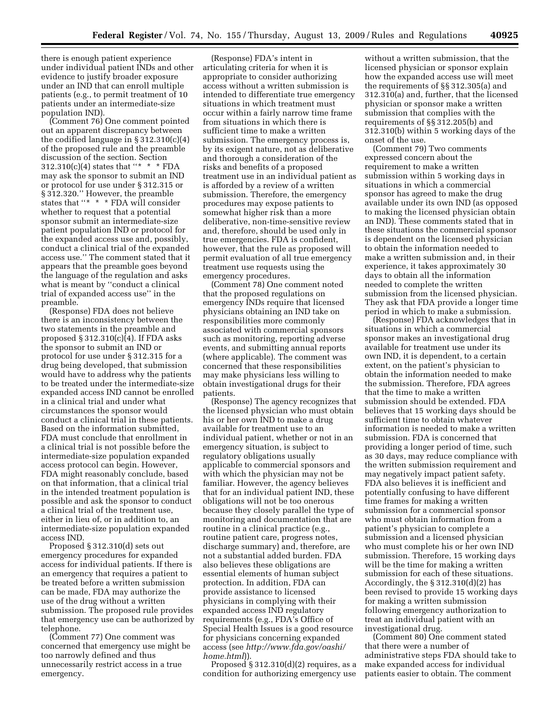there is enough patient experience under individual patient INDs and other evidence to justify broader exposure under an IND that can enroll multiple patients (e.g., to permit treatment of 10 patients under an intermediate-size population IND).

(Comment 76) One comment pointed out an apparent discrepancy between the codified language in § 312.310(c)(4) of the proposed rule and the preamble discussion of the section. Section  $312.310(c)(4)$  states that "\* \* \* FDA may ask the sponsor to submit an IND or protocol for use under § 312.315 or § 312.320.'' However, the preamble states that ''\* \* \* FDA will consider whether to request that a potential sponsor submit an intermediate-size patient population IND or protocol for the expanded access use and, possibly, conduct a clinical trial of the expanded access use.'' The comment stated that it appears that the preamble goes beyond the language of the regulation and asks what is meant by ''conduct a clinical trial of expanded access use'' in the preamble.

(Response) FDA does not believe there is an inconsistency between the two statements in the preamble and proposed  $\S 312.310(c)(4)$ . If FDA asks the sponsor to submit an IND or protocol for use under § 312.315 for a drug being developed, that submission would have to address why the patients to be treated under the intermediate-size expanded access IND cannot be enrolled in a clinical trial and under what circumstances the sponsor would conduct a clinical trial in these patients. Based on the information submitted, FDA must conclude that enrollment in a clinical trial is not possible before the intermediate-size population expanded access protocol can begin. However, FDA might reasonably conclude, based on that information, that a clinical trial in the intended treatment population is possible and ask the sponsor to conduct a clinical trial of the treatment use, either in lieu of, or in addition to, an intermediate-size population expanded access IND.

Proposed § 312.310(d) sets out emergency procedures for expanded access for individual patients. If there is an emergency that requires a patient to be treated before a written submission can be made, FDA may authorize the use of the drug without a written submission. The proposed rule provides that emergency use can be authorized by telephone.

(Comment 77) One comment was concerned that emergency use might be too narrowly defined and thus unnecessarily restrict access in a true emergency.

(Response) FDA's intent in articulating criteria for when it is appropriate to consider authorizing access without a written submission is intended to differentiate true emergency situations in which treatment must occur within a fairly narrow time frame from situations in which there is sufficient time to make a written submission. The emergency process is, by its exigent nature, not as deliberative and thorough a consideration of the risks and benefits of a proposed treatment use in an individual patient as is afforded by a review of a written submission. Therefore, the emergency procedures may expose patients to somewhat higher risk than a more deliberative, non-time-sensitive review and, therefore, should be used only in true emergencies. FDA is confident, however, that the rule as proposed will permit evaluation of all true emergency treatment use requests using the emergency procedures.

(Comment 78) One comment noted that the proposed regulations on emergency INDs require that licensed physicians obtaining an IND take on responsibilities more commonly associated with commercial sponsors such as monitoring, reporting adverse events, and submitting annual reports (where applicable). The comment was concerned that these responsibilities may make physicians less willing to obtain investigational drugs for their patients.

(Response) The agency recognizes that the licensed physician who must obtain his or her own IND to make a drug available for treatment use to an individual patient, whether or not in an emergency situation, is subject to regulatory obligations usually applicable to commercial sponsors and with which the physician may not be familiar. However, the agency believes that for an individual patient IND, these obligations will not be too onerous because they closely parallel the type of monitoring and documentation that are routine in a clinical practice (e.g., routine patient care, progress notes, discharge summary) and, therefore, are not a substantial added burden. FDA also believes these obligations are essential elements of human subject protection. In addition, FDA can provide assistance to licensed physicians in complying with their expanded access IND regulatory requirements (e.g., FDA's Office of Special Health Issues is a good resource for physicians concerning expanded access (see *http://www.fda.gov/oashi/ home.html*)).

Proposed  $\S 312.310(d)(2)$  requires, as a condition for authorizing emergency use

without a written submission, that the licensed physician or sponsor explain how the expanded access use will meet the requirements of §§ 312.305(a) and 312.310(a) and, further, that the licensed physician or sponsor make a written submission that complies with the requirements of §§ 312.205(b) and 312.310(b) within 5 working days of the onset of the use.

(Comment 79) Two comments expressed concern about the requirement to make a written submission within 5 working days in situations in which a commercial sponsor has agreed to make the drug available under its own IND (as opposed to making the licensed physician obtain an IND). These comments stated that in these situations the commercial sponsor is dependent on the licensed physician to obtain the information needed to make a written submission and, in their experience, it takes approximately 30 days to obtain all the information needed to complete the written submission from the licensed physician. They ask that FDA provide a longer time period in which to make a submission.

(Response) FDA acknowledges that in situations in which a commercial sponsor makes an investigational drug available for treatment use under its own IND, it is dependent, to a certain extent, on the patient's physician to obtain the information needed to make the submission. Therefore, FDA agrees that the time to make a written submission should be extended. FDA believes that 15 working days should be sufficient time to obtain whatever information is needed to make a written submission. FDA is concerned that providing a longer period of time, such as 30 days, may reduce compliance with the written submission requirement and may negatively impact patient safety. FDA also believes it is inefficient and potentially confusing to have different time frames for making a written submission for a commercial sponsor who must obtain information from a patient's physician to complete a submission and a licensed physician who must complete his or her own IND submission. Therefore, 15 working days will be the time for making a written submission for each of these situations. Accordingly, the  $\S 312.310(d)(2)$  has been revised to provide 15 working days for making a written submission following emergency authorization to treat an individual patient with an investigational drug.

(Comment 80) One comment stated that there were a number of administrative steps FDA should take to make expanded access for individual patients easier to obtain. The comment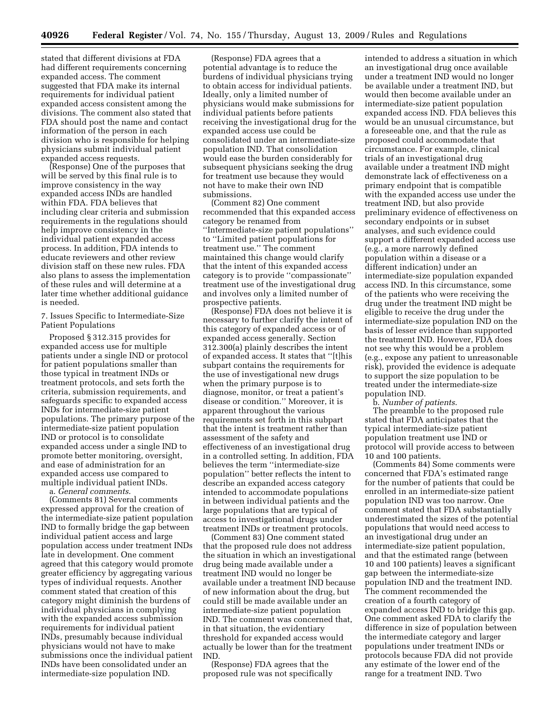stated that different divisions at FDA had different requirements concerning expanded access. The comment suggested that FDA make its internal requirements for individual patient expanded access consistent among the divisions. The comment also stated that FDA should post the name and contact information of the person in each division who is responsible for helping physicians submit individual patient expanded access requests.

(Response) One of the purposes that will be served by this final rule is to improve consistency in the way expanded access INDs are handled within FDA. FDA believes that including clear criteria and submission requirements in the regulations should help improve consistency in the individual patient expanded access process. In addition, FDA intends to educate reviewers and other review division staff on these new rules. FDA also plans to assess the implementation of these rules and will determine at a later time whether additional guidance is needed.

## 7. Issues Specific to Intermediate-Size Patient Populations

Proposed § 312.315 provides for expanded access use for multiple patients under a single IND or protocol for patient populations smaller than those typical in treatment INDs or treatment protocols, and sets forth the criteria, submission requirements, and safeguards specific to expanded access INDs for intermediate-size patient populations. The primary purpose of the intermediate-size patient population IND or protocol is to consolidate expanded access under a single IND to promote better monitoring, oversight, and ease of administration for an expanded access use compared to multiple individual patient INDs.

a. *General comments*.

(Comments 81) Several comments expressed approval for the creation of the intermediate-size patient population IND to formally bridge the gap between individual patient access and large population access under treatment INDs late in development. One comment agreed that this category would promote greater efficiency by aggregating various types of individual requests. Another comment stated that creation of this category might diminish the burdens of individual physicians in complying with the expanded access submission requirements for individual patient INDs, presumably because individual physicians would not have to make submissions once the individual patient INDs have been consolidated under an intermediate-size population IND.

(Response) FDA agrees that a potential advantage is to reduce the burdens of individual physicians trying to obtain access for individual patients. Ideally, only a limited number of physicians would make submissions for individual patients before patients receiving the investigational drug for the expanded access use could be consolidated under an intermediate-size population IND. That consolidation would ease the burden considerably for subsequent physicians seeking the drug for treatment use because they would not have to make their own IND submissions.

(Comment 82) One comment recommended that this expanded access category be renamed from ''Intermediate-size patient populations'' to ''Limited patient populations for treatment use.'' The comment maintained this change would clarify that the intent of this expanded access category is to provide ''compassionate'' treatment use of the investigational drug and involves only a limited number of prospective patients.

(Response) FDA does not believe it is necessary to further clarify the intent of this category of expanded access or of expanded access generally. Section 312.300(a) plainly describes the intent of expanded access. It states that ''[t]his subpart contains the requirements for the use of investigational new drugs when the primary purpose is to diagnose, monitor, or treat a patient's disease or condition.'' Moreover, it is apparent throughout the various requirements set forth in this subpart that the intent is treatment rather than assessment of the safety and effectiveness of an investigational drug in a controlled setting. In addition, FDA believes the term ''intermediate-size population'' better reflects the intent to describe an expanded access category intended to accommodate populations in between individual patients and the large populations that are typical of access to investigational drugs under treatment INDs or treatment protocols.

(Comment 83) One comment stated that the proposed rule does not address the situation in which an investigational drug being made available under a treatment IND would no longer be available under a treatment IND because of new information about the drug, but could still be made available under an intermediate-size patient population IND. The comment was concerned that, in that situation, the evidentiary threshold for expanded access would actually be lower than for the treatment IND.

(Response) FDA agrees that the proposed rule was not specifically

intended to address a situation in which an investigational drug once available under a treatment IND would no longer be available under a treatment IND, but would then become available under an intermediate-size patient population expanded access IND. FDA believes this would be an unusual circumstance, but a foreseeable one, and that the rule as proposed could accommodate that circumstance. For example, clinical trials of an investigational drug available under a treatment IND might demonstrate lack of effectiveness on a primary endpoint that is compatible with the expanded access use under the treatment IND, but also provide preliminary evidence of effectiveness on secondary endpoints or in subset analyses, and such evidence could support a different expanded access use (e.g., a more narrowly defined population within a disease or a different indication) under an intermediate-size population expanded access IND. In this circumstance, some of the patients who were receiving the drug under the treatment IND might be eligible to receive the drug under the intermediate-size population IND on the basis of lesser evidence than supported the treatment IND. However, FDA does not see why this would be a problem (e.g., expose any patient to unreasonable risk), provided the evidence is adequate to support the size population to be treated under the intermediate-size population IND.

b. *Number of patients*.

The preamble to the proposed rule stated that FDA anticipates that the typical intermediate-size patient population treatment use IND or protocol will provide access to between 10 and 100 patients.

(Comments 84) Some comments were concerned that FDA's estimated range for the number of patients that could be enrolled in an intermediate-size patient population IND was too narrow. One comment stated that FDA substantially underestimated the sizes of the potential populations that would need access to an investigational drug under an intermediate-size patient population, and that the estimated range (between 10 and 100 patients) leaves a significant gap between the intermediate-size population IND and the treatment IND. The comment recommended the creation of a fourth category of expanded access IND to bridge this gap. One comment asked FDA to clarify the difference in size of population between the intermediate category and larger populations under treatment INDs or protocols because FDA did not provide any estimate of the lower end of the range for a treatment IND. Two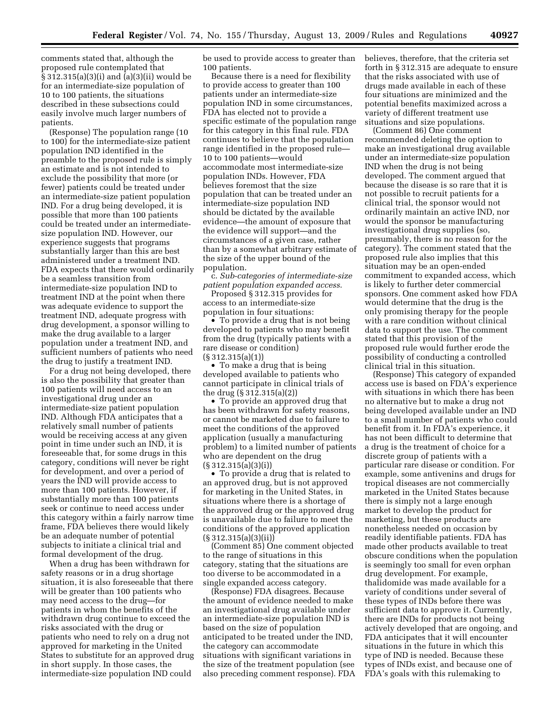comments stated that, although the proposed rule contemplated that § 312.315(a)(3)(i) and (a)(3)(ii) would be for an intermediate-size population of 10 to 100 patients, the situations described in these subsections could easily involve much larger numbers of patients.

(Response) The population range (10 to 100) for the intermediate-size patient population IND identified in the preamble to the proposed rule is simply an estimate and is not intended to exclude the possibility that more (or fewer) patients could be treated under an intermediate-size patient population IND. For a drug being developed, it is possible that more than 100 patients could be treated under an intermediatesize population IND. However, our experience suggests that programs substantially larger than this are best administered under a treatment IND. FDA expects that there would ordinarily be a seamless transition from intermediate-size population IND to treatment IND at the point when there was adequate evidence to support the treatment IND, adequate progress with drug development, a sponsor willing to make the drug available to a larger population under a treatment IND, and sufficient numbers of patients who need the drug to justify a treatment IND.

For a drug not being developed, there is also the possibility that greater than 100 patients will need access to an investigational drug under an intermediate-size patient population IND. Although FDA anticipates that a relatively small number of patients would be receiving access at any given point in time under such an IND, it is foreseeable that, for some drugs in this category, conditions will never be right for development, and over a period of years the IND will provide access to more than 100 patients. However, if substantially more than 100 patients seek or continue to need access under this category within a fairly narrow time frame, FDA believes there would likely be an adequate number of potential subjects to initiate a clinical trial and formal development of the drug.

When a drug has been withdrawn for safety reasons or in a drug shortage situation, it is also foreseeable that there will be greater than 100 patients who may need access to the drug—for patients in whom the benefits of the withdrawn drug continue to exceed the risks associated with the drug or patients who need to rely on a drug not approved for marketing in the United States to substitute for an approved drug in short supply. In those cases, the intermediate-size population IND could

be used to provide access to greater than 100 patients.

Because there is a need for flexibility to provide access to greater than 100 patients under an intermediate-size population IND in some circumstances, FDA has elected not to provide a specific estimate of the population range for this category in this final rule. FDA continues to believe that the population range identified in the proposed rule— 10 to 100 patients—would accommodate most intermediate-size population INDs. However, FDA believes foremost that the size population that can be treated under an intermediate-size population IND should be dictated by the available evidence—the amount of exposure that the evidence will support—and the circumstances of a given case, rather than by a somewhat arbitrary estimate of the size of the upper bound of the population.

c. *Sub-categories of intermediate-size patient population expanded access*.

Proposed § 312.315 provides for access to an intermediate-size population in four situations:

• To provide a drug that is not being developed to patients who may benefit from the drug (typically patients with a rare disease or condition) (§ 312.315(a)(1))

• To make a drug that is being developed available to patients who cannot participate in clinical trials of the drug (§ 312.315(a)(2))

• To provide an approved drug that has been withdrawn for safety reasons, or cannot be marketed due to failure to meet the conditions of the approved application (usually a manufacturing problem) to a limited number of patients who are dependent on the drug  $(S \ 312.315(a)(3)(i))$ 

• To provide a drug that is related to an approved drug, but is not approved for marketing in the United States, in situations where there is a shortage of the approved drug or the approved drug is unavailable due to failure to meet the conditions of the approved application  $(S312.315(a)(3)(ii))$ 

(Comment 85) One comment objected to the range of situations in this category, stating that the situations are too diverse to be accommodated in a single expanded access category.

(Response) FDA disagrees. Because the amount of evidence needed to make an investigational drug available under an intermediate-size population IND is based on the size of population anticipated to be treated under the IND, the category can accommodate situations with significant variations in the size of the treatment population (see also preceding comment response). FDA believes, therefore, that the criteria set forth in § 312.315 are adequate to ensure that the risks associated with use of drugs made available in each of these four situations are minimized and the potential benefits maximized across a variety of different treatment use situations and size populations.

(Comment 86) One comment recommended deleting the option to make an investigational drug available under an intermediate-size population IND when the drug is not being developed. The comment argued that because the disease is so rare that it is not possible to recruit patients for a clinical trial, the sponsor would not ordinarily maintain an active IND, nor would the sponsor be manufacturing investigational drug supplies (so, presumably, there is no reason for the category). The comment stated that the proposed rule also implies that this situation may be an open-ended commitment to expanded access, which is likely to further deter commercial sponsors. One comment asked how FDA would determine that the drug is the only promising therapy for the people with a rare condition without clinical data to support the use. The comment stated that this provision of the proposed rule would further erode the possibility of conducting a controlled clinical trial in this situation.

(Response) This category of expanded access use is based on FDA's experience with situations in which there has been no alternative but to make a drug not being developed available under an IND to a small number of patients who could benefit from it. In FDA's experience, it has not been difficult to determine that a drug is the treatment of choice for a discrete group of patients with a particular rare disease or condition. For example, some antivenins and drugs for tropical diseases are not commercially marketed in the United States because there is simply not a large enough market to develop the product for marketing, but these products are nonetheless needed on occasion by readily identifiable patients. FDA has made other products available to treat obscure conditions when the population is seemingly too small for even orphan drug development. For example, thalidomide was made available for a variety of conditions under several of these types of INDs before there was sufficient data to approve it. Currently, there are INDs for products not being actively developed that are ongoing, and FDA anticipates that it will encounter situations in the future in which this type of IND is needed. Because these types of INDs exist, and because one of FDA's goals with this rulemaking to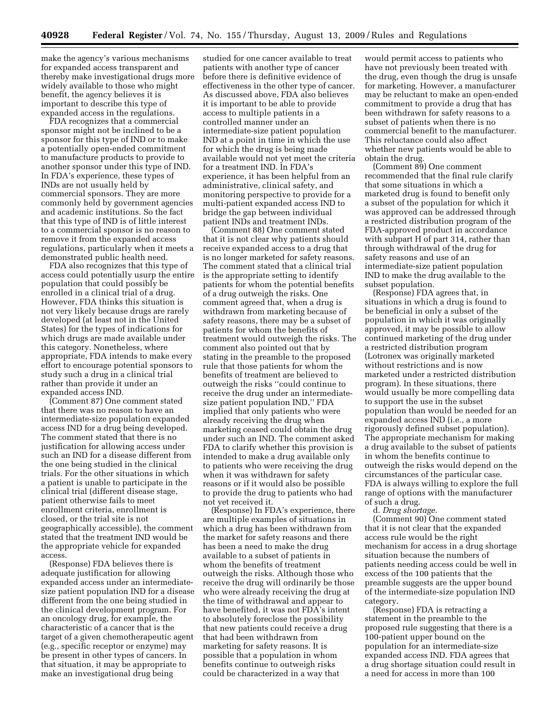make the agency's various mechanisms for expanded access transparent and thereby make investigational drugs more widely available to those who might benefit, the agency believes it is important to describe this type of expanded access in the regulations.

FDA recognizes that a commercial sponsor might not be inclined to be a sponsor for this type of IND or to make a potentially open-ended commitment to manufacture products to provide to another sponsor under this type of IND. In FDA's experience, these types of INDs are not usually held by commercial sponsors. They are more commonly held by government agencies and academic institutions. So the fact that this type of IND is of little interest to a commercial sponsor is no reason to remove it from the expanded access regulations, particularly when it meets a demonstrated public health need.

FDA also recognizes that this type of access could potentially usurp the entire population that could possibly be enrolled in a clinical trial of a drug. However, FDA thinks this situation is not very likely because drugs are rarely developed (at least not in the United States) for the types of indications for which drugs are made available under this category. Nonetheless, where appropriate, FDA intends to make every effort to encourage potential sponsors to study such a drug in a clinical trial rather than provide it under an expanded access IND.

(Comment 87) One comment stated that there was no reason to have an intermediate-size population expanded access IND for a drug being developed. The comment stated that there is no justification for allowing access under such an IND for a disease different from the one being studied in the clinical trials. For the other situations in which a patient is unable to participate in the clinical trial (different disease stage, patient otherwise fails to meet enrollment criteria, enrollment is closed, or the trial site is not geographically accessible), the comment stated that the treatment IND would be the appropriate vehicle for expanded access.

(Response) FDA believes there is adequate justification for allowing expanded access under an intermediatesize patient population IND for a disease different from the one being studied in the clinical development program. For an oncology drug, for example, the characteristic of a cancer that is the target of a given chemotherapeutic agent (e.g., specific receptor or enzyme) may be present in other types of cancers. In that situation, it may be appropriate to make an investigational drug being

studied for one cancer available to treat patients with another type of cancer before there is definitive evidence of effectiveness in the other type of cancer. As discussed above, FDA also believes it is important to be able to provide access to multiple patients in a controlled manner under an intermediate-size patient population IND at a point in time in which the use for which the drug is being made available would not yet meet the criteria for a treatment IND. In FDA's experience, it has been helpful from an administrative, clinical safety, and monitoring perspective to provide for a multi-patient expanded access IND to bridge the gap between individual patient INDs and treatment INDs.

(Comment 88) One comment stated that it is not clear why patients should receive expanded access to a drug that is no longer marketed for safety reasons. The comment stated that a clinical trial is the appropriate setting to identify patients for whom the potential benefits of a drug outweigh the risks. One comment agreed that, when a drug is withdrawn from marketing because of safety reasons, there may be a subset of patients for whom the benefits of treatment would outweigh the risks. The comment also pointed out that by stating in the preamble to the proposed rule that those patients for whom the benefits of treatment are believed to outweigh the risks ''could continue to receive the drug under an intermediatesize patient population IND,'' FDA implied that only patients who were already receiving the drug when marketing ceased could obtain the drug under such an IND. The comment asked FDA to clarify whether this provision is intended to make a drug available only to patients who were receiving the drug when it was withdrawn for safety reasons or if it would also be possible to provide the drug to patients who had not yet received it.

(Response) In FDA's experience, there are multiple examples of situations in which a drug has been withdrawn from the market for safety reasons and there has been a need to make the drug available to a subset of patients in whom the benefits of treatment outweigh the risks. Although those who receive the drug will ordinarily be those who were already receiving the drug at the time of withdrawal and appear to have benefited, it was not FDA's intent to absolutely foreclose the possibility that new patients could receive a drug that had been withdrawn from marketing for safety reasons. It is possible that a population in whom benefits continue to outweigh risks could be characterized in a way that

would permit access to patients who have not previously been treated with the drug, even though the drug is unsafe for marketing. However, a manufacturer may be reluctant to make an open-ended commitment to provide a drug that has been withdrawn for safety reasons to a subset of patients when there is no commercial benefit to the manufacturer. This reluctance could also affect whether new patients would be able to obtain the drug.

(Comment 89) One comment recommended that the final rule clarify that some situations in which a marketed drug is found to benefit only a subset of the population for which it was approved can be addressed through a restricted distribution program of the FDA-approved product in accordance with subpart H of part 314, rather than through withdrawal of the drug for safety reasons and use of an intermediate-size patient population IND to make the drug available to the subset population.

(Response) FDA agrees that, in situations in which a drug is found to be beneficial in only a subset of the population in which it was originally approved, it may be possible to allow continued marketing of the drug under a restricted distribution program (Lotronex was originally marketed without restrictions and is now marketed under a restricted distribution program). In these situations, there would usually be more compelling data to support the use in the subset population than would be needed for an expanded access IND (i.e., a more rigorously defined subset population). The appropriate mechanism for making a drug available to the subset of patients in whom the benefits continue to outweigh the risks would depend on the circumstances of the particular case. FDA is always willing to explore the full range of options with the manufacturer of such a drug.

d. *Drug shortage*.

(Comment 90) One comment stated that it is not clear that the expanded access rule would be the right mechanism for access in a drug shortage situation because the numbers of patients needing access could be well in excess of the 100 patients that the preamble suggests are the upper bound of the intermediate-size population IND category.

(Response) FDA is retracting a statement in the preamble to the proposed rule suggesting that there is a 100-patient upper bound on the population for an intermediate-size expanded access IND. FDA agrees that a drug shortage situation could result in a need for access in more than 100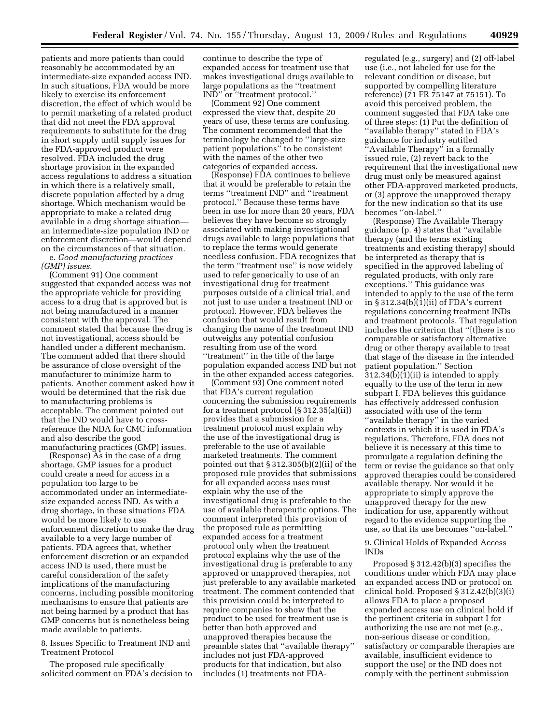patients and more patients than could reasonably be accommodated by an intermediate-size expanded access IND. In such situations, FDA would be more likely to exercise its enforcement discretion, the effect of which would be to permit marketing of a related product that did not meet the FDA approval requirements to substitute for the drug in short supply until supply issues for the FDA-approved product were resolved. FDA included the drug shortage provision in the expanded access regulations to address a situation in which there is a relatively small, discrete population affected by a drug shortage. Which mechanism would be appropriate to make a related drug available in a drug shortage situation an intermediate-size population IND or enforcement discretion—would depend on the circumstances of that situation. e. *Good manufacturing practices* 

# *(GMP) issues*.

(Comment 91) One comment suggested that expanded access was not the appropriate vehicle for providing access to a drug that is approved but is not being manufactured in a manner consistent with the approval. The comment stated that because the drug is not investigational, access should be handled under a different mechanism. The comment added that there should be assurance of close oversight of the manufacturer to minimize harm to patients. Another comment asked how it would be determined that the risk due to manufacturing problems is acceptable. The comment pointed out that the IND would have to crossreference the NDA for CMC information and also describe the good manufacturing practices (GMP) issues.

(Response) As in the case of a drug shortage, GMP issues for a product could create a need for access in a population too large to be accommodated under an intermediatesize expanded access IND. As with a drug shortage, in these situations FDA would be more likely to use enforcement discretion to make the drug available to a very large number of patients. FDA agrees that, whether enforcement discretion or an expanded access IND is used, there must be careful consideration of the safety implications of the manufacturing concerns, including possible monitoring mechanisms to ensure that patients are not being harmed by a product that has GMP concerns but is nonetheless being made available to patients.

8. Issues Specific to Treatment IND and Treatment Protocol

The proposed rule specifically solicited comment on FDA's decision to continue to describe the type of expanded access for treatment use that makes investigational drugs available to large populations as the ''treatment IND'' or ''treatment protocol.''

(Comment 92) One comment expressed the view that, despite 20 years of use, these terms are confusing. The comment recommended that the terminology be changed to ''large-size patient populations'' to be consistent with the names of the other two categories of expanded access.

(Response) FDA continues to believe that it would be preferable to retain the terms ''treatment IND'' and ''treatment protocol.'' Because these terms have been in use for more than 20 years, FDA believes they have become so strongly associated with making investigational drugs available to large populations that to replace the terms would generate needless confusion. FDA recognizes that the term ''treatment use'' is now widely used to refer generically to use of an investigational drug for treatment purposes outside of a clinical trial, and not just to use under a treatment IND or protocol. However, FDA believes the confusion that would result from changing the name of the treatment IND outweighs any potential confusion resulting from use of the word "treatment" in the title of the large population expanded access IND but not in the other expanded access categories.

(Comment 93) One comment noted that FDA's current regulation concerning the submission requirements for a treatment protocol (§ 312.35(a)(ii)) provides that a submission for a treatment protocol must explain why the use of the investigational drug is preferable to the use of available marketed treatments. The comment pointed out that § 312.305(b)(2)(ii) of the proposed rule provides that submissions for all expanded access uses must explain why the use of the investigational drug is preferable to the use of available therapeutic options. The comment interpreted this provision of the proposed rule as permitting expanded access for a treatment protocol only when the treatment protocol explains why the use of the investigational drug is preferable to any approved or unapproved therapies, not just preferable to any available marketed treatment. The comment contended that this provision could be interpreted to require companies to show that the product to be used for treatment use is better than both approved and unapproved therapies because the preamble states that ''available therapy'' includes not just FDA-approved products for that indication, but also includes (1) treatments not FDA-

regulated (e.g., surgery) and (2) off-label use (i.e., not labeled for use for the relevant condition or disease, but supported by compelling literature reference) (71 FR 75147 at 75151). To avoid this perceived problem, the comment suggested that FDA take one of three steps: (1) Put the definition of ''available therapy'' stated in FDA's guidance for industry entitled ''Available Therapy'' in a formally issued rule, (2) revert back to the requirement that the investigational new drug must only be measured against other FDA-approved marketed products, or (3) approve the unapproved therapy for the new indication so that its use becomes ''on-label.''

(Response) The Available Therapy guidance (p. 4) states that ''available therapy (and the terms existing treatments and existing therapy) should be interpreted as therapy that is specified in the approved labeling of regulated products, with only rare exceptions.'' This guidance was intended to apply to the use of the term in § 312.34(b)(1)(ii) of FDA's current regulations concerning treatment INDs and treatment protocols. That regulation includes the criterion that ''[t]here is no comparable or satisfactory alternative drug or other therapy available to treat that stage of the disease in the intended patient population.'' Section 312.34(b)(1)(ii) is intended to apply equally to the use of the term in new subpart I. FDA believes this guidance has effectively addressed confusion associated with use of the term ''available therapy'' in the varied contexts in which it is used in FDA's regulations. Therefore, FDA does not believe it is necessary at this time to promulgate a regulation defining the term or revise the guidance so that only approved therapies could be considered available therapy. Nor would it be appropriate to simply approve the unapproved therapy for the new indication for use, apparently without regard to the evidence supporting the use, so that its use becomes ''on-label.''

# 9. Clinical Holds of Expanded Access INDs

Proposed § 312.42(b)(3) specifies the conditions under which FDA may place an expanded access IND or protocol on clinical hold. Proposed § 312.42(b)(3)(i) allows FDA to place a proposed expanded access use on clinical hold if the pertinent criteria in subpart I for authorizing the use are not met (e.g., non-serious disease or condition, satisfactory or comparable therapies are available, insufficient evidence to support the use) or the IND does not comply with the pertinent submission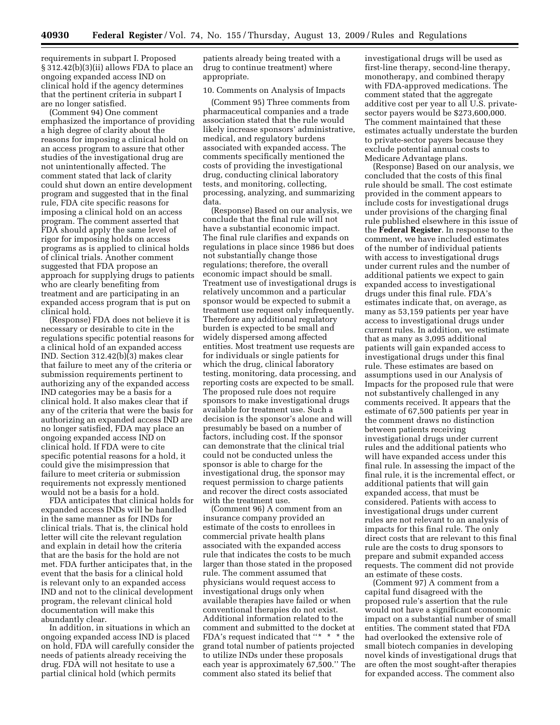requirements in subpart I. Proposed § 312.42(b)(3)(ii) allows FDA to place an ongoing expanded access IND on clinical hold if the agency determines that the pertinent criteria in subpart I are no longer satisfied.

(Comment 94) One comment emphasized the importance of providing a high degree of clarity about the reasons for imposing a clinical hold on an access program to assure that other studies of the investigational drug are not unintentionally affected. The comment stated that lack of clarity could shut down an entire development program and suggested that in the final rule, FDA cite specific reasons for imposing a clinical hold on an access program. The comment asserted that FDA should apply the same level of rigor for imposing holds on access programs as is applied to clinical holds of clinical trials. Another comment suggested that FDA propose an approach for supplying drugs to patients who are clearly benefiting from treatment and are participating in an expanded access program that is put on clinical hold.

(Response) FDA does not believe it is necessary or desirable to cite in the regulations specific potential reasons for a clinical hold of an expanded access IND. Section 312.42(b)(3) makes clear that failure to meet any of the criteria or submission requirements pertinent to authorizing any of the expanded access IND categories may be a basis for a clinical hold. It also makes clear that if any of the criteria that were the basis for authorizing an expanded access IND are no longer satisfied, FDA may place an ongoing expanded access IND on clinical hold. If FDA were to cite specific potential reasons for a hold, it could give the misimpression that failure to meet criteria or submission requirements not expressly mentioned would not be a basis for a hold.

FDA anticipates that clinical holds for expanded access INDs will be handled in the same manner as for INDs for clinical trials. That is, the clinical hold letter will cite the relevant regulation and explain in detail how the criteria that are the basis for the hold are not met. FDA further anticipates that, in the event that the basis for a clinical hold is relevant only to an expanded access IND and not to the clinical development program, the relevant clinical hold documentation will make this abundantly clear.

In addition, in situations in which an ongoing expanded access IND is placed on hold, FDA will carefully consider the needs of patients already receiving the drug. FDA will not hesitate to use a partial clinical hold (which permits

patients already being treated with a drug to continue treatment) where appropriate.

#### 10. Comments on Analysis of Impacts

(Comment 95) Three comments from pharmaceutical companies and a trade association stated that the rule would likely increase sponsors' administrative, medical, and regulatory burdens associated with expanded access. The comments specifically mentioned the costs of providing the investigational drug, conducting clinical laboratory tests, and monitoring, collecting, processing, analyzing, and summarizing data.

(Response) Based on our analysis, we conclude that the final rule will not have a substantial economic impact. The final rule clarifies and expands on regulations in place since 1986 but does not substantially change those regulations; therefore, the overall economic impact should be small. Treatment use of investigational drugs is relatively uncommon and a particular sponsor would be expected to submit a treatment use request only infrequently. Therefore any additional regulatory burden is expected to be small and widely dispersed among affected entities. Most treatment use requests are for individuals or single patients for which the drug, clinical laboratory testing, monitoring, data processing, and reporting costs are expected to be small. The proposed rule does not require sponsors to make investigational drugs available for treatment use. Such a decision is the sponsor's alone and will presumably be based on a number of factors, including cost. If the sponsor can demonstrate that the clinical trial could not be conducted unless the sponsor is able to charge for the investigational drug, the sponsor may request permission to charge patients and recover the direct costs associated with the treatment use.

(Comment 96) A comment from an insurance company provided an estimate of the costs to enrollees in commercial private health plans associated with the expanded access rule that indicates the costs to be much larger than those stated in the proposed rule. The comment assumed that physicians would request access to investigational drugs only when available therapies have failed or when conventional therapies do not exist. Additional information related to the comment and submitted to the docket at FDA's request indicated that ''\* \* \* the grand total number of patients projected to utilize INDs under these proposals each year is approximately 67,500.'' The comment also stated its belief that

investigational drugs will be used as first-line therapy, second-line therapy, monotherapy, and combined therapy with FDA-approved medications. The comment stated that the aggregate additive cost per year to all U.S. privatesector payers would be \$273,600,000. The comment maintained that these estimates actually understate the burden to private-sector payers because they exclude potential annual costs to Medicare Advantage plans.

(Response) Based on our analysis, we concluded that the costs of this final rule should be small. The cost estimate provided in the comment appears to include costs for investigational drugs under provisions of the charging final rule published elsewhere in this issue of the **Federal Register**. In response to the comment, we have included estimates of the number of individual patients with access to investigational drugs under current rules and the number of additional patients we expect to gain expanded access to investigational drugs under this final rule. FDA's estimates indicate that, on average, as many as 53,159 patients per year have access to investigational drugs under current rules. In addition, we estimate that as many as 3,095 additional patients will gain expanded access to investigational drugs under this final rule. These estimates are based on assumptions used in our Analysis of Impacts for the proposed rule that were not substantively challenged in any comments received. It appears that the estimate of 67,500 patients per year in the comment draws no distinction between patients receiving investigational drugs under current rules and the additional patients who will have expanded access under this final rule. In assessing the impact of the final rule, it is the incremental effect, or additional patients that will gain expanded access, that must be considered. Patients with access to investigational drugs under current rules are not relevant to an analysis of impacts for this final rule. The only direct costs that are relevant to this final rule are the costs to drug sponsors to prepare and submit expanded access requests. The comment did not provide an estimate of these costs.

(Comment 97) A comment from a capital fund disagreed with the proposed rule's assertion that the rule would not have a significant economic impact on a substantial number of small entities. The comment stated that FDA had overlooked the extensive role of small biotech companies in developing novel kinds of investigational drugs that are often the most sought-after therapies for expanded access. The comment also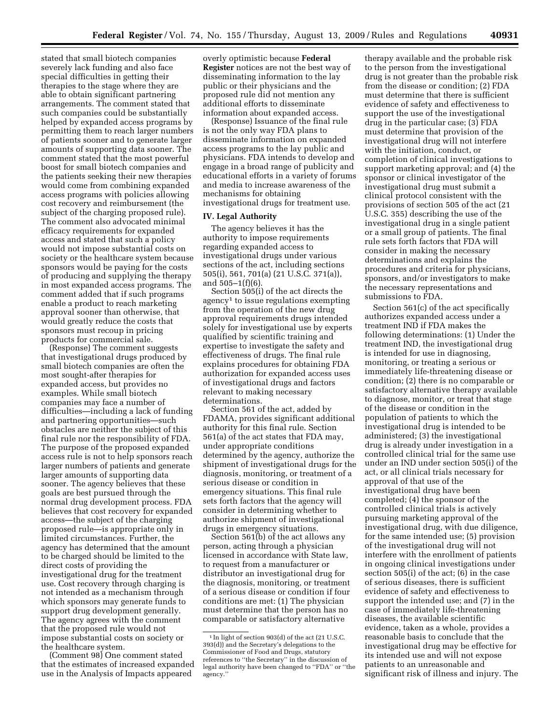stated that small biotech companies severely lack funding and also face special difficulties in getting their therapies to the stage where they are able to obtain significant partnering arrangements. The comment stated that such companies could be substantially helped by expanded access programs by permitting them to reach larger numbers of patients sooner and to generate larger amounts of supporting data sooner. The comment stated that the most powerful boost for small biotech companies and the patients seeking their new therapies would come from combining expanded access programs with policies allowing cost recovery and reimbursement (the subject of the charging proposed rule). The comment also advocated minimal efficacy requirements for expanded access and stated that such a policy would not impose substantial costs on society or the healthcare system because sponsors would be paying for the costs of producing and supplying the therapy in most expanded access programs. The comment added that if such programs enable a product to reach marketing approval sooner than otherwise, that would greatly reduce the costs that sponsors must recoup in pricing products for commercial sale.

(Response) The comment suggests that investigational drugs produced by small biotech companies are often the most sought-after therapies for expanded access, but provides no examples. While small biotech companies may face a number of difficulties—including a lack of funding and partnering opportunities—such obstacles are neither the subject of this final rule nor the responsibility of FDA. The purpose of the proposed expanded access rule is not to help sponsors reach larger numbers of patients and generate larger amounts of supporting data sooner. The agency believes that these goals are best pursued through the normal drug development process. FDA believes that cost recovery for expanded access—the subject of the charging proposed rule—is appropriate only in limited circumstances. Further, the agency has determined that the amount to be charged should be limited to the direct costs of providing the investigational drug for the treatment use. Cost recovery through charging is not intended as a mechanism through which sponsors may generate funds to support drug development generally. The agency agrees with the comment that the proposed rule would not impose substantial costs on society or the healthcare system.

(Comment 98) One comment stated that the estimates of increased expanded use in the Analysis of Impacts appeared

overly optimistic because **Federal Register** notices are not the best way of disseminating information to the lay public or their physicians and the proposed rule did not mention any additional efforts to disseminate information about expanded access.

(Response) Issuance of the final rule is not the only way FDA plans to disseminate information on expanded access programs to the lay public and physicians. FDA intends to develop and engage in a broad range of publicity and educational efforts in a variety of forums and media to increase awareness of the mechanisms for obtaining investigational drugs for treatment use.

# **IV. Legal Authority**

The agency believes it has the authority to impose requirements regarding expanded access to investigational drugs under various sections of the act, including sections 505(i), 561, 701(a) (21 U.S.C. 371(a)), and  $505-1(f)(6)$ .

Section 505(i) of the act directs the agency1 to issue regulations exempting from the operation of the new drug approval requirements drugs intended solely for investigational use by experts qualified by scientific training and expertise to investigate the safety and effectiveness of drugs. The final rule explains procedures for obtaining FDA authorization for expanded access uses of investigational drugs and factors relevant to making necessary determinations.

Section 561 of the act, added by FDAMA, provides significant additional authority for this final rule. Section 561(a) of the act states that FDA may, under appropriate conditions determined by the agency, authorize the shipment of investigational drugs for the diagnosis, monitoring, or treatment of a serious disease or condition in emergency situations. This final rule sets forth factors that the agency will consider in determining whether to authorize shipment of investigational drugs in emergency situations.

Section 561(b) of the act allows any person, acting through a physician licensed in accordance with State law, to request from a manufacturer or distributor an investigational drug for the diagnosis, monitoring, or treatment of a serious disease or condition if four conditions are met: (1) The physician must determine that the person has no comparable or satisfactory alternative

therapy available and the probable risk to the person from the investigational drug is not greater than the probable risk from the disease or condition; (2) FDA must determine that there is sufficient evidence of safety and effectiveness to support the use of the investigational drug in the particular case; (3) FDA must determine that provision of the investigational drug will not interfere with the initiation, conduct, or completion of clinical investigations to support marketing approval; and (4) the sponsor or clinical investigator of the investigational drug must submit a clinical protocol consistent with the provisions of section 505 of the act (21 U.S.C. 355) describing the use of the investigational drug in a single patient or a small group of patients. The final rule sets forth factors that FDA will consider in making the necessary determinations and explains the procedures and criteria for physicians, sponsors, and/or investigators to make the necessary representations and submissions to FDA.

Section 561(c) of the act specifically authorizes expanded access under a treatment IND if FDA makes the following determinations: (1) Under the treatment IND, the investigational drug is intended for use in diagnosing, monitoring, or treating a serious or immediately life-threatening disease or condition; (2) there is no comparable or satisfactory alternative therapy available to diagnose, monitor, or treat that stage of the disease or condition in the population of patients to which the investigational drug is intended to be administered; (3) the investigational drug is already under investigation in a controlled clinical trial for the same use under an IND under section 505(i) of the act, or all clinical trials necessary for approval of that use of the investigational drug have been completed; (4) the sponsor of the controlled clinical trials is actively pursuing marketing approval of the investigational drug, with due diligence, for the same intended use; (5) provision of the investigational drug will not interfere with the enrollment of patients in ongoing clinical investigations under section 505(i) of the act; (6) in the case of serious diseases, there is sufficient evidence of safety and effectiveness to support the intended use; and (7) in the case of immediately life-threatening diseases, the available scientific evidence, taken as a whole, provides a reasonable basis to conclude that the investigational drug may be effective for its intended use and will not expose patients to an unreasonable and significant risk of illness and injury. The

<sup>1</sup> In light of section 903(d) of the act (21 U.S.C. 393(d)) and the Secretary's delegations to the Commissioner of Food and Drugs, statutory references to ''the Secretary'' in the discussion of legal authority have been changed to ''FDA'' or ''the agency.''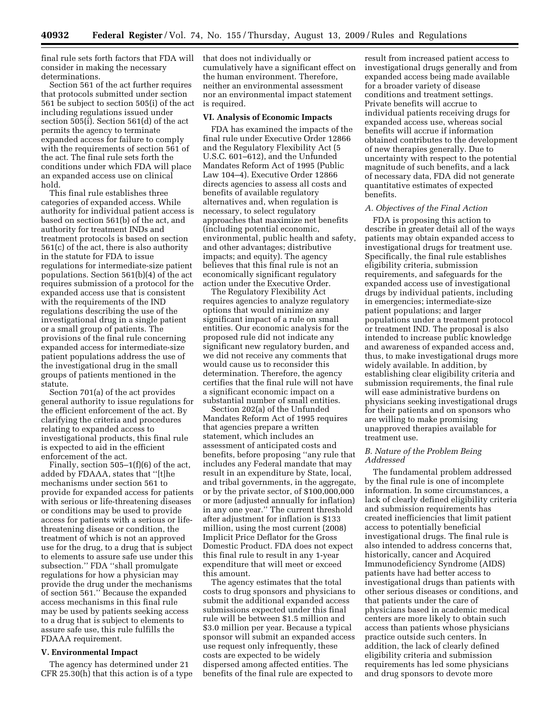final rule sets forth factors that FDA will consider in making the necessary determinations.

Section 561 of the act further requires that protocols submitted under section 561 be subject to section 505(i) of the act including regulations issued under section 505(i). Section 561(d) of the act permits the agency to terminate expanded access for failure to comply with the requirements of section 561 of the act. The final rule sets forth the conditions under which FDA will place an expanded access use on clinical hold.

This final rule establishes three categories of expanded access. While authority for individual patient access is based on section 561(b) of the act, and authority for treatment INDs and treatment protocols is based on section 561(c) of the act, there is also authority in the statute for FDA to issue regulations for intermediate-size patient populations. Section 561(b)(4) of the act requires submission of a protocol for the expanded access use that is consistent with the requirements of the IND regulations describing the use of the investigational drug in a single patient or a small group of patients. The provisions of the final rule concerning expanded access for intermediate-size patient populations address the use of the investigational drug in the small groups of patients mentioned in the statute.

Section 701(a) of the act provides general authority to issue regulations for the efficient enforcement of the act. By clarifying the criteria and procedures relating to expanded access to investigational products, this final rule is expected to aid in the efficient enforcement of the act.

Finally, section  $505-1(f)(6)$  of the act, added by FDAAA, states that ''[t]he mechanisms under section 561 to provide for expanded access for patients with serious or life-threatening diseases or conditions may be used to provide access for patients with a serious or lifethreatening disease or condition, the treatment of which is not an approved use for the drug, to a drug that is subject to elements to assure safe use under this subsection.'' FDA ''shall promulgate regulations for how a physician may provide the drug under the mechanisms of section 561.'' Because the expanded access mechanisms in this final rule may be used by patients seeking access to a drug that is subject to elements to assure safe use, this rule fulfills the FDAAA requirement.

#### **V. Environmental Impact**

The agency has determined under 21 CFR 25.30(h) that this action is of a type that does not individually or cumulatively have a significant effect on the human environment. Therefore, neither an environmental assessment nor an environmental impact statement is required.

#### **VI. Analysis of Economic Impacts**

FDA has examined the impacts of the final rule under Executive Order 12866 and the Regulatory Flexibility Act (5 U.S.C. 601–612), and the Unfunded Mandates Reform Act of 1995 (Public Law 104–4). Executive Order 12866 directs agencies to assess all costs and benefits of available regulatory alternatives and, when regulation is necessary, to select regulatory approaches that maximize net benefits (including potential economic, environmental, public health and safety, and other advantages; distributive impacts; and equity). The agency believes that this final rule is not an economically significant regulatory action under the Executive Order.

The Regulatory Flexibility Act requires agencies to analyze regulatory options that would minimize any significant impact of a rule on small entities. Our economic analysis for the proposed rule did not indicate any significant new regulatory burden, and we did not receive any comments that would cause us to reconsider this determination. Therefore, the agency certifies that the final rule will not have a significant economic impact on a substantial number of small entities.

Section 202(a) of the Unfunded Mandates Reform Act of 1995 requires that agencies prepare a written statement, which includes an assessment of anticipated costs and benefits, before proposing ''any rule that includes any Federal mandate that may result in an expenditure by State, local, and tribal governments, in the aggregate, or by the private sector, of \$100,000,000 or more (adjusted annually for inflation) in any one year.'' The current threshold after adjustment for inflation is \$133 million, using the most current (2008) Implicit Price Deflator for the Gross Domestic Product. FDA does not expect this final rule to result in any 1-year expenditure that will meet or exceed this amount.

The agency estimates that the total costs to drug sponsors and physicians to submit the additional expanded access submissions expected under this final rule will be between \$1.5 million and \$3.0 million per year. Because a typical sponsor will submit an expanded access use request only infrequently, these costs are expected to be widely dispersed among affected entities. The benefits of the final rule are expected to

result from increased patient access to investigational drugs generally and from expanded access being made available for a broader variety of disease conditions and treatment settings. Private benefits will accrue to individual patients receiving drugs for expanded access use, whereas social benefits will accrue if information obtained contributes to the development of new therapies generally. Due to uncertainty with respect to the potential magnitude of such benefits, and a lack of necessary data, FDA did not generate quantitative estimates of expected benefits.

#### *A. Objectives of the Final Action*

FDA is proposing this action to describe in greater detail all of the ways patients may obtain expanded access to investigational drugs for treatment use. Specifically, the final rule establishes eligibility criteria, submission requirements, and safeguards for the expanded access use of investigational drugs by individual patients, including in emergencies; intermediate-size patient populations; and larger populations under a treatment protocol or treatment IND. The proposal is also intended to increase public knowledge and awareness of expanded access and, thus, to make investigational drugs more widely available. In addition, by establishing clear eligibility criteria and submission requirements, the final rule will ease administrative burdens on physicians seeking investigational drugs for their patients and on sponsors who are willing to make promising unapproved therapies available for treatment use.

### *B. Nature of the Problem Being Addressed*

The fundamental problem addressed by the final rule is one of incomplete information. In some circumstances, a lack of clearly defined eligibility criteria and submission requirements has created inefficiencies that limit patient access to potentially beneficial investigational drugs. The final rule is also intended to address concerns that, historically, cancer and Acquired Immunodeficiency Syndrome (AIDS) patients have had better access to investigational drugs than patients with other serious diseases or conditions, and that patients under the care of physicians based in academic medical centers are more likely to obtain such access than patients whose physicians practice outside such centers. In addition, the lack of clearly defined eligibility criteria and submission requirements has led some physicians and drug sponsors to devote more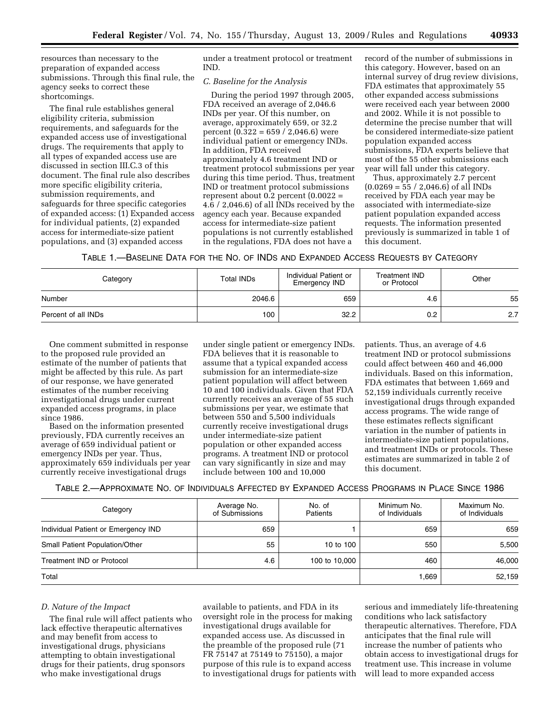resources than necessary to the preparation of expanded access submissions. Through this final rule, the agency seeks to correct these shortcomings.

The final rule establishes general eligibility criteria, submission requirements, and safeguards for the expanded access use of investigational drugs. The requirements that apply to all types of expanded access use are discussed in section III.C.3 of this document. The final rule also describes more specific eligibility criteria, submission requirements, and safeguards for three specific categories of expanded access: (1) Expanded access for individual patients, (2) expanded access for intermediate-size patient populations, and (3) expanded access

under a treatment protocol or treatment IND.

### *C. Baseline for the Analysis*

During the period 1997 through 2005, FDA received an average of 2,046.6 INDs per year. Of this number, on average, approximately 659, or 32.2 percent  $(0.322 = 659 / 2,046.6)$  were individual patient or emergency INDs. In addition, FDA received approximately 4.6 treatment IND or treatment protocol submissions per year during this time period. Thus, treatment IND or treatment protocol submissions represent about  $0.2$  percent  $(0.0022 =$ 4.6 / 2,046.6) of all INDs received by the agency each year. Because expanded access for intermediate-size patient populations is not currently established in the regulations, FDA does not have a

record of the number of submissions in this category. However, based on an internal survey of drug review divisions, FDA estimates that approximately 55 other expanded access submissions were received each year between 2000 and 2002. While it is not possible to determine the precise number that will be considered intermediate-size patient population expanded access submissions, FDA experts believe that most of the 55 other submissions each year will fall under this category.

Thus, approximately 2.7 percent  $(0.0269 = 55 / 2,046.6)$  of all INDs received by FDA each year may be associated with intermediate-size patient population expanded access requests. The information presented previously is summarized in table 1 of this document.

TABLE 1.—BASELINE DATA FOR THE NO. OF INDS AND EXPANDED ACCESS REQUESTS BY CATEGORY

| Category            | <b>Total INDs</b> | Individual Patient or<br>Emergency IND | Treatment IND<br>or Protocol | Other |  |
|---------------------|-------------------|----------------------------------------|------------------------------|-------|--|
| Number              | 2046.6            | 659                                    | 4.6                          | 55    |  |
| Percent of all INDs | 100               | 32.2                                   | 0.2                          | 2.7   |  |

One comment submitted in response to the proposed rule provided an estimate of the number of patients that might be affected by this rule. As part of our response, we have generated estimates of the number receiving investigational drugs under current expanded access programs, in place since 1986.

Based on the information presented previously, FDA currently receives an average of 659 individual patient or emergency INDs per year. Thus, approximately 659 individuals per year currently receive investigational drugs

under single patient or emergency INDs. FDA believes that it is reasonable to assume that a typical expanded access submission for an intermediate-size patient population will affect between 10 and 100 individuals. Given that FDA currently receives an average of 55 such submissions per year, we estimate that between 550 and 5,500 individuals currently receive investigational drugs under intermediate-size patient population or other expanded access programs. A treatment IND or protocol can vary significantly in size and may include between 100 and 10,000

patients. Thus, an average of 4.6 treatment IND or protocol submissions could affect between 460 and 46,000 individuals. Based on this information, FDA estimates that between 1,669 and 52,159 individuals currently receive investigational drugs through expanded access programs. The wide range of these estimates reflects significant variation in the number of patients in intermediate-size patient populations, and treatment INDs or protocols. These estimates are summarized in table 2 of this document.

TABLE 2.—APPROXIMATE NO. OF INDIVIDUALS AFFECTED BY EXPANDED ACCESS PROGRAMS IN PLACE SINCE 1986

| Category                              | Average No.<br>of Submissions | No. of<br>Patients | Minimum No.<br>of Individuals | Maximum No.<br>of Individuals |
|---------------------------------------|-------------------------------|--------------------|-------------------------------|-------------------------------|
| Individual Patient or Emergency IND   | 659                           |                    | 659                           | 659                           |
| <b>Small Patient Population/Other</b> | 55                            | 10 to 100          | 550                           | 5,500                         |
| <b>Treatment IND or Protocol</b>      | 4.6                           | 100 to 10,000      | 460                           | 46,000                        |
| Total                                 |                               |                    | 1,669                         | 52,159                        |

### *D. Nature of the Impact*

The final rule will affect patients who lack effective therapeutic alternatives and may benefit from access to investigational drugs, physicians attempting to obtain investigational drugs for their patients, drug sponsors who make investigational drugs

available to patients, and FDA in its oversight role in the process for making investigational drugs available for expanded access use. As discussed in the preamble of the proposed rule (71 FR 75147 at 75149 to 75150), a major purpose of this rule is to expand access to investigational drugs for patients with serious and immediately life-threatening conditions who lack satisfactory therapeutic alternatives. Therefore, FDA anticipates that the final rule will increase the number of patients who obtain access to investigational drugs for treatment use. This increase in volume will lead to more expanded access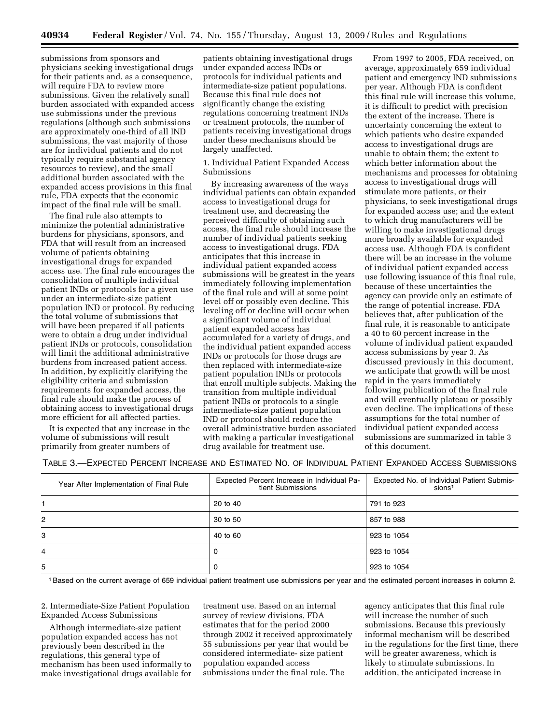submissions from sponsors and physicians seeking investigational drugs for their patients and, as a consequence, will require FDA to review more submissions. Given the relatively small burden associated with expanded access use submissions under the previous regulations (although such submissions are approximately one-third of all IND submissions, the vast majority of those are for individual patients and do not typically require substantial agency resources to review), and the small additional burden associated with the expanded access provisions in this final rule, FDA expects that the economic impact of the final rule will be small.

The final rule also attempts to minimize the potential administrative burdens for physicians, sponsors, and FDA that will result from an increased volume of patients obtaining investigational drugs for expanded access use. The final rule encourages the consolidation of multiple individual patient INDs or protocols for a given use under an intermediate-size patient population IND or protocol. By reducing the total volume of submissions that will have been prepared if all patients were to obtain a drug under individual patient INDs or protocols, consolidation will limit the additional administrative burdens from increased patient access. In addition, by explicitly clarifying the eligibility criteria and submission requirements for expanded access, the final rule should make the process of obtaining access to investigational drugs more efficient for all affected parties.

It is expected that any increase in the volume of submissions will result primarily from greater numbers of

patients obtaining investigational drugs under expanded access INDs or protocols for individual patients and intermediate-size patient populations. Because this final rule does not significantly change the existing regulations concerning treatment INDs or treatment protocols, the number of patients receiving investigational drugs under these mechanisms should be largely unaffected.

1. Individual Patient Expanded Access Submissions

By increasing awareness of the ways individual patients can obtain expanded access to investigational drugs for treatment use, and decreasing the perceived difficulty of obtaining such access, the final rule should increase the number of individual patients seeking access to investigational drugs. FDA anticipates that this increase in individual patient expanded access submissions will be greatest in the years immediately following implementation of the final rule and will at some point level off or possibly even decline. This leveling off or decline will occur when a significant volume of individual patient expanded access has accumulated for a variety of drugs, and the individual patient expanded access INDs or protocols for those drugs are then replaced with intermediate-size patient population INDs or protocols that enroll multiple subjects. Making the transition from multiple individual patient INDs or protocols to a single intermediate-size patient population IND or protocol should reduce the overall administrative burden associated with making a particular investigational drug available for treatment use.

From 1997 to 2005, FDA received, on average, approximately 659 individual patient and emergency IND submissions per year. Although FDA is confident this final rule will increase this volume, it is difficult to predict with precision the extent of the increase. There is uncertainty concerning the extent to which patients who desire expanded access to investigational drugs are unable to obtain them; the extent to which better information about the mechanisms and processes for obtaining access to investigational drugs will stimulate more patients, or their physicians, to seek investigational drugs for expanded access use; and the extent to which drug manufacturers will be willing to make investigational drugs more broadly available for expanded access use. Although FDA is confident there will be an increase in the volume of individual patient expanded access use following issuance of this final rule, because of these uncertainties the agency can provide only an estimate of the range of potential increase. FDA believes that, after publication of the final rule, it is reasonable to anticipate a 40 to 60 percent increase in the volume of individual patient expanded access submissions by year 3. As discussed previously in this document, we anticipate that growth will be most rapid in the years immediately following publication of the final rule and will eventually plateau or possibly even decline. The implications of these assumptions for the total number of individual patient expanded access submissions are summarized in table 3 of this document.

|   | Year After Implementation of Final Rule | Expected Percent Increase in Individual Pa-<br>tient Submissions | Expected No. of Individual Patient Submis-<br>sions <sup>1</sup> |
|---|-----------------------------------------|------------------------------------------------------------------|------------------------------------------------------------------|
|   |                                         | 20 to 40                                                         | 791 to 923                                                       |
| 2 |                                         | 30 to 50                                                         | 857 to 988                                                       |
| 3 |                                         | 40 to 60                                                         | 923 to 1054                                                      |
| 4 |                                         | O                                                                | 923 to 1054                                                      |
| 5 |                                         |                                                                  | 923 to 1054                                                      |

TABLE 3.—EXPECTED PERCENT INCREASE AND ESTIMATED NO. OF INDIVIDUAL PATIENT EXPANDED ACCESS SUBMISSIONS

1Based on the current average of 659 individual patient treatment use submissions per year and the estimated percent increases in column 2.

2. Intermediate-Size Patient Population Expanded Access Submissions

Although intermediate-size patient population expanded access has not previously been described in the regulations, this general type of mechanism has been used informally to make investigational drugs available for treatment use. Based on an internal survey of review divisions, FDA estimates that for the period 2000 through 2002 it received approximately 55 submissions per year that would be considered intermediate- size patient population expanded access submissions under the final rule. The

agency anticipates that this final rule will increase the number of such submissions. Because this previously informal mechanism will be described in the regulations for the first time, there will be greater awareness, which is likely to stimulate submissions. In addition, the anticipated increase in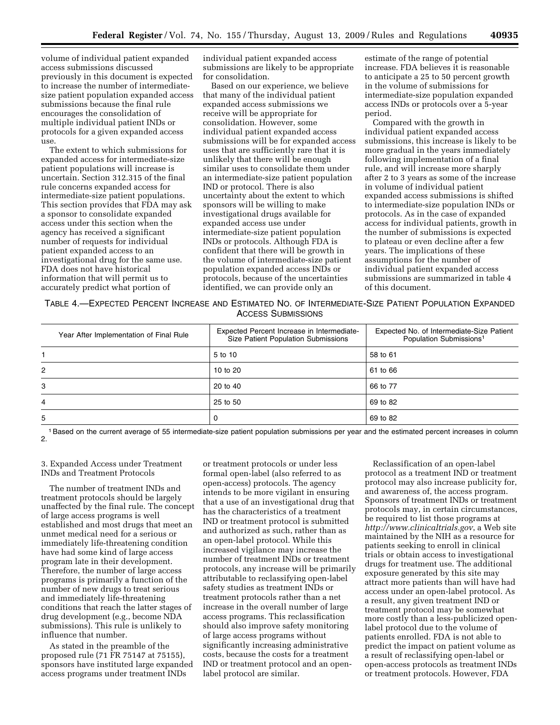volume of individual patient expanded access submissions discussed previously in this document is expected to increase the number of intermediatesize patient population expanded access submissions because the final rule encourages the consolidation of multiple individual patient INDs or protocols for a given expanded access use.

The extent to which submissions for expanded access for intermediate-size patient populations will increase is uncertain. Section 312.315 of the final rule concerns expanded access for intermediate-size patient populations. This section provides that FDA may ask a sponsor to consolidate expanded access under this section when the agency has received a significant number of requests for individual patient expanded access to an investigational drug for the same use. FDA does not have historical information that will permit us to accurately predict what portion of

individual patient expanded access submissions are likely to be appropriate for consolidation.

Based on our experience, we believe that many of the individual patient expanded access submissions we receive will be appropriate for consolidation. However, some individual patient expanded access submissions will be for expanded access uses that are sufficiently rare that it is unlikely that there will be enough similar uses to consolidate them under an intermediate-size patient population IND or protocol. There is also uncertainty about the extent to which sponsors will be willing to make investigational drugs available for expanded access use under intermediate-size patient population INDs or protocols. Although FDA is confident that there will be growth in the volume of intermediate-size patient population expanded access INDs or protocols, because of the uncertainties identified, we can provide only an

estimate of the range of potential increase. FDA believes it is reasonable to anticipate a 25 to 50 percent growth in the volume of submissions for intermediate-size population expanded access INDs or protocols over a 5-year period.

Compared with the growth in individual patient expanded access submissions, this increase is likely to be more gradual in the years immediately following implementation of a final rule, and will increase more sharply after 2 to 3 years as some of the increase in volume of individual patient expanded access submissions is shifted to intermediate-size population INDs or protocols. As in the case of expanded access for individual patients, growth in the number of submissions is expected to plateau or even decline after a few years. The implications of these assumptions for the number of individual patient expanded access submissions are summarized in table 4 of this document.

TABLE 4.—EXPECTED PERCENT INCREASE AND ESTIMATED NO. OF INTERMEDIATE-SIZE PATIENT POPULATION EXPANDED ACCESS SUBMISSIONS

| Year After Implementation of Final Rule | Expected Percent Increase in Intermediate-<br>Size Patient Population Submissions | Expected No. of Intermediate-Size Patient<br>Population Submissions <sup>1</sup> |
|-----------------------------------------|-----------------------------------------------------------------------------------|----------------------------------------------------------------------------------|
|                                         | 5 to 10                                                                           | 58 to 61                                                                         |
| 2                                       | 10 to $20$                                                                        | 61 to 66                                                                         |
| 3                                       | 20 to 40                                                                          | 66 to 77                                                                         |
| 4                                       | 25 to 50                                                                          | 69 to 82                                                                         |
| 5                                       |                                                                                   | 69 to 82                                                                         |

1Based on the current average of 55 intermediate-size patient population submissions per year and the estimated percent increases in column 2.

3. Expanded Access under Treatment INDs and Treatment Protocols

The number of treatment INDs and treatment protocols should be largely unaffected by the final rule. The concept of large access programs is well established and most drugs that meet an unmet medical need for a serious or immediately life-threatening condition have had some kind of large access program late in their development. Therefore, the number of large access programs is primarily a function of the number of new drugs to treat serious and immediately life-threatening conditions that reach the latter stages of drug development (e.g., become NDA submissions). This rule is unlikely to influence that number.

As stated in the preamble of the proposed rule (71 FR 75147 at 75155), sponsors have instituted large expanded access programs under treatment INDs

or treatment protocols or under less formal open-label (also referred to as open-access) protocols. The agency intends to be more vigilant in ensuring that a use of an investigational drug that has the characteristics of a treatment IND or treatment protocol is submitted and authorized as such, rather than as an open-label protocol. While this increased vigilance may increase the number of treatment INDs or treatment protocols, any increase will be primarily attributable to reclassifying open-label safety studies as treatment INDs or treatment protocols rather than a net increase in the overall number of large access programs. This reclassification should also improve safety monitoring of large access programs without significantly increasing administrative costs, because the costs for a treatment IND or treatment protocol and an openlabel protocol are similar.

Reclassification of an open-label protocol as a treatment IND or treatment protocol may also increase publicity for, and awareness of, the access program. Sponsors of treatment INDs or treatment protocols may, in certain circumstances, be required to list those programs at *http://www.clinicaltrials.gov*, a Web site maintained by the NIH as a resource for patients seeking to enroll in clinical trials or obtain access to investigational drugs for treatment use. The additional exposure generated by this site may attract more patients than will have had access under an open-label protocol. As a result, any given treatment IND or treatment protocol may be somewhat more costly than a less-publicized openlabel protocol due to the volume of patients enrolled. FDA is not able to predict the impact on patient volume as a result of reclassifying open-label or open-access protocols as treatment INDs or treatment protocols. However, FDA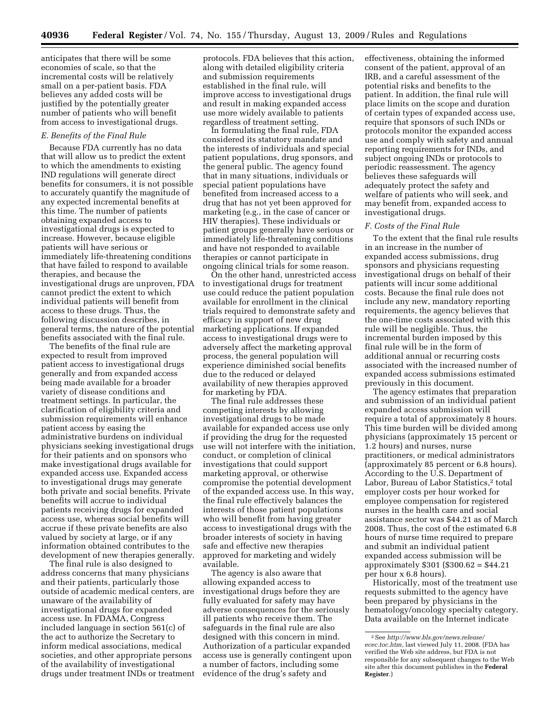anticipates that there will be some economies of scale, so that the incremental costs will be relatively small on a per-patient basis. FDA believes any added costs will be justified by the potentially greater number of patients who will benefit from access to investigational drugs.

### *E. Benefits of the Final Rule*

Because FDA currently has no data that will allow us to predict the extent to which the amendments to existing IND regulations will generate direct benefits for consumers, it is not possible to accurately quantify the magnitude of any expected incremental benefits at this time. The number of patients obtaining expanded access to investigational drugs is expected to increase. However, because eligible patients will have serious or immediately life-threatening conditions that have failed to respond to available therapies, and because the investigational drugs are unproven, FDA cannot predict the extent to which individual patients will benefit from access to these drugs. Thus, the following discussion describes, in general terms, the nature of the potential benefits associated with the final rule.

The benefits of the final rule are expected to result from improved patient access to investigational drugs generally and from expanded access being made available for a broader variety of disease conditions and treatment settings. In particular, the clarification of eligibility criteria and submission requirements will enhance patient access by easing the administrative burdens on individual physicians seeking investigational drugs for their patients and on sponsors who make investigational drugs available for expanded access use. Expanded access to investigational drugs may generate both private and social benefits. Private benefits will accrue to individual patients receiving drugs for expanded access use, whereas social benefits will accrue if these private benefits are also valued by society at large, or if any information obtained contributes to the development of new therapies generally.

The final rule is also designed to address concerns that many physicians and their patients, particularly those outside of academic medical centers, are unaware of the availability of investigational drugs for expanded access use. In FDAMA, Congress included language in section 561(c) of the act to authorize the Secretary to inform medical associations, medical societies, and other appropriate persons of the availability of investigational drugs under treatment INDs or treatment protocols. FDA believes that this action, along with detailed eligibility criteria and submission requirements established in the final rule, will improve access to investigational drugs and result in making expanded access use more widely available to patients regardless of treatment setting.

In formulating the final rule, FDA considered its statutory mandate and the interests of individuals and special patient populations, drug sponsors, and the general public. The agency found that in many situations, individuals or special patient populations have benefited from increased access to a drug that has not yet been approved for marketing (e.g., in the case of cancer or HIV therapies). These individuals or patient groups generally have serious or immediately life-threatening conditions and have not responded to available therapies or cannot participate in ongoing clinical trials for some reason.

On the other hand, unrestricted access to investigational drugs for treatment use could reduce the patient population available for enrollment in the clinical trials required to demonstrate safety and efficacy in support of new drug marketing applications. If expanded access to investigational drugs were to adversely affect the marketing approval process, the general population will experience diminished social benefits due to the reduced or delayed availability of new therapies approved for marketing by FDA.

The final rule addresses these competing interests by allowing investigational drugs to be made available for expanded access use only if providing the drug for the requested use will not interfere with the initiation, conduct, or completion of clinical investigations that could support marketing approval, or otherwise compromise the potential development of the expanded access use. In this way, the final rule effectively balances the interests of those patient populations who will benefit from having greater access to investigational drugs with the broader interests of society in having safe and effective new therapies approved for marketing and widely available.

The agency is also aware that allowing expanded access to investigational drugs before they are fully evaluated for safety may have adverse consequences for the seriously ill patients who receive them. The safeguards in the final rule are also designed with this concern in mind. Authorization of a particular expanded access use is generally contingent upon a number of factors, including some evidence of the drug's safety and

effectiveness, obtaining the informed consent of the patient, approval of an IRB, and a careful assessment of the potential risks and benefits to the patient. In addition, the final rule will place limits on the scope and duration of certain types of expanded access use, require that sponsors of such INDs or protocols monitor the expanded access use and comply with safety and annual reporting requirements for INDs, and subject ongoing INDs or protocols to periodic reassessment. The agency believes these safeguards will adequately protect the safety and welfare of patients who will seek, and may benefit from, expanded access to investigational drugs.

#### *F. Costs of the Final Rule*

To the extent that the final rule results in an increase in the number of expanded access submissions, drug sponsors and physicians requesting investigational drugs on behalf of their patients will incur some additional costs. Because the final rule does not include any new, mandatory reporting requirements, the agency believes that the one-time costs associated with this rule will be negligible. Thus, the incremental burden imposed by this final rule will be in the form of additional annual or recurring costs associated with the increased number of expanded access submissions estimated previously in this document.

The agency estimates that preparation and submission of an individual patient expanded access submission will require a total of approximately 8 hours. This time burden will be divided among physicians (approximately 15 percent or 1.2 hours) and nurses, nurse practitioners, or medical administrators (approximately 85 percent or 6.8 hours). According to the U.S. Department of Labor, Bureau of Labor Statistics,<sup>2</sup> total employer costs per hour worked for employee compensation for registered nurses in the health care and social assistance sector was \$44.21 as of March 2008. Thus, the cost of the estimated 6.8 hours of nurse time required to prepare and submit an individual patient expanded access submission will be approximately \$301 (\$300.62 = \$44.21 per hour x 6.8 hours).

Historically, most of the treatment use requests submitted to the agency have been prepared by physicians in the hematology/oncology specialty category. Data available on the Internet indicate

<sup>2</sup>See *http://www.bls.gov/news.release/ ecec.toc.htm*, last viewed July 11, 2008. (FDA has verified the Web site address, but FDA is not responsible for any subsequent changes to the Web site after this document publishes in the **Federal Register**.)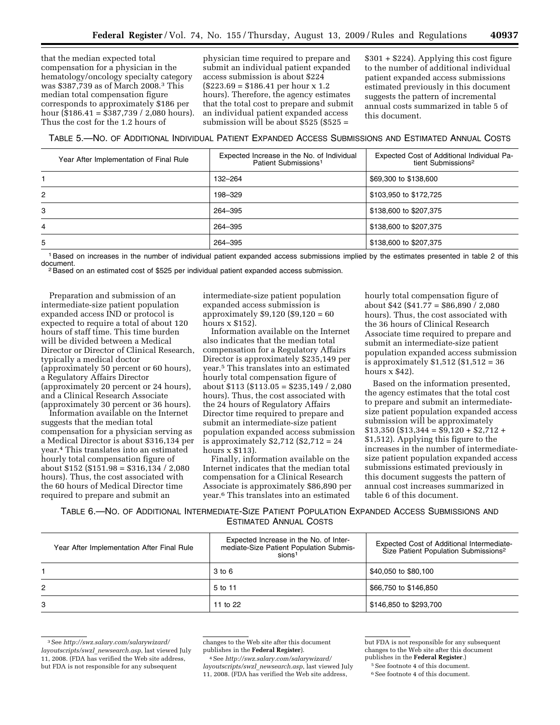that the median expected total compensation for a physician in the hematology/oncology specialty category was \$387,739 as of March 2008.3 This median total compensation figure corresponds to approximately \$186 per hour (\$186.41 = \$387,739 / 2,080 hours). Thus the cost for the 1.2 hours of

physician time required to prepare and submit an individual patient expanded access submission is about \$224  $($223.69 = $186.41$  per hour x 1.2 hours). Therefore, the agency estimates that the total cost to prepare and submit an individual patient expanded access submission will be about \$525 (\$525 =

\$301 + \$224). Applying this cost figure to the number of additional individual patient expanded access submissions estimated previously in this document suggests the pattern of incremental annual costs summarized in table 5 of this document.

# TABLE 5.—NO. OF ADDITIONAL INDIVIDUAL PATIENT EXPANDED ACCESS SUBMISSIONS AND ESTIMATED ANNUAL COSTS

|                | Year After Implementation of Final Rule | Expected Increase in the No. of Individual<br>Patient Submissions <sup>1</sup> | Expected Cost of Additional Individual Pa-<br>tient Submissions <sup>2</sup> |
|----------------|-----------------------------------------|--------------------------------------------------------------------------------|------------------------------------------------------------------------------|
|                |                                         | 132-264                                                                        | \$69,300 to \$138,600                                                        |
| $\overline{2}$ |                                         | 198–329                                                                        | \$103,950 to \$172,725                                                       |
| 3              |                                         | 264-395                                                                        | \$138,600 to \$207,375                                                       |
| 4              |                                         | 264-395                                                                        | \$138,600 to \$207,375                                                       |
| 5              |                                         | 264-395                                                                        | \$138,600 to \$207,375                                                       |

<sup>1</sup>Based on increases in the number of individual patient expanded access submissions implied by the estimates presented in table 2 of this document.

 $2$ Based on an estimated cost of \$525 per individual patient expanded access submission.

Preparation and submission of an intermediate-size patient population expanded access IND or protocol is expected to require a total of about 120 hours of staff time. This time burden will be divided between a Medical Director or Director of Clinical Research, typically a medical doctor (approximately 50 percent or 60 hours), a Regulatory Affairs Director (approximately 20 percent or 24 hours), and a Clinical Research Associate (approximately 30 percent or 36 hours).

Information available on the Internet suggests that the median total compensation for a physician serving as a Medical Director is about \$316,134 per year.4 This translates into an estimated hourly total compensation figure of about \$152 (\$151.98 = \$316,134 / 2,080 hours). Thus, the cost associated with the 60 hours of Medical Director time required to prepare and submit an

intermediate-size patient population expanded access submission is approximately \$9,120 (\$9,120 = 60 hours x \$152).

Information available on the Internet also indicates that the median total compensation for a Regulatory Affairs Director is approximately \$235,149 per year.5 This translates into an estimated hourly total compensation figure of about  $$113 ($113.05 = $235,149 / 2,080$ hours). Thus, the cost associated with the 24 hours of Regulatory Affairs Director time required to prepare and submit an intermediate-size patient population expanded access submission is approximately \$2,712 (\$2,712 = 24 hours x \$113).

Finally, information available on the Internet indicates that the median total compensation for a Clinical Research Associate is approximately \$86,890 per year.6 This translates into an estimated

hourly total compensation figure of about \$42 (\$41.77 = \$86,890 / 2,080 hours). Thus, the cost associated with the 36 hours of Clinical Research Associate time required to prepare and submit an intermediate-size patient population expanded access submission is approximately \$1,512 (\$1,512 = 36 hours x \$42).

Based on the information presented, the agency estimates that the total cost to prepare and submit an intermediatesize patient population expanded access submission will be approximately  $$13,350$  (\$13,344 = \$9,120 + \$2,712 + \$1,512). Applying this figure to the increases in the number of intermediatesize patient population expanded access submissions estimated previously in this document suggests the pattern of annual cost increases summarized in table 6 of this document.

TABLE 6.—NO. OF ADDITIONAL INTERMEDIATE-SIZE PATIENT POPULATION EXPANDED ACCESS SUBMISSIONS AND ESTIMATED ANNUAL COSTS

| Year After Implementation After Final Rule | Expected Increase in the No. of Inter-<br>mediate-Size Patient Population Submis-<br>sions <sup>1</sup> | Expected Cost of Additional Intermediate-<br>Size Patient Population Submissions <sup>2</sup> |
|--------------------------------------------|---------------------------------------------------------------------------------------------------------|-----------------------------------------------------------------------------------------------|
|                                            | $3$ to $6$                                                                                              | \$40,050 to \$80,100                                                                          |
| 2                                          | 5 to 11                                                                                                 | \$66,750 to \$146,850                                                                         |
| 3                                          | 11 to 22                                                                                                | \$146,850 to \$293,700                                                                        |

<sup>3</sup>See *http://swz.salary.com/salarywizard/ layoutscripts/swzl*\_*newsearch.asp*, last viewed July 11, 2008. (FDA has verified the Web site address, but FDA is not responsible for any subsequent

changes to the Web site after this document publishes in the **Federal Register**).

4See *http://swz.salary.com/salarywizard/ layoutscripts/swzl*\_*newsearch.asp*, last viewed July 11, 2008. (FDA has verified the Web site address,

but FDA is not responsible for any subsequent changes to the Web site after this document publishes in the **Federal Register**.)

5See footnote 4 of this document.

6See footnote 4 of this document.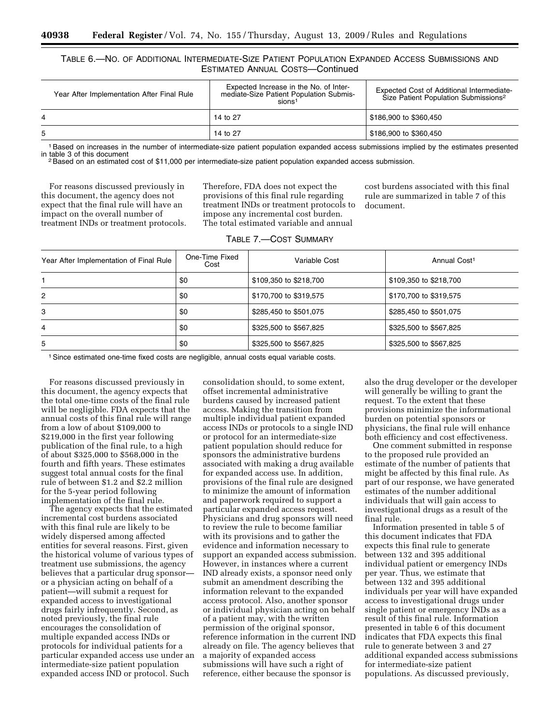# TABLE 6.—NO. OF ADDITIONAL INTERMEDIATE-SIZE PATIENT POPULATION EXPANDED ACCESS SUBMISSIONS AND ESTIMATED ANNUAL COSTS—Continued

| Year After Implementation After Final Rule | Expected Increase in the No. of Inter-<br>mediate-Size Patient Population Submis-<br>sions <sup>1</sup> | Expected Cost of Additional Intermediate-<br>Size Patient Population Submissions <sup>2</sup> |
|--------------------------------------------|---------------------------------------------------------------------------------------------------------|-----------------------------------------------------------------------------------------------|
| 4                                          | 14 to 27                                                                                                | \$186,900 to \$360,450                                                                        |
| 5                                          | 14 to 27                                                                                                | \$186,900 to \$360,450                                                                        |

<sup>1</sup>Based on increases in the number of intermediate-size patient population expanded access submissions implied by the estimates presented<br>in table 3 of this document

<sup>2</sup> Based on an estimated cost of \$11,000 per intermediate-size patient population expanded access submission.

For reasons discussed previously in this document, the agency does not expect that the final rule will have an impact on the overall number of treatment INDs or treatment protocols. Therefore, FDA does not expect the provisions of this final rule regarding treatment INDs or treatment protocols to impose any incremental cost burden. The total estimated variable and annual

TABLE 7.—COST SUMMARY

cost burdens associated with this final rule are summarized in table 7 of this document.

| Year After Implementation of Final Rule | One-Time Fixed<br>Cost | Variable Cost          | Annual Cost <sup>1</sup> |
|-----------------------------------------|------------------------|------------------------|--------------------------|
|                                         | \$0                    | \$109,350 to \$218,700 | \$109,350 to \$218,700   |
| $\overline{2}$                          | \$0                    | \$170,700 to \$319,575 | \$170,700 to \$319,575   |
| 3                                       | \$0                    | \$285,450 to \$501,075 | \$285,450 to \$501,075   |
| 4                                       | \$0                    | \$325,500 to \$567,825 | \$325,500 to \$567,825   |
| 5                                       | \$0                    | \$325,500 to \$567,825 | \$325,500 to \$567,825   |

<sup>1</sup> Since estimated one-time fixed costs are negligible, annual costs equal variable costs.

For reasons discussed previously in this document, the agency expects that the total one-time costs of the final rule will be negligible. FDA expects that the annual costs of this final rule will range from a low of about \$109,000 to \$219,000 in the first year following publication of the final rule, to a high of about \$325,000 to \$568,000 in the fourth and fifth years. These estimates suggest total annual costs for the final rule of between \$1.2 and \$2.2 million for the 5-year period following implementation of the final rule.

The agency expects that the estimated incremental cost burdens associated with this final rule are likely to be widely dispersed among affected entities for several reasons. First, given the historical volume of various types of treatment use submissions, the agency believes that a particular drug sponsor or a physician acting on behalf of a patient—will submit a request for expanded access to investigational drugs fairly infrequently. Second, as noted previously, the final rule encourages the consolidation of multiple expanded access INDs or protocols for individual patients for a particular expanded access use under an intermediate-size patient population expanded access IND or protocol. Such

consolidation should, to some extent, offset incremental administrative burdens caused by increased patient access. Making the transition from multiple individual patient expanded access INDs or protocols to a single IND or protocol for an intermediate-size patient population should reduce for sponsors the administrative burdens associated with making a drug available for expanded access use. In addition, provisions of the final rule are designed to minimize the amount of information and paperwork required to support a particular expanded access request. Physicians and drug sponsors will need to review the rule to become familiar with its provisions and to gather the evidence and information necessary to support an expanded access submission. However, in instances where a current IND already exists, a sponsor need only submit an amendment describing the information relevant to the expanded access protocol. Also, another sponsor or individual physician acting on behalf of a patient may, with the written permission of the original sponsor, reference information in the current IND already on file. The agency believes that a majority of expanded access submissions will have such a right of reference, either because the sponsor is

also the drug developer or the developer will generally be willing to grant the request. To the extent that these provisions minimize the informational burden on potential sponsors or physicians, the final rule will enhance both efficiency and cost effectiveness.

One comment submitted in response to the proposed rule provided an estimate of the number of patients that might be affected by this final rule. As part of our response, we have generated estimates of the number additional individuals that will gain access to investigational drugs as a result of the final rule.

Information presented in table 5 of this document indicates that FDA expects this final rule to generate between 132 and 395 additional individual patient or emergency INDs per year. Thus, we estimate that between 132 and 395 additional individuals per year will have expanded access to investigational drugs under single patient or emergency INDs as a result of this final rule. Information presented in table 6 of this document indicates that FDA expects this final rule to generate between 3 and 27 additional expanded access submissions for intermediate-size patient populations. As discussed previously,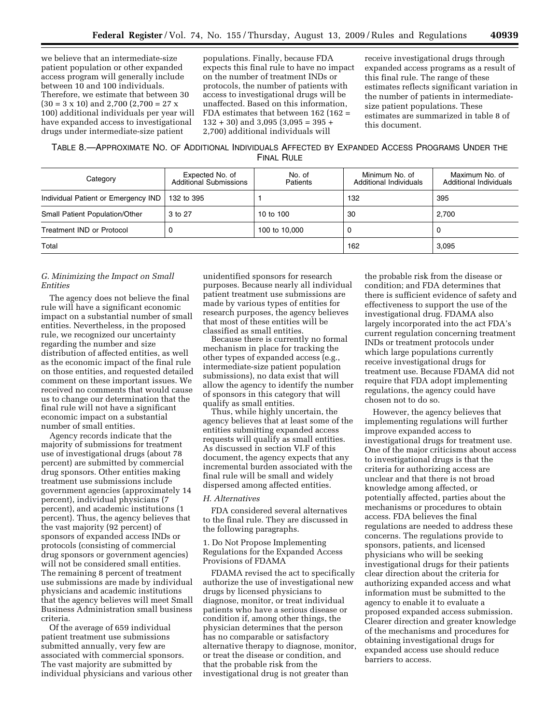we believe that an intermediate-size patient population or other expanded access program will generally include between 10 and 100 individuals. Therefore, we estimate that between 30  $(30 = 3 \times 10)$  and 2,700  $(2,700 = 27 \times$ 100) additional individuals per year will have expanded access to investigational drugs under intermediate-size patient

populations. Finally, because FDA expects this final rule to have no impact on the number of treatment INDs or protocols, the number of patients with access to investigational drugs will be unaffected. Based on this information, FDA estimates that between 162 (162 =  $132 + 30$ ) and  $3,095 (3,095 = 395 +$ 2,700) additional individuals will

receive investigational drugs through expanded access programs as a result of this final rule. The range of these estimates reflects significant variation in the number of patients in intermediatesize patient populations. These estimates are summarized in table 8 of this document.

TABLE 8.—APPROXIMATE NO. OF ADDITIONAL INDIVIDUALS AFFECTED BY EXPANDED ACCESS PROGRAMS UNDER THE FINAL RULE

| Category                              | Expected No. of<br><b>Additional Submissions</b> | No. of<br>Patients | Minimum No. of<br>Additional Individuals | Maximum No. of<br>Additional Individuals |
|---------------------------------------|--------------------------------------------------|--------------------|------------------------------------------|------------------------------------------|
| Individual Patient or Emergency IND   | 132 to 395                                       |                    | 132                                      | 395                                      |
| <b>Small Patient Population/Other</b> | 3 to 27                                          | 10 to 100          | 30                                       | 2.700                                    |
| Treatment IND or Protocol             | 0                                                | 100 to 10,000      | O                                        | U                                        |
| Total                                 |                                                  |                    | 162                                      | 3.095                                    |

# *G. Minimizing the Impact on Small Entities*

The agency does not believe the final rule will have a significant economic impact on a substantial number of small entities. Nevertheless, in the proposed rule, we recognized our uncertainty regarding the number and size distribution of affected entities, as well as the economic impact of the final rule on those entities, and requested detailed comment on these important issues. We received no comments that would cause us to change our determination that the final rule will not have a significant economic impact on a substantial number of small entities.

Agency records indicate that the majority of submissions for treatment use of investigational drugs (about 78 percent) are submitted by commercial drug sponsors. Other entities making treatment use submissions include government agencies (approximately 14 percent), individual physicians (7 percent), and academic institutions (1 percent). Thus, the agency believes that the vast majority (92 percent) of sponsors of expanded access INDs or protocols (consisting of commercial drug sponsors or government agencies) will not be considered small entities. The remaining 8 percent of treatment use submissions are made by individual physicians and academic institutions that the agency believes will meet Small Business Administration small business criteria.

Of the average of 659 individual patient treatment use submissions submitted annually, very few are associated with commercial sponsors. The vast majority are submitted by individual physicians and various other

unidentified sponsors for research purposes. Because nearly all individual patient treatment use submissions are made by various types of entities for research purposes, the agency believes that most of these entities will be classified as small entities.

Because there is currently no formal mechanism in place for tracking the other types of expanded access (e.g., intermediate-size patient population submissions), no data exist that will allow the agency to identify the number of sponsors in this category that will qualify as small entities.

Thus, while highly uncertain, the agency believes that at least some of the entities submitting expanded access requests will qualify as small entities. As discussed in section VI.F of this document, the agency expects that any incremental burden associated with the final rule will be small and widely dispersed among affected entities.

#### *H. Alternatives*

FDA considered several alternatives to the final rule. They are discussed in the following paragraphs.

1. Do Not Propose Implementing Regulations for the Expanded Access Provisions of FDAMA

FDAMA revised the act to specifically authorize the use of investigational new drugs by licensed physicians to diagnose, monitor, or treat individual patients who have a serious disease or condition if, among other things, the physician determines that the person has no comparable or satisfactory alternative therapy to diagnose, monitor, or treat the disease or condition, and that the probable risk from the investigational drug is not greater than

the probable risk from the disease or condition; and FDA determines that there is sufficient evidence of safety and effectiveness to support the use of the investigational drug. FDAMA also largely incorporated into the act FDA's current regulation concerning treatment INDs or treatment protocols under which large populations currently receive investigational drugs for treatment use. Because FDAMA did not require that FDA adopt implementing regulations, the agency could have chosen not to do so.

However, the agency believes that implementing regulations will further improve expanded access to investigational drugs for treatment use. One of the major criticisms about access to investigational drugs is that the criteria for authorizing access are unclear and that there is not broad knowledge among affected, or potentially affected, parties about the mechanisms or procedures to obtain access. FDA believes the final regulations are needed to address these concerns. The regulations provide to sponsors, patients, and licensed physicians who will be seeking investigational drugs for their patients clear direction about the criteria for authorizing expanded access and what information must be submitted to the agency to enable it to evaluate a proposed expanded access submission. Clearer direction and greater knowledge of the mechanisms and procedures for obtaining investigational drugs for expanded access use should reduce barriers to access.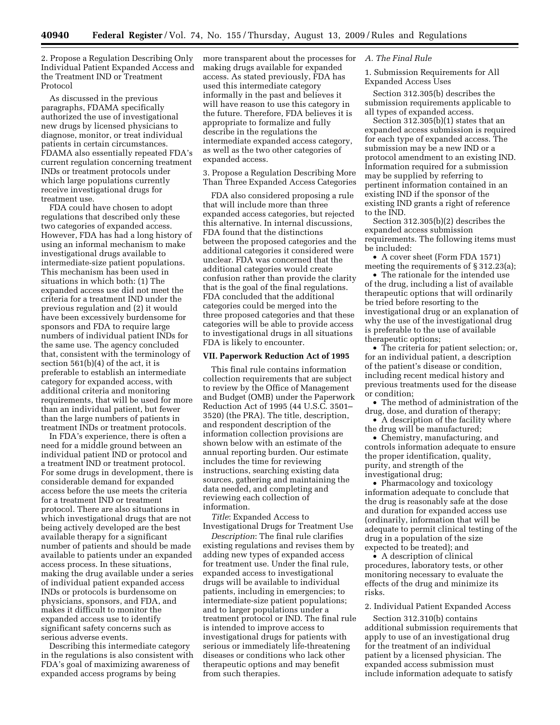2. Propose a Regulation Describing Only Individual Patient Expanded Access and the Treatment IND or Treatment Protocol

As discussed in the previous paragraphs, FDAMA specifically authorized the use of investigational new drugs by licensed physicians to diagnose, monitor, or treat individual patients in certain circumstances. FDAMA also essentially repeated FDA's current regulation concerning treatment INDs or treatment protocols under which large populations currently receive investigational drugs for treatment use.

FDA could have chosen to adopt regulations that described only these two categories of expanded access. However, FDA has had a long history of using an informal mechanism to make investigational drugs available to intermediate-size patient populations. This mechanism has been used in situations in which both: (1) The expanded access use did not meet the criteria for a treatment IND under the previous regulation and (2) it would have been excessively burdensome for sponsors and FDA to require large numbers of individual patient INDs for the same use. The agency concluded that, consistent with the terminology of section 561(b)(4) of the act, it is preferable to establish an intermediate category for expanded access, with additional criteria and monitoring requirements, that will be used for more than an individual patient, but fewer than the large numbers of patients in treatment INDs or treatment protocols.

In FDA's experience, there is often a need for a middle ground between an individual patient IND or protocol and a treatment IND or treatment protocol. For some drugs in development, there is considerable demand for expanded access before the use meets the criteria for a treatment IND or treatment protocol. There are also situations in which investigational drugs that are not being actively developed are the best available therapy for a significant number of patients and should be made available to patients under an expanded access process. In these situations, making the drug available under a series of individual patient expanded access INDs or protocols is burdensome on physicians, sponsors, and FDA, and makes it difficult to monitor the expanded access use to identify significant safety concerns such as serious adverse events.

Describing this intermediate category in the regulations is also consistent with FDA's goal of maximizing awareness of expanded access programs by being

more transparent about the processes for making drugs available for expanded access. As stated previously, FDA has used this intermediate category informally in the past and believes it will have reason to use this category in the future. Therefore, FDA believes it is appropriate to formalize and fully describe in the regulations the intermediate expanded access category, as well as the two other categories of expanded access.

3. Propose a Regulation Describing More Than Three Expanded Access Categories

FDA also considered proposing a rule that will include more than three expanded access categories, but rejected this alternative. In internal discussions, FDA found that the distinctions between the proposed categories and the additional categories it considered were unclear. FDA was concerned that the additional categories would create confusion rather than provide the clarity that is the goal of the final regulations. FDA concluded that the additional categories could be merged into the three proposed categories and that these categories will be able to provide access to investigational drugs in all situations FDA is likely to encounter.

### **VII. Paperwork Reduction Act of 1995**

This final rule contains information collection requirements that are subject to review by the Office of Management and Budget (OMB) under the Paperwork Reduction Act of 1995 (44 U.S.C. 3501– 3520) (the PRA). The title, description, and respondent description of the information collection provisions are shown below with an estimate of the annual reporting burden. Our estimate includes the time for reviewing instructions, searching existing data sources, gathering and maintaining the data needed, and completing and reviewing each collection of information.

*Title*: Expanded Access to Investigational Drugs for Treatment Use

*Description*: The final rule clarifies existing regulations and revises them by adding new types of expanded access for treatment use. Under the final rule, expanded access to investigational drugs will be available to individual patients, including in emergencies; to intermediate-size patient populations; and to larger populations under a treatment protocol or IND. The final rule is intended to improve access to investigational drugs for patients with serious or immediately life-threatening diseases or conditions who lack other therapeutic options and may benefit from such therapies.

#### *A. The Final Rule*

1. Submission Requirements for All Expanded Access Uses

Section 312.305(b) describes the submission requirements applicable to all types of expanded access.

Section 312.305(b)(1) states that an expanded access submission is required for each type of expanded access. The submission may be a new IND or a protocol amendment to an existing IND. Information required for a submission may be supplied by referring to pertinent information contained in an existing IND if the sponsor of the existing IND grants a right of reference to the IND.

Section 312.305(b)(2) describes the expanded access submission requirements. The following items must be included:

• A cover sheet (Form FDA 1571) meeting the requirements of § 312.23(a);

• The rationale for the intended use of the drug, including a list of available therapeutic options that will ordinarily be tried before resorting to the investigational drug or an explanation of why the use of the investigational drug is preferable to the use of available therapeutic options;

• The criteria for patient selection; or, for an individual patient, a description of the patient's disease or condition, including recent medical history and previous treatments used for the disease or condition;

• The method of administration of the drug, dose, and duration of therapy;

• A description of the facility where the drug will be manufactured;

• Chemistry, manufacturing, and controls information adequate to ensure the proper identification, quality, purity, and strength of the investigational drug;

• Pharmacology and toxicology information adequate to conclude that the drug is reasonably safe at the dose and duration for expanded access use (ordinarily, information that will be adequate to permit clinical testing of the drug in a population of the size expected to be treated); and

• A description of clinical procedures, laboratory tests, or other monitoring necessary to evaluate the effects of the drug and minimize its risks.

# 2. Individual Patient Expanded Access

Section 312.310(b) contains additional submission requirements that apply to use of an investigational drug for the treatment of an individual patient by a licensed physician. The expanded access submission must include information adequate to satisfy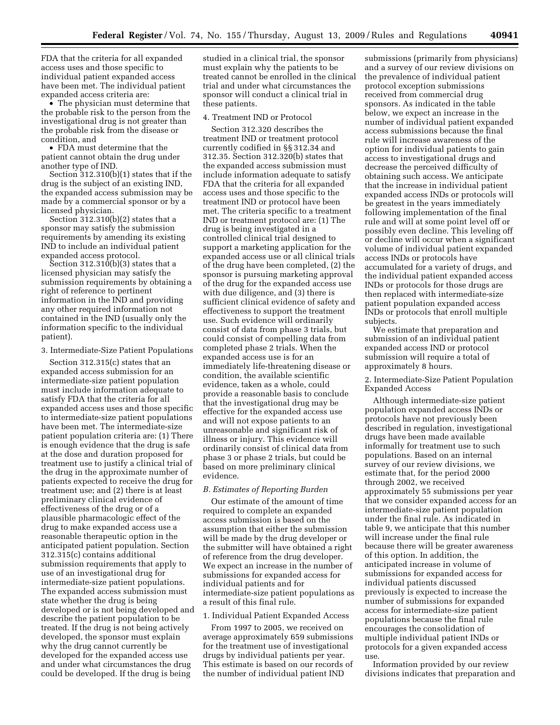FDA that the criteria for all expanded access uses and those specific to individual patient expanded access have been met. The individual patient expanded access criteria are:

• The physician must determine that the probable risk to the person from the investigational drug is not greater than the probable risk from the disease or condition, and

• FDA must determine that the patient cannot obtain the drug under another type of IND.

Section 312.310(b)(1) states that if the drug is the subject of an existing IND, the expanded access submission may be made by a commercial sponsor or by a licensed physician.

Section 312.310(b)(2) states that a sponsor may satisfy the submission requirements by amending its existing IND to include an individual patient expanded access protocol.

Section  $312.310(b)(3)$  states that a licensed physician may satisfy the submission requirements by obtaining a right of reference to pertinent information in the IND and providing any other required information not contained in the IND (usually only the information specific to the individual patient).

3. Intermediate-Size Patient Populations

Section 312.315(c) states that an expanded access submission for an intermediate-size patient population must include information adequate to satisfy FDA that the criteria for all expanded access uses and those specific to intermediate-size patient populations have been met. The intermediate-size patient population criteria are: (1) There is enough evidence that the drug is safe at the dose and duration proposed for treatment use to justify a clinical trial of the drug in the approximate number of patients expected to receive the drug for treatment use; and (2) there is at least preliminary clinical evidence of effectiveness of the drug or of a plausible pharmacologic effect of the drug to make expanded access use a reasonable therapeutic option in the anticipated patient population. Section 312.315(c) contains additional submission requirements that apply to use of an investigational drug for intermediate-size patient populations. The expanded access submission must state whether the drug is being developed or is not being developed and describe the patient population to be treated. If the drug is not being actively developed, the sponsor must explain why the drug cannot currently be developed for the expanded access use and under what circumstances the drug could be developed. If the drug is being

studied in a clinical trial, the sponsor must explain why the patients to be treated cannot be enrolled in the clinical trial and under what circumstances the sponsor will conduct a clinical trial in these patients.

#### 4. Treatment IND or Protocol

Section 312.320 describes the treatment IND or treatment protocol currently codified in §§ 312.34 and 312.35. Section 312.320(b) states that the expanded access submission must include information adequate to satisfy FDA that the criteria for all expanded access uses and those specific to the treatment IND or protocol have been met. The criteria specific to a treatment IND or treatment protocol are: (1) The drug is being investigated in a controlled clinical trial designed to support a marketing application for the expanded access use or all clinical trials of the drug have been completed, (2) the sponsor is pursuing marketing approval of the drug for the expanded access use with due diligence, and (3) there is sufficient clinical evidence of safety and effectiveness to support the treatment use. Such evidence will ordinarily consist of data from phase 3 trials, but could consist of compelling data from completed phase 2 trials. When the expanded access use is for an immediately life-threatening disease or condition, the available scientific evidence, taken as a whole, could provide a reasonable basis to conclude that the investigational drug may be effective for the expanded access use and will not expose patients to an unreasonable and significant risk of illness or injury. This evidence will ordinarily consist of clinical data from phase 3 or phase 2 trials, but could be based on more preliminary clinical evidence.

#### *B. Estimates of Reporting Burden*

Our estimate of the amount of time required to complete an expanded access submission is based on the assumption that either the submission will be made by the drug developer or the submitter will have obtained a right of reference from the drug developer. We expect an increase in the number of submissions for expanded access for individual patients and for intermediate-size patient populations as a result of this final rule.

### 1. Individual Patient Expanded Access

From 1997 to 2005, we received on average approximately 659 submissions for the treatment use of investigational drugs by individual patients per year. This estimate is based on our records of the number of individual patient IND

submissions (primarily from physicians) and a survey of our review divisions on the prevalence of individual patient protocol exception submissions received from commercial drug sponsors. As indicated in the table below, we expect an increase in the number of individual patient expanded access submissions because the final rule will increase awareness of the option for individual patients to gain access to investigational drugs and decrease the perceived difficulty of obtaining such access. We anticipate that the increase in individual patient expanded access INDs or protocols will be greatest in the years immediately following implementation of the final rule and will at some point level off or possibly even decline. This leveling off or decline will occur when a significant volume of individual patient expanded access INDs or protocols have accumulated for a variety of drugs, and the individual patient expanded access INDs or protocols for those drugs are then replaced with intermediate-size patient population expanded access INDs or protocols that enroll multiple subjects.

We estimate that preparation and submission of an individual patient expanded access IND or protocol submission will require a total of approximately 8 hours.

# 2. Intermediate-Size Patient Population Expanded Access

Although intermediate-size patient population expanded access INDs or protocols have not previously been described in regulation, investigational drugs have been made available informally for treatment use to such populations. Based on an internal survey of our review divisions, we estimate that, for the period 2000 through 2002, we received approximately 55 submissions per year that we consider expanded access for an intermediate-size patient population under the final rule. As indicated in table 9, we anticipate that this number will increase under the final rule because there will be greater awareness of this option. In addition, the anticipated increase in volume of submissions for expanded access for individual patients discussed previously is expected to increase the number of submissions for expanded access for intermediate-size patient populations because the final rule encourages the consolidation of multiple individual patient INDs or protocols for a given expanded access use.

Information provided by our review divisions indicates that preparation and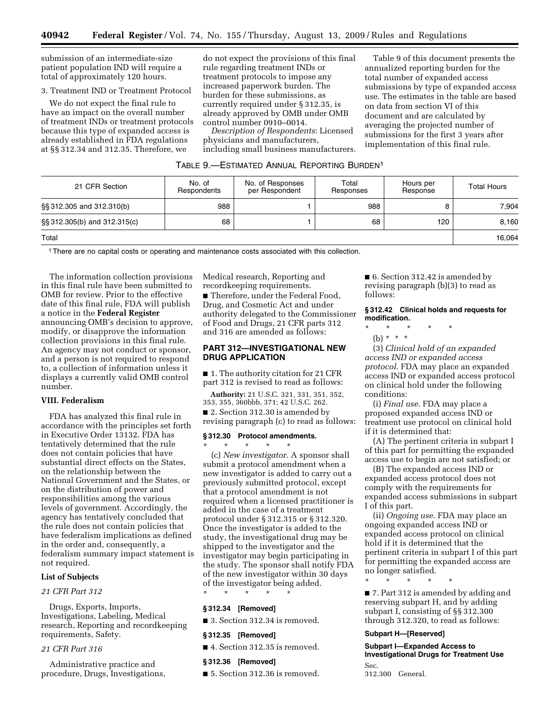submission of an intermediate-size patient population IND will require a total of approximately 120 hours.

### 3. Treatment IND or Treatment Protocol

We do not expect the final rule to have an impact on the overall number of treatment INDs or treatment protocols because this type of expanded access is already established in FDA regulations at §§ 312.34 and 312.35. Therefore, we

do not expect the provisions of this final rule regarding treatment INDs or treatment protocols to impose any increased paperwork burden. The burden for these submissions, as currently required under § 312.35, is already approved by OMB under OMB control number 0910–0014.

*Description of Respondents*: Licensed physicians and manufacturers, including small business manufacturers.

Table 9 of this document presents the annualized reporting burden for the total number of expanded access submissions by type of expanded access use. The estimates in the table are based on data from section VI of this document and are calculated by averaging the projected number of submissions for the first 3 years after implementation of this final rule.

| TABLE 9.—ESTIMATED ANNUAL REPORTING BURDEN <sup>1</sup> |  |
|---------------------------------------------------------|--|
|---------------------------------------------------------|--|

| 21 CFR Section               | No. of<br>Respondents | No. of Responses<br>per Respondent | Total<br>Responses | Hours per<br>Response | <b>Total Hours</b> |
|------------------------------|-----------------------|------------------------------------|--------------------|-----------------------|--------------------|
| §§ 312.305 and 312.310(b)    | 988                   |                                    | 988                |                       | 7.904              |
| §§ 312.305(b) and 312.315(c) | 68                    |                                    | 68                 | 120                   | 8.160              |
| Total                        |                       |                                    |                    |                       | 16.064             |

1There are no capital costs or operating and maintenance costs associated with this collection.

The information collection provisions in this final rule have been submitted to OMB for review. Prior to the effective date of this final rule, FDA will publish a notice in the **Federal Register**  announcing OMB's decision to approve, modify, or disapprove the information collection provisions in this final rule. An agency may not conduct or sponsor, and a person is not required to respond to, a collection of information unless it displays a currently valid OMB control number.

### **VIII. Federalism**

FDA has analyzed this final rule in accordance with the principles set forth in Executive Order 13132. FDA has tentatively determined that the rule does not contain policies that have substantial direct effects on the States, on the relationship between the National Government and the States, or on the distribution of power and responsibilities among the various levels of government. Accordingly, the agency has tentatively concluded that the rule does not contain policies that have federalism implications as defined in the order and, consequently, a federalism summary impact statement is not required.

#### **List of Subjects**

#### *21 CFR Part 312*

Drugs, Exports, Imports, Investigations, Labeling, Medical research, Reporting and recordkeeping requirements, Safety.

# *21 CFR Part 316*

Administrative practice and procedure, Drugs, Investigations, Medical research, Reporting and recordkeeping requirements.

■ Therefore, under the Federal Food, Drug, and Cosmetic Act and under authority delegated to the Commissioner of Food and Drugs, 21 CFR parts 312 and 316 are amended as follows:

# **PART 312—INVESTIGATIONAL NEW DRUG APPLICATION**

■ 1. The authority citation for 21 CFR part 312 is revised to read as follows:

**Authority:** 21 U.S.C. 321, 331, 351, 352, 353, 355, 360bbb, 371; 42 U.S.C. 262.

■ 2. Section 312.30 is amended by revising paragraph (c) to read as follows:

# **§ 312.30 Protocol amendments.**

\* \* \* \* \*

(c) *New investigator*. A sponsor shall submit a protocol amendment when a new investigator is added to carry out a previously submitted protocol, except that a protocol amendment is not required when a licensed practitioner is added in the case of a treatment protocol under § 312.315 or § 312.320. Once the investigator is added to the study, the investigational drug may be shipped to the investigator and the investigator may begin participating in the study. The sponsor shall notify FDA of the new investigator within 30 days of the investigator being added.

\* \* \* \* \*

### **§ 312.34 [Removed]**

■ 3. Section 312.34 is removed.

#### **§ 312.35 [Removed]**

■ 4. Section 312.35 is removed.

#### **§ 312.36 [Removed]**

■ 5. Section 312.36 is removed.

■ 6. Section 312.42 is amended by revising paragraph (b)(3) to read as follows:

### **§ 312.42 Clinical holds and requests for modification.**

- \* \* \* \* \*
	- (b)  $* * * *$

(3) *Clinical hold of an expanded access IND or expanded access protocol*. FDA may place an expanded access IND or expanded access protocol on clinical hold under the following conditions:

(i) *Final use*. FDA may place a proposed expanded access IND or treatment use protocol on clinical hold if it is determined that:

(A) The pertinent criteria in subpart I of this part for permitting the expanded access use to begin are not satisfied; or

(B) The expanded access IND or expanded access protocol does not comply with the requirements for expanded access submissions in subpart I of this part.

(ii) *Ongoing use*. FDA may place an ongoing expanded access IND or expanded access protocol on clinical hold if it is determined that the pertinent criteria in subpart I of this part for permitting the expanded access are no longer satisfied.

\* \* \* \* \*

■ 7. Part 312 is amended by adding and reserving subpart H, and by adding subpart I, consisting of §§ 312.300 through 312.320, to read as follows:

# **Subpart H—[Reserved]**

**Subpart I—Expanded Access to Investigational Drugs for Treatment Use**  Sec.

312.300 General.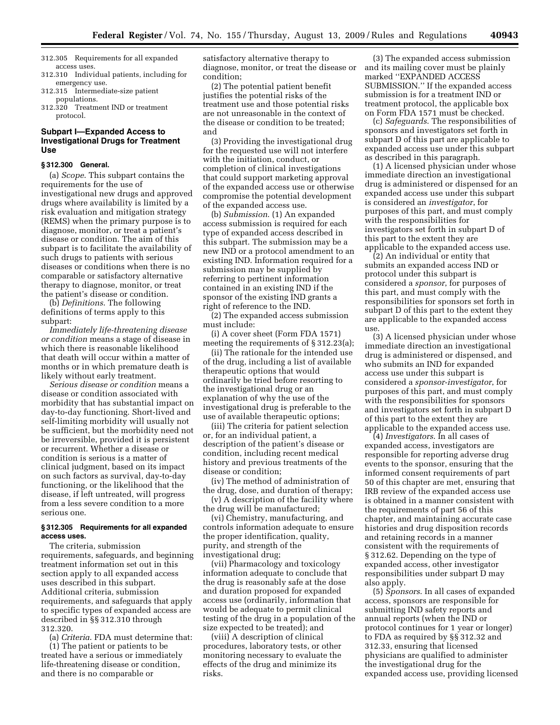- 312.305 Requirements for all expanded access uses.
- 312.310 Individual patients, including for emergency use.
- 312.315 Intermediate-size patient populations.
- 312.320 Treatment IND or treatment protocol.

# **Subpart I—Expanded Access to Investigational Drugs for Treatment Use**

### **§ 312.300 General.**

(a) *Scope*. This subpart contains the requirements for the use of investigational new drugs and approved drugs where availability is limited by a risk evaluation and mitigation strategy (REMS) when the primary purpose is to diagnose, monitor, or treat a patient's disease or condition. The aim of this subpart is to facilitate the availability of such drugs to patients with serious diseases or conditions when there is no comparable or satisfactory alternative therapy to diagnose, monitor, or treat the patient's disease or condition.

(b) *Definitions*. The following definitions of terms apply to this subpart:

*Immediately life-threatening disease or condition* means a stage of disease in which there is reasonable likelihood that death will occur within a matter of months or in which premature death is likely without early treatment.

*Serious disease or condition* means a disease or condition associated with morbidity that has substantial impact on day-to-day functioning. Short-lived and self-limiting morbidity will usually not be sufficient, but the morbidity need not be irreversible, provided it is persistent or recurrent. Whether a disease or condition is serious is a matter of clinical judgment, based on its impact on such factors as survival, day-to-day functioning, or the likelihood that the disease, if left untreated, will progress from a less severe condition to a more serious one.

#### **§ 312.305 Requirements for all expanded access uses.**

The criteria, submission requirements, safeguards, and beginning treatment information set out in this section apply to all expanded access uses described in this subpart. Additional criteria, submission requirements, and safeguards that apply to specific types of expanded access are described in §§ 312.310 through 312.320.

(a) *Criteria*. FDA must determine that: (1) The patient or patients to be treated have a serious or immediately life-threatening disease or condition, and there is no comparable or

satisfactory alternative therapy to diagnose, monitor, or treat the disease or condition;

(2) The potential patient benefit justifies the potential risks of the treatment use and those potential risks are not unreasonable in the context of the disease or condition to be treated; and

(3) Providing the investigational drug for the requested use will not interfere with the initiation, conduct, or completion of clinical investigations that could support marketing approval of the expanded access use or otherwise compromise the potential development of the expanded access use.

(b) *Submission*. (1) An expanded access submission is required for each type of expanded access described in this subpart. The submission may be a new IND or a protocol amendment to an existing IND. Information required for a submission may be supplied by referring to pertinent information contained in an existing IND if the sponsor of the existing IND grants a right of reference to the IND.

(2) The expanded access submission must include:

(i) A cover sheet (Form FDA 1571) meeting the requirements of § 312.23(a);

(ii) The rationale for the intended use of the drug, including a list of available therapeutic options that would ordinarily be tried before resorting to the investigational drug or an explanation of why the use of the investigational drug is preferable to the use of available therapeutic options;

(iii) The criteria for patient selection or, for an individual patient, a description of the patient's disease or condition, including recent medical history and previous treatments of the disease or condition;

(iv) The method of administration of the drug, dose, and duration of therapy;

(v) A description of the facility where the drug will be manufactured;

(vi) Chemistry, manufacturing, and controls information adequate to ensure the proper identification, quality, purity, and strength of the investigational drug;

(vii) Pharmacology and toxicology information adequate to conclude that the drug is reasonably safe at the dose and duration proposed for expanded access use (ordinarily, information that would be adequate to permit clinical testing of the drug in a population of the size expected to be treated); and

(viii) A description of clinical procedures, laboratory tests, or other monitoring necessary to evaluate the effects of the drug and minimize its risks.

(3) The expanded access submission and its mailing cover must be plainly marked ''EXPANDED ACCESS SUBMISSION.'' If the expanded access submission is for a treatment IND or treatment protocol, the applicable box on Form FDA 1571 must be checked.

(c) *Safeguards*. The responsibilities of sponsors and investigators set forth in subpart D of this part are applicable to expanded access use under this subpart as described in this paragraph.

(1) A licensed physician under whose immediate direction an investigational drug is administered or dispensed for an expanded access use under this subpart is considered an *investigator*, for purposes of this part, and must comply with the responsibilities for investigators set forth in subpart D of this part to the extent they are applicable to the expanded access use.

(2) An individual or entity that submits an expanded access IND or protocol under this subpart is considered a *sponsor*, for purposes of this part, and must comply with the responsibilities for sponsors set forth in subpart D of this part to the extent they are applicable to the expanded access use.

(3) A licensed physician under whose immediate direction an investigational drug is administered or dispensed, and who submits an IND for expanded access use under this subpart is considered a *sponsor-investigator*, for purposes of this part, and must comply with the responsibilities for sponsors and investigators set forth in subpart D of this part to the extent they are applicable to the expanded access use.

(4) *Investigators*. In all cases of expanded access, investigators are responsible for reporting adverse drug events to the sponsor, ensuring that the informed consent requirements of part 50 of this chapter are met, ensuring that IRB review of the expanded access use is obtained in a manner consistent with the requirements of part 56 of this chapter, and maintaining accurate case histories and drug disposition records and retaining records in a manner consistent with the requirements of § 312.62. Depending on the type of expanded access, other investigator responsibilities under subpart D may also apply.

(5) *Sponsors*. In all cases of expanded access, sponsors are responsible for submitting IND safety reports and annual reports (when the IND or protocol continues for 1 year or longer) to FDA as required by §§ 312.32 and 312.33, ensuring that licensed physicians are qualified to administer the investigational drug for the expanded access use, providing licensed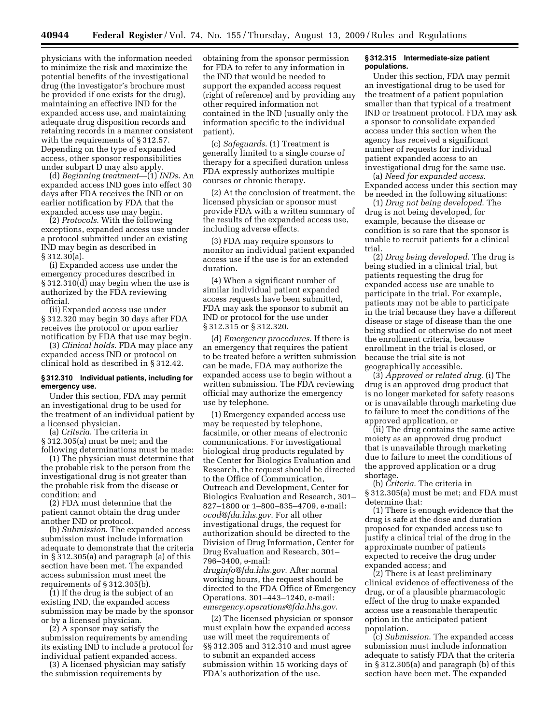physicians with the information needed to minimize the risk and maximize the potential benefits of the investigational drug (the investigator's brochure must be provided if one exists for the drug), maintaining an effective IND for the expanded access use, and maintaining adequate drug disposition records and retaining records in a manner consistent with the requirements of § 312.57. Depending on the type of expanded access, other sponsor responsibilities under subpart D may also apply.

(d) *Beginning treatment*—(1) *INDs*. An expanded access IND goes into effect 30 days after FDA receives the IND or on earlier notification by FDA that the expanded access use may begin.

(2) *Protocols*. With the following exceptions, expanded access use under a protocol submitted under an existing IND may begin as described in § 312.30(a).

(i) Expanded access use under the emergency procedures described in § 312.310(d) may begin when the use is authorized by the FDA reviewing official.

(ii) Expanded access use under § 312.320 may begin 30 days after FDA receives the protocol or upon earlier notification by FDA that use may begin.

(3) *Clinical holds*. FDA may place any expanded access IND or protocol on clinical hold as described in § 312.42.

#### **§ 312.310 Individual patients, including for emergency use.**

Under this section, FDA may permit an investigational drug to be used for the treatment of an individual patient by a licensed physician.

(a) *Criteria*. The criteria in § 312.305(a) must be met; and the following determinations must be made:

(1) The physician must determine that the probable risk to the person from the investigational drug is not greater than the probable risk from the disease or condition; and

(2) FDA must determine that the patient cannot obtain the drug under another IND or protocol.

(b) *Submission*. The expanded access submission must include information adequate to demonstrate that the criteria in § 312.305(a) and paragraph (a) of this section have been met. The expanded access submission must meet the requirements of § 312.305(b).

(1) If the drug is the subject of an existing IND, the expanded access submission may be made by the sponsor or by a licensed physician.

(2) A sponsor may satisfy the submission requirements by amending its existing IND to include a protocol for individual patient expanded access.

(3) A licensed physician may satisfy the submission requirements by

obtaining from the sponsor permission for FDA to refer to any information in the IND that would be needed to support the expanded access request (right of reference) and by providing any other required information not contained in the IND (usually only the information specific to the individual patient).

(c) *Safeguards*. (1) Treatment is generally limited to a single course of therapy for a specified duration unless FDA expressly authorizes multiple courses or chronic therapy.

(2) At the conclusion of treatment, the licensed physician or sponsor must provide FDA with a written summary of the results of the expanded access use, including adverse effects.

(3) FDA may require sponsors to monitor an individual patient expanded access use if the use is for an extended duration.

(4) When a significant number of similar individual patient expanded access requests have been submitted, FDA may ask the sponsor to submit an IND or protocol for the use under § 312.315 or § 312.320.

(d) *Emergency procedures*. If there is an emergency that requires the patient to be treated before a written submission can be made, FDA may authorize the expanded access use to begin without a written submission. The FDA reviewing official may authorize the emergency use by telephone.

(1) Emergency expanded access use may be requested by telephone, facsimile, or other means of electronic communications. For investigational biological drug products regulated by the Center for Biologics Evaluation and Research, the request should be directed to the Office of Communication, Outreach and Development, Center for Biologics Evaluation and Research, 301– 827–1800 or 1–800–835–4709, e-mail: *ocod@fda.hhs.gov*. For all other investigational drugs, the request for authorization should be directed to the Division of Drug Information, Center for Drug Evaluation and Research, 301– 796–3400, e-mail: *druginfo@fda.hhs.gov*. After normal

working hours, the request should be directed to the FDA Office of Emergency Operations, 301–443–1240, e-mail: *emergency.operations@fda.hhs.gov*.

(2) The licensed physician or sponsor must explain how the expanded access use will meet the requirements of §§ 312.305 and 312.310 and must agree to submit an expanded access submission within 15 working days of FDA's authorization of the use.

### **§ 312.315 Intermediate-size patient populations.**

Under this section, FDA may permit an investigational drug to be used for the treatment of a patient population smaller than that typical of a treatment IND or treatment protocol. FDA may ask a sponsor to consolidate expanded access under this section when the agency has received a significant number of requests for individual patient expanded access to an investigational drug for the same use.

(a) *Need for expanded access*. Expanded access under this section may be needed in the following situations:

(1) *Drug not being developed*. The drug is not being developed, for example, because the disease or condition is so rare that the sponsor is unable to recruit patients for a clinical trial.

(2) *Drug being developed*. The drug is being studied in a clinical trial, but patients requesting the drug for expanded access use are unable to participate in the trial. For example, patients may not be able to participate in the trial because they have a different disease or stage of disease than the one being studied or otherwise do not meet the enrollment criteria, because enrollment in the trial is closed, or because the trial site is not geographically accessible.

(3) *Approved or related drug*. (i) The drug is an approved drug product that is no longer marketed for safety reasons or is unavailable through marketing due to failure to meet the conditions of the approved application, or

(ii) The drug contains the same active moiety as an approved drug product that is unavailable through marketing due to failure to meet the conditions of the approved application or a drug shortage.

(b) *Criteria*. The criteria in § 312.305(a) must be met; and FDA must determine that:

(1) There is enough evidence that the drug is safe at the dose and duration proposed for expanded access use to justify a clinical trial of the drug in the approximate number of patients expected to receive the drug under expanded access; and

(2) There is at least preliminary clinical evidence of effectiveness of the drug, or of a plausible pharmacologic effect of the drug to make expanded access use a reasonable therapeutic option in the anticipated patient population.

(c) *Submission*. The expanded access submission must include information adequate to satisfy FDA that the criteria in § 312.305(a) and paragraph (b) of this section have been met. The expanded